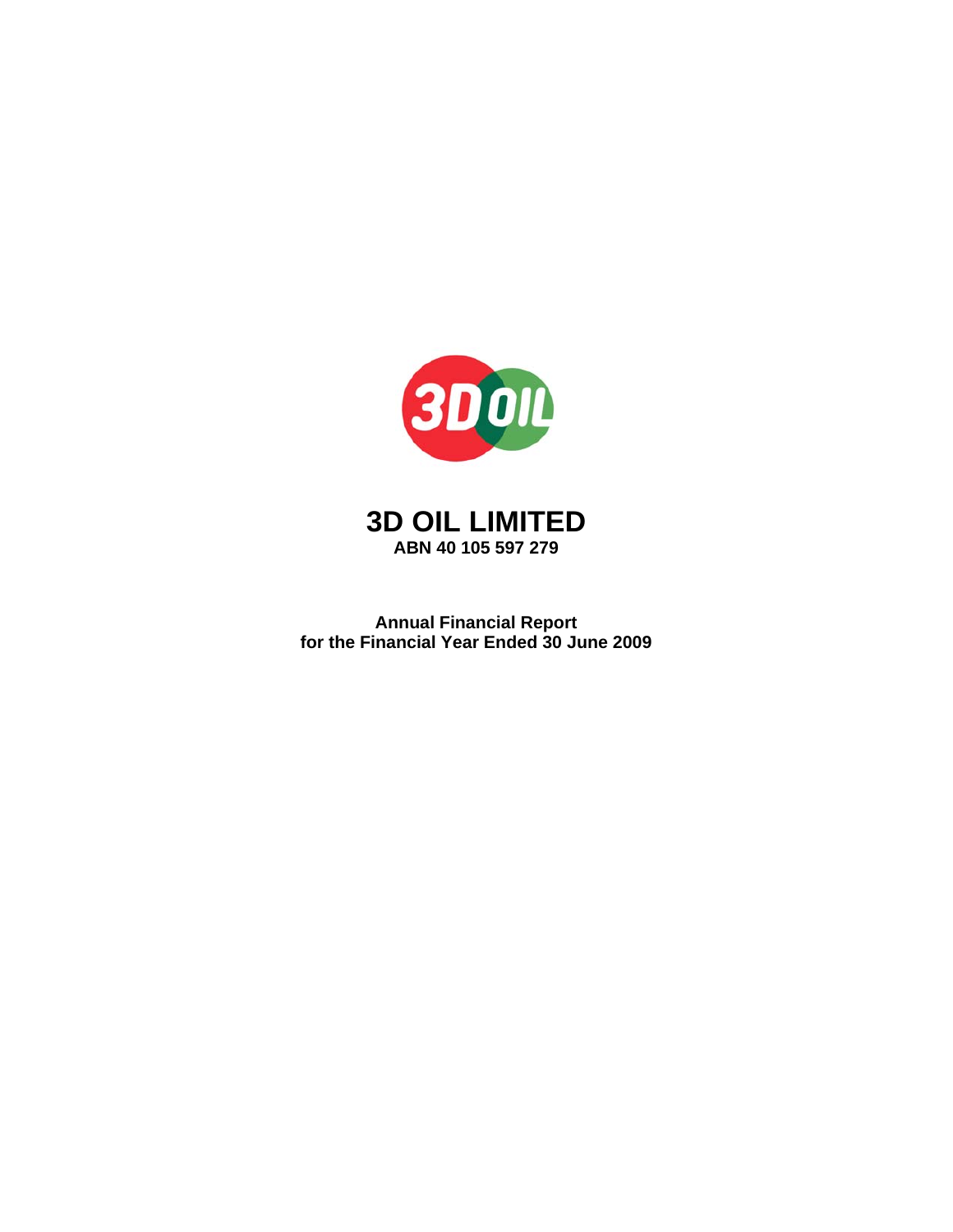



**Annual Financial Report for the Financial Year Ended 30 June 2009**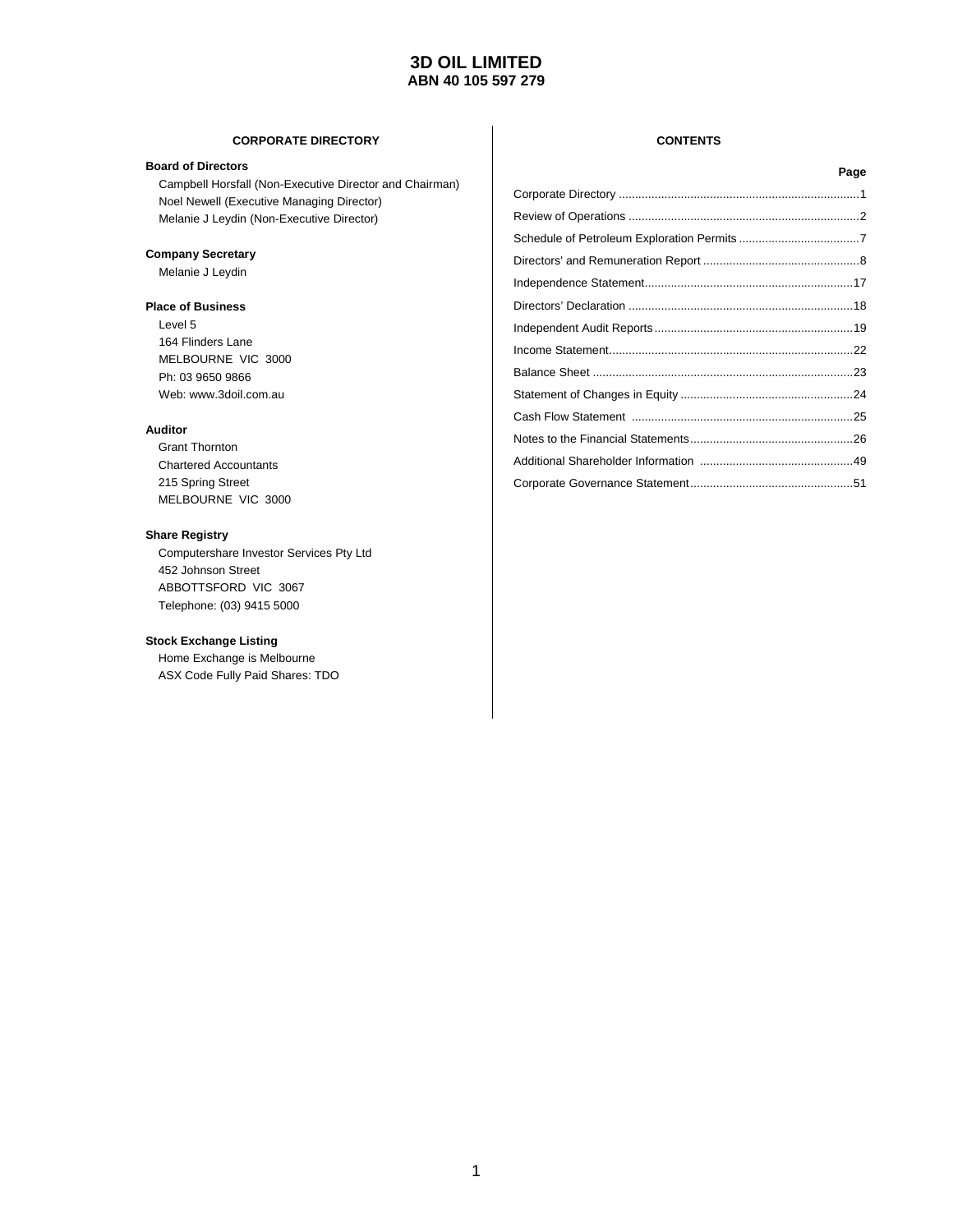#### **CORPORATE DIRECTORY CONTENTS**

#### **Board of Directors**

Campbell Horsfall (Non-Executive Director and Chairman) Noel Newell (Executive Managing Director) Melanie J Leydin (Non-Executive Director)

#### **Company Secretary**

Melanie J Leydin

#### **Place of Business**

Level 5 164 Flinders Lane MELBOURNE VIC 3000 Ph: 03 9650 9866 Web: www.3doil.com.au

#### **Auditor**

 Grant Thornton Chartered Accountants 215 Spring Street MELBOURNE VIC 3000

#### **Share Registry**

 Computershare Investor Services Pty Ltd 452 Johnson Street ABBOTTSFORD VIC 3067 Telephone: (03) 9415 5000

#### **Stock Exchange Listing**

 Home Exchange is Melbourne ASX Code Fully Paid Shares: TDO

| Page |
|------|
|      |
|      |
|      |
|      |
|      |
|      |
|      |
|      |
|      |
|      |
|      |
|      |
|      |
|      |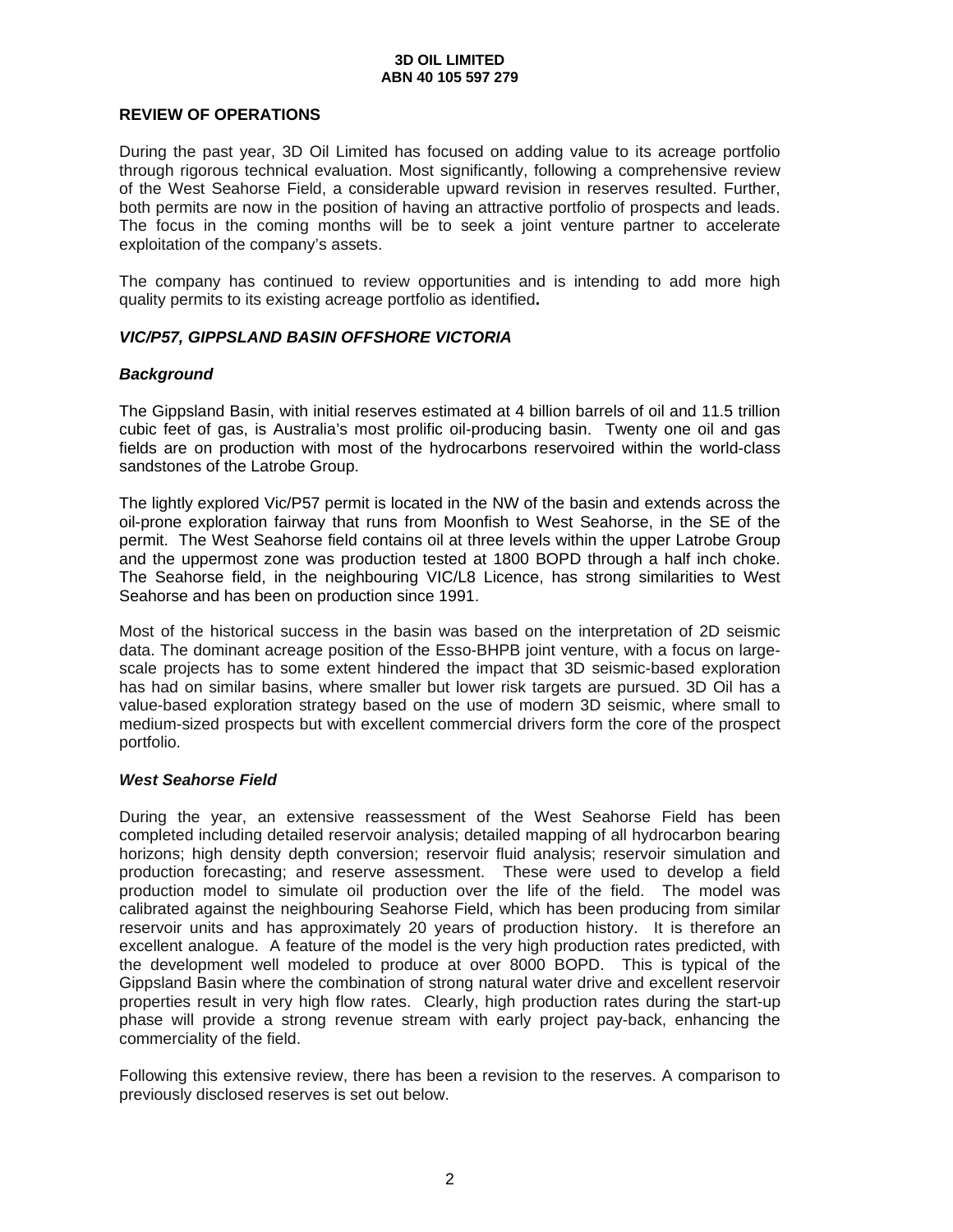### **REVIEW OF OPERATIONS**

During the past year, 3D Oil Limited has focused on adding value to its acreage portfolio through rigorous technical evaluation. Most significantly, following a comprehensive review of the West Seahorse Field, a considerable upward revision in reserves resulted. Further, both permits are now in the position of having an attractive portfolio of prospects and leads. The focus in the coming months will be to seek a joint venture partner to accelerate exploitation of the company's assets.

The company has continued to review opportunities and is intending to add more high quality permits to its existing acreage portfolio as identified**.** 

### *VIC/P57, GIPPSLAND BASIN OFFSHORE VICTORIA*

### *Background*

The Gippsland Basin, with initial reserves estimated at 4 billion barrels of oil and 11.5 trillion cubic feet of gas, is Australia's most prolific oil-producing basin. Twenty one oil and gas fields are on production with most of the hydrocarbons reservoired within the world-class sandstones of the Latrobe Group.

The lightly explored Vic/P57 permit is located in the NW of the basin and extends across the oil-prone exploration fairway that runs from Moonfish to West Seahorse, in the SE of the permit. The West Seahorse field contains oil at three levels within the upper Latrobe Group and the uppermost zone was production tested at 1800 BOPD through a half inch choke. The Seahorse field, in the neighbouring VIC/L8 Licence, has strong similarities to West Seahorse and has been on production since 1991.

Most of the historical success in the basin was based on the interpretation of 2D seismic data. The dominant acreage position of the Esso-BHPB joint venture, with a focus on largescale projects has to some extent hindered the impact that 3D seismic-based exploration has had on similar basins, where smaller but lower risk targets are pursued. 3D Oil has a value-based exploration strategy based on the use of modern 3D seismic, where small to medium-sized prospects but with excellent commercial drivers form the core of the prospect portfolio.

### *West Seahorse Field*

During the year, an extensive reassessment of the West Seahorse Field has been completed including detailed reservoir analysis; detailed mapping of all hydrocarbon bearing horizons; high density depth conversion; reservoir fluid analysis; reservoir simulation and production forecasting; and reserve assessment. These were used to develop a field production model to simulate oil production over the life of the field. The model was calibrated against the neighbouring Seahorse Field, which has been producing from similar reservoir units and has approximately 20 years of production history. It is therefore an excellent analogue. A feature of the model is the very high production rates predicted, with the development well modeled to produce at over 8000 BOPD. This is typical of the Gippsland Basin where the combination of strong natural water drive and excellent reservoir properties result in very high flow rates. Clearly, high production rates during the start-up phase will provide a strong revenue stream with early project pay-back, enhancing the commerciality of the field.

Following this extensive review, there has been a revision to the reserves. A comparison to previously disclosed reserves is set out below.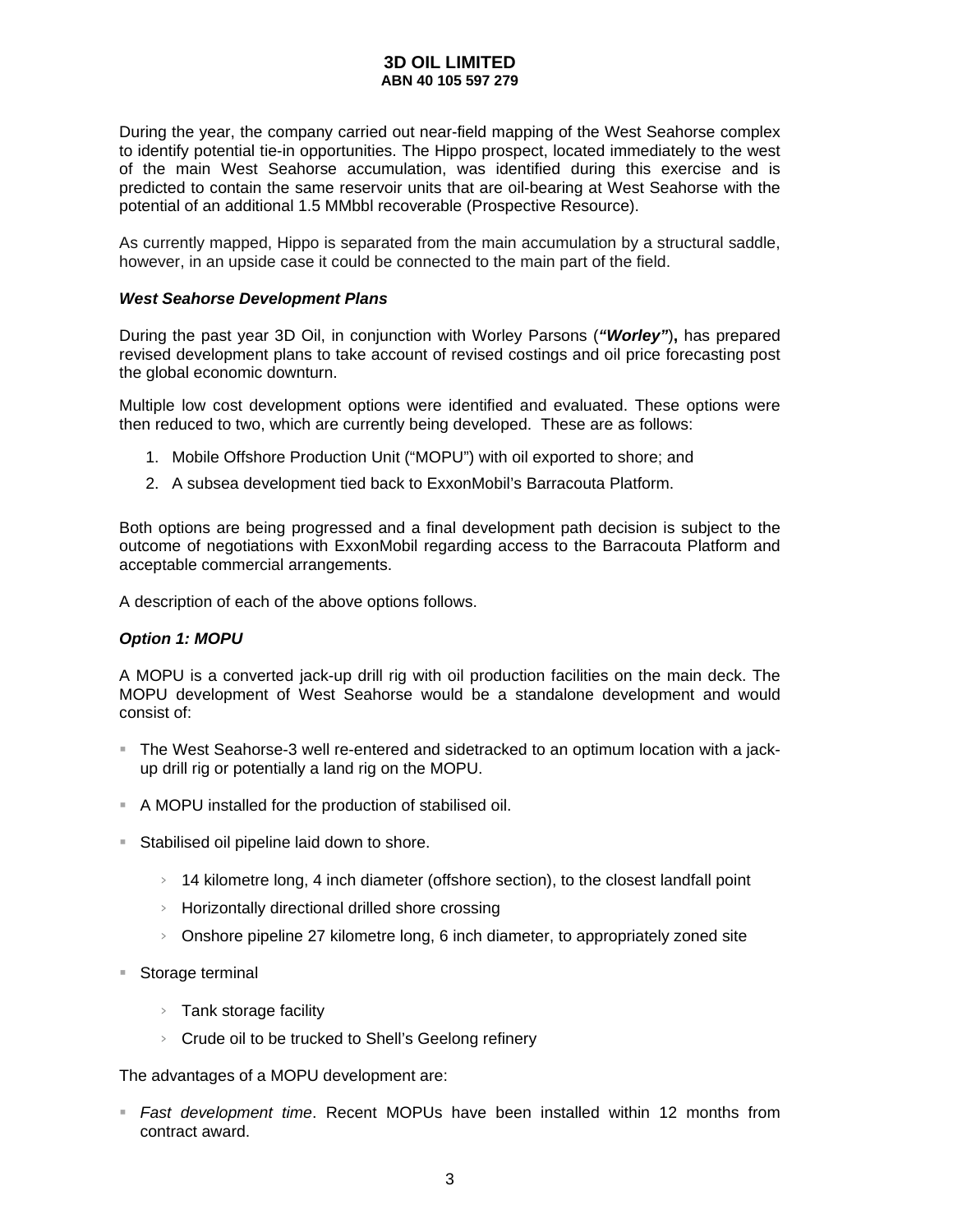During the year, the company carried out near-field mapping of the West Seahorse complex to identify potential tie-in opportunities. The Hippo prospect, located immediately to the west of the main West Seahorse accumulation, was identified during this exercise and is predicted to contain the same reservoir units that are oil-bearing at West Seahorse with the potential of an additional 1.5 MMbbl recoverable (Prospective Resource).

As currently mapped, Hippo is separated from the main accumulation by a structural saddle, however, in an upside case it could be connected to the main part of the field.

### *West Seahorse Development Plans*

During the past year 3D Oil, in conjunction with Worley Parsons (*"Worley"*)**,** has prepared revised development plans to take account of revised costings and oil price forecasting post the global economic downturn.

Multiple low cost development options were identified and evaluated. These options were then reduced to two, which are currently being developed. These are as follows:

- 1. Mobile Offshore Production Unit ("MOPU") with oil exported to shore; and
- 2. A subsea development tied back to ExxonMobil's Barracouta Platform.

Both options are being progressed and a final development path decision is subject to the outcome of negotiations with ExxonMobil regarding access to the Barracouta Platform and acceptable commercial arrangements.

A description of each of the above options follows.

### *Option 1: MOPU*

A MOPU is a converted jack-up drill rig with oil production facilities on the main deck. The MOPU development of West Seahorse would be a standalone development and would consist of:

- The West Seahorse-3 well re-entered and sidetracked to an optimum location with a jackup drill rig or potentially a land rig on the MOPU.
- A MOPU installed for the production of stabilised oil.
- **Stabilised oil pipeline laid down to shore.** 
	- $>$  14 kilometre long, 4 inch diameter (offshore section), to the closest landfall point
	- $\rightarrow$  Horizontally directional drilled shore crossing
	- $>$  Onshore pipeline 27 kilometre long, 6 inch diameter, to appropriately zoned site
- Storage terminal
	- > Tank storage facility
	- $\triangleright$  Crude oil to be trucked to Shell's Geelong refinery

The advantages of a MOPU development are:

 *Fast development time*. Recent MOPUs have been installed within 12 months from contract award.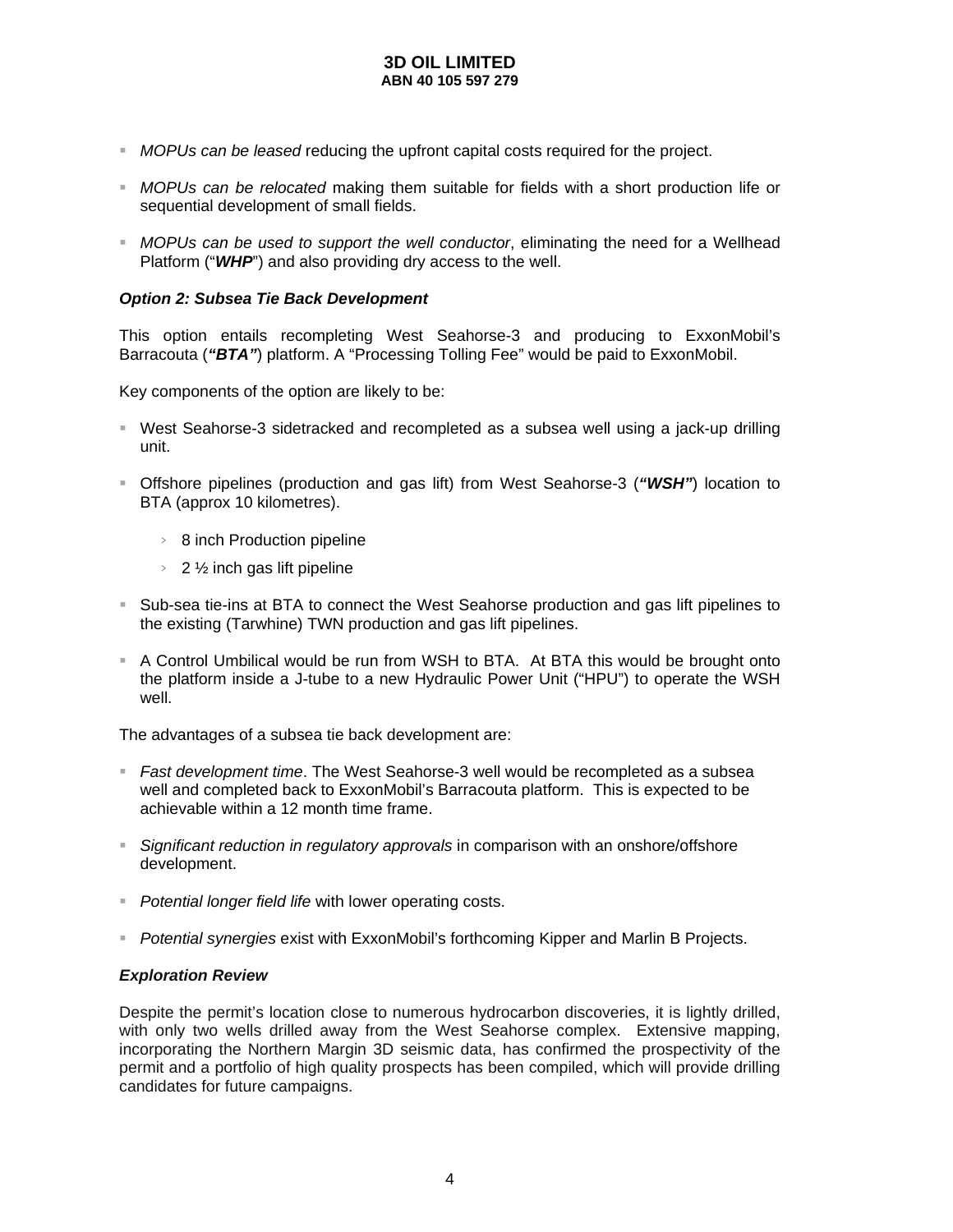- *MOPUs can be leased* reducing the upfront capital costs required for the project.
- *MOPUs can be relocated* making them suitable for fields with a short production life or sequential development of small fields.
- *MOPUs can be used to support the well conductor*, eliminating the need for a Wellhead Platform ("*WHP*") and also providing dry access to the well.

### *Option 2: Subsea Tie Back Development*

This option entails recompleting West Seahorse-3 and producing to ExxonMobil's Barracouta (*"BTA"*) platform. A "Processing Tolling Fee" would be paid to ExxonMobil.

Key components of the option are likely to be:

- West Seahorse-3 sidetracked and recompleted as a subsea well using a jack-up drilling unit.
- Offshore pipelines (production and gas lift) from West Seahorse-3 (*"WSH"*) location to BTA (approx 10 kilometres).
	- > 8 inch Production pipeline
	- $> 2\frac{1}{2}$  inch gas lift pipeline
- Sub-sea tie-ins at BTA to connect the West Seahorse production and gas lift pipelines to the existing (Tarwhine) TWN production and gas lift pipelines.
- A Control Umbilical would be run from WSH to BTA. At BTA this would be brought onto the platform inside a J-tube to a new Hydraulic Power Unit ("HPU") to operate the WSH well.

The advantages of a subsea tie back development are:

- *Fast development time*. The West Seahorse-3 well would be recompleted as a subsea well and completed back to ExxonMobil's Barracouta platform. This is expected to be achievable within a 12 month time frame.
- *Significant reduction in regulatory approvals* in comparison with an onshore/offshore development.
- *Potential longer field life* with lower operating costs.
- *Potential synergies* exist with ExxonMobil's forthcoming Kipper and Marlin B Projects.

### *Exploration Review*

Despite the permit's location close to numerous hydrocarbon discoveries, it is lightly drilled, with only two wells drilled away from the West Seahorse complex. Extensive mapping, incorporating the Northern Margin 3D seismic data, has confirmed the prospectivity of the permit and a portfolio of high quality prospects has been compiled, which will provide drilling candidates for future campaigns.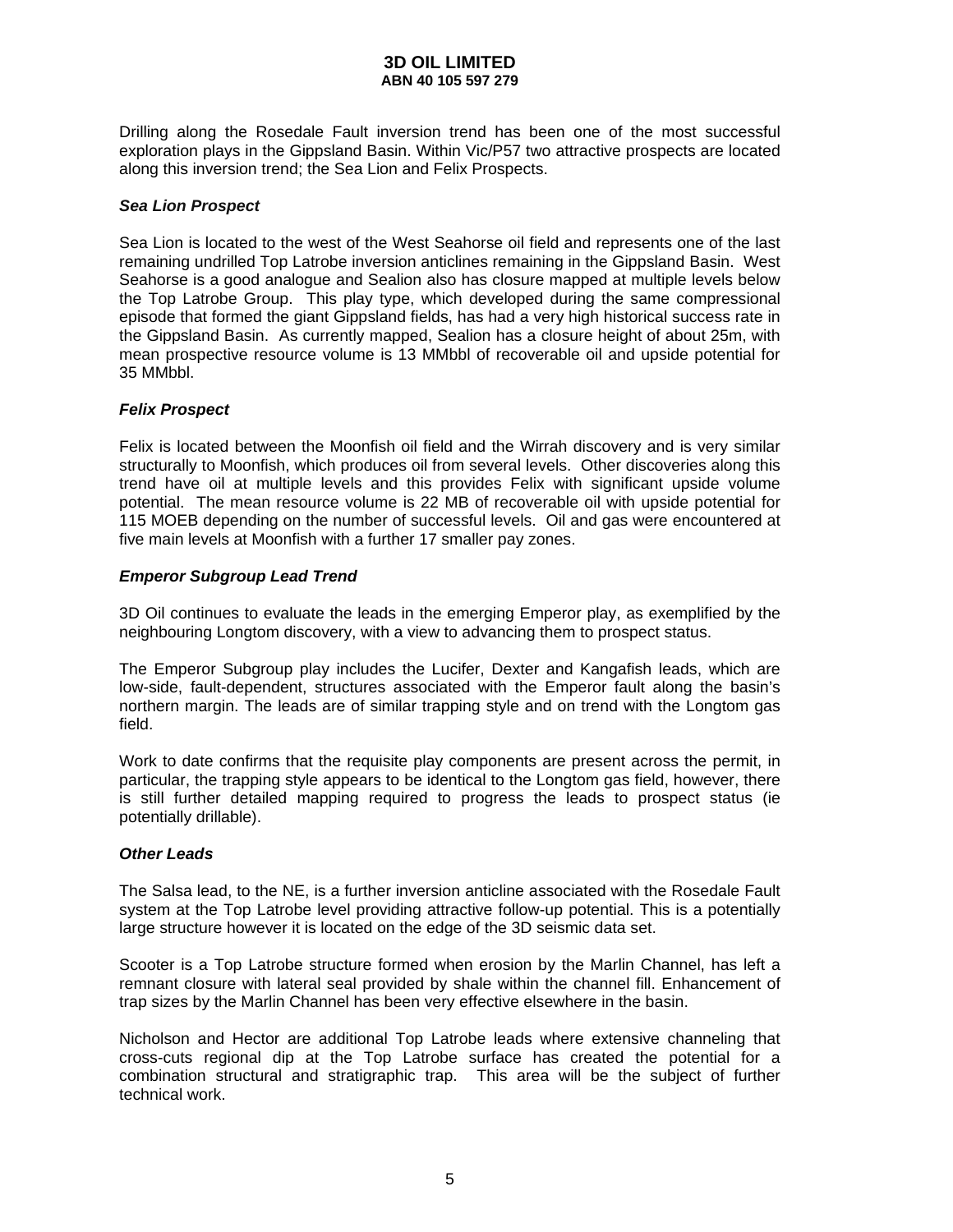Drilling along the Rosedale Fault inversion trend has been one of the most successful exploration plays in the Gippsland Basin. Within Vic/P57 two attractive prospects are located along this inversion trend; the Sea Lion and Felix Prospects.

### *Sea Lion Prospect*

Sea Lion is located to the west of the West Seahorse oil field and represents one of the last remaining undrilled Top Latrobe inversion anticlines remaining in the Gippsland Basin. West Seahorse is a good analogue and Sealion also has closure mapped at multiple levels below the Top Latrobe Group. This play type, which developed during the same compressional episode that formed the giant Gippsland fields, has had a very high historical success rate in the Gippsland Basin. As currently mapped, Sealion has a closure height of about 25m, with mean prospective resource volume is 13 MMbbl of recoverable oil and upside potential for 35 MMbbl.

### *Felix Prospect*

Felix is located between the Moonfish oil field and the Wirrah discovery and is very similar structurally to Moonfish, which produces oil from several levels. Other discoveries along this trend have oil at multiple levels and this provides Felix with significant upside volume potential. The mean resource volume is 22 MB of recoverable oil with upside potential for 115 MOEB depending on the number of successful levels. Oil and gas were encountered at five main levels at Moonfish with a further 17 smaller pay zones.

### *Emperor Subgroup Lead Trend*

3D Oil continues to evaluate the leads in the emerging Emperor play, as exemplified by the neighbouring Longtom discovery, with a view to advancing them to prospect status.

The Emperor Subgroup play includes the Lucifer, Dexter and Kangafish leads, which are low-side, fault-dependent, structures associated with the Emperor fault along the basin's northern margin. The leads are of similar trapping style and on trend with the Longtom gas field.

Work to date confirms that the requisite play components are present across the permit, in particular, the trapping style appears to be identical to the Longtom gas field, however, there is still further detailed mapping required to progress the leads to prospect status (ie potentially drillable).

### *Other Leads*

The Salsa lead, to the NE, is a further inversion anticline associated with the Rosedale Fault system at the Top Latrobe level providing attractive follow-up potential. This is a potentially large structure however it is located on the edge of the 3D seismic data set.

Scooter is a Top Latrobe structure formed when erosion by the Marlin Channel, has left a remnant closure with lateral seal provided by shale within the channel fill. Enhancement of trap sizes by the Marlin Channel has been very effective elsewhere in the basin.

Nicholson and Hector are additional Top Latrobe leads where extensive channeling that cross-cuts regional dip at the Top Latrobe surface has created the potential for a combination structural and stratigraphic trap. This area will be the subject of further technical work.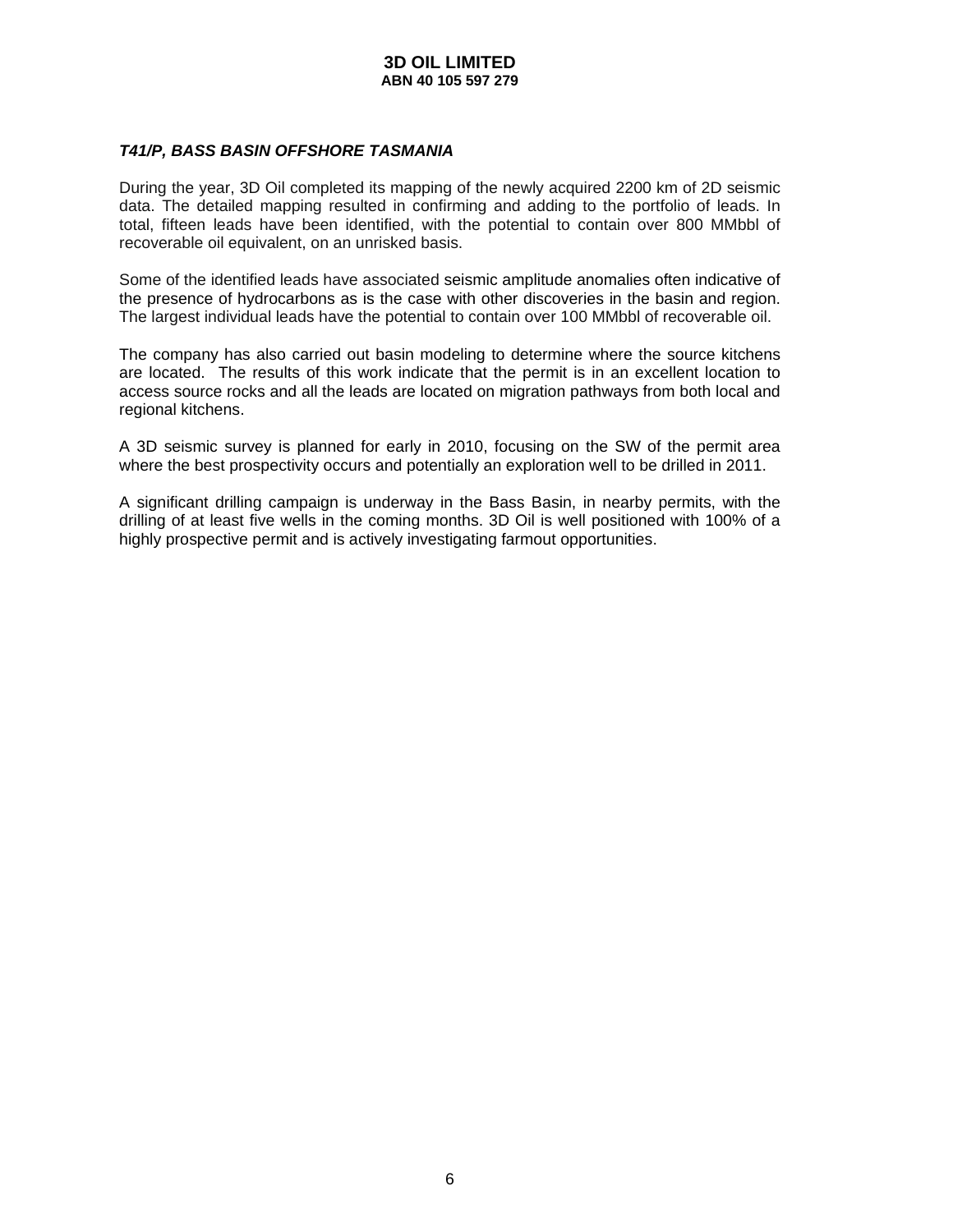### *T41/P, BASS BASIN OFFSHORE TASMANIA*

During the year, 3D Oil completed its mapping of the newly acquired 2200 km of 2D seismic data. The detailed mapping resulted in confirming and adding to the portfolio of leads. In total, fifteen leads have been identified, with the potential to contain over 800 MMbbl of recoverable oil equivalent, on an unrisked basis.

Some of the identified leads have associated seismic amplitude anomalies often indicative of the presence of hydrocarbons as is the case with other discoveries in the basin and region. The largest individual leads have the potential to contain over 100 MMbbl of recoverable oil.

The company has also carried out basin modeling to determine where the source kitchens are located. The results of this work indicate that the permit is in an excellent location to access source rocks and all the leads are located on migration pathways from both local and regional kitchens.

A 3D seismic survey is planned for early in 2010, focusing on the SW of the permit area where the best prospectivity occurs and potentially an exploration well to be drilled in 2011.

A significant drilling campaign is underway in the Bass Basin, in nearby permits, with the drilling of at least five wells in the coming months. 3D Oil is well positioned with 100% of a highly prospective permit and is actively investigating farmout opportunities.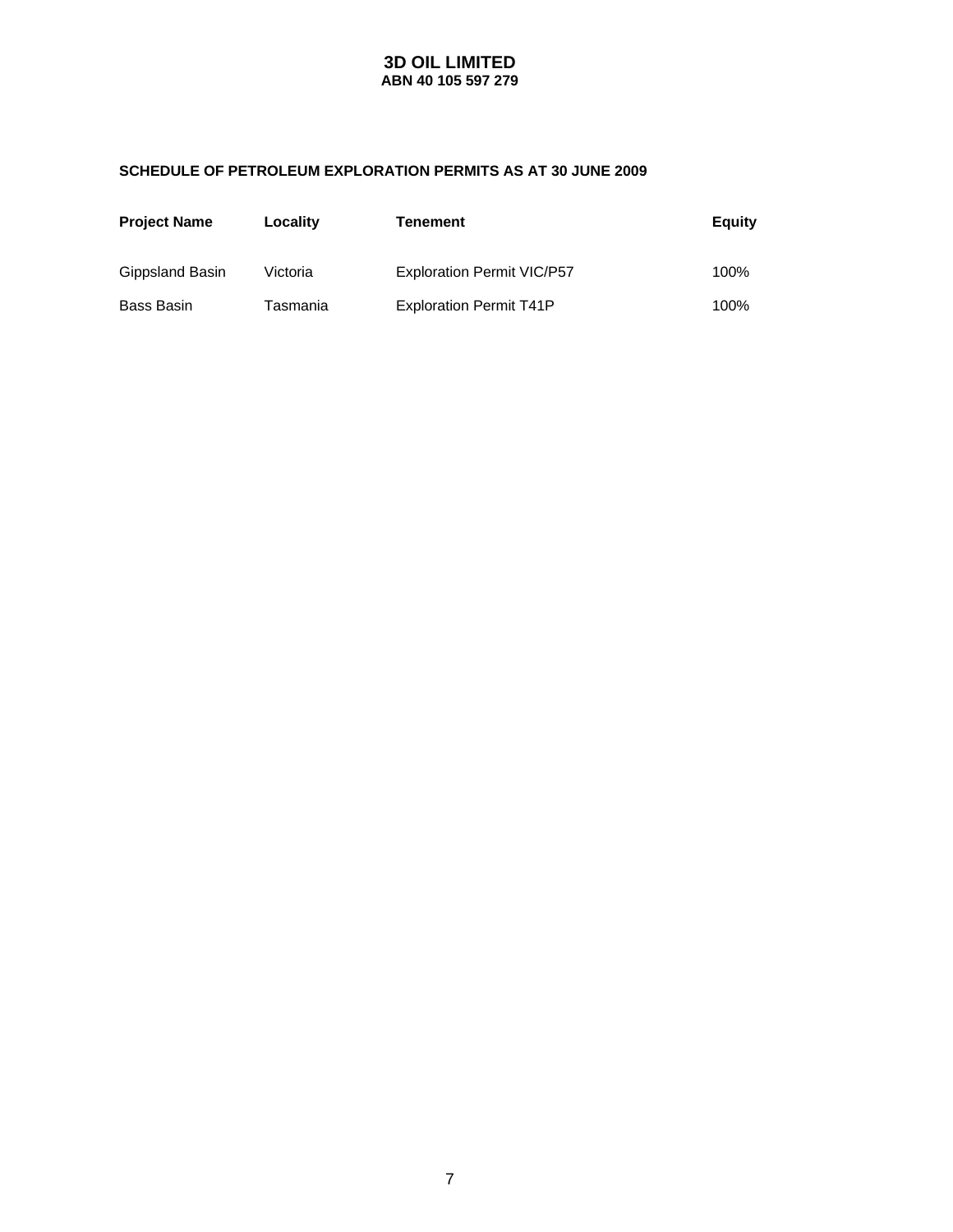### **SCHEDULE OF PETROLEUM EXPLORATION PERMITS AS AT 30 JUNE 2009**

| <b>Project Name</b> | Locality | Tenement                          | Equity |
|---------------------|----------|-----------------------------------|--------|
| Gippsland Basin     | Victoria | <b>Exploration Permit VIC/P57</b> | 100%   |
| Bass Basin          | Tasmania | <b>Exploration Permit T41P</b>    | 100%   |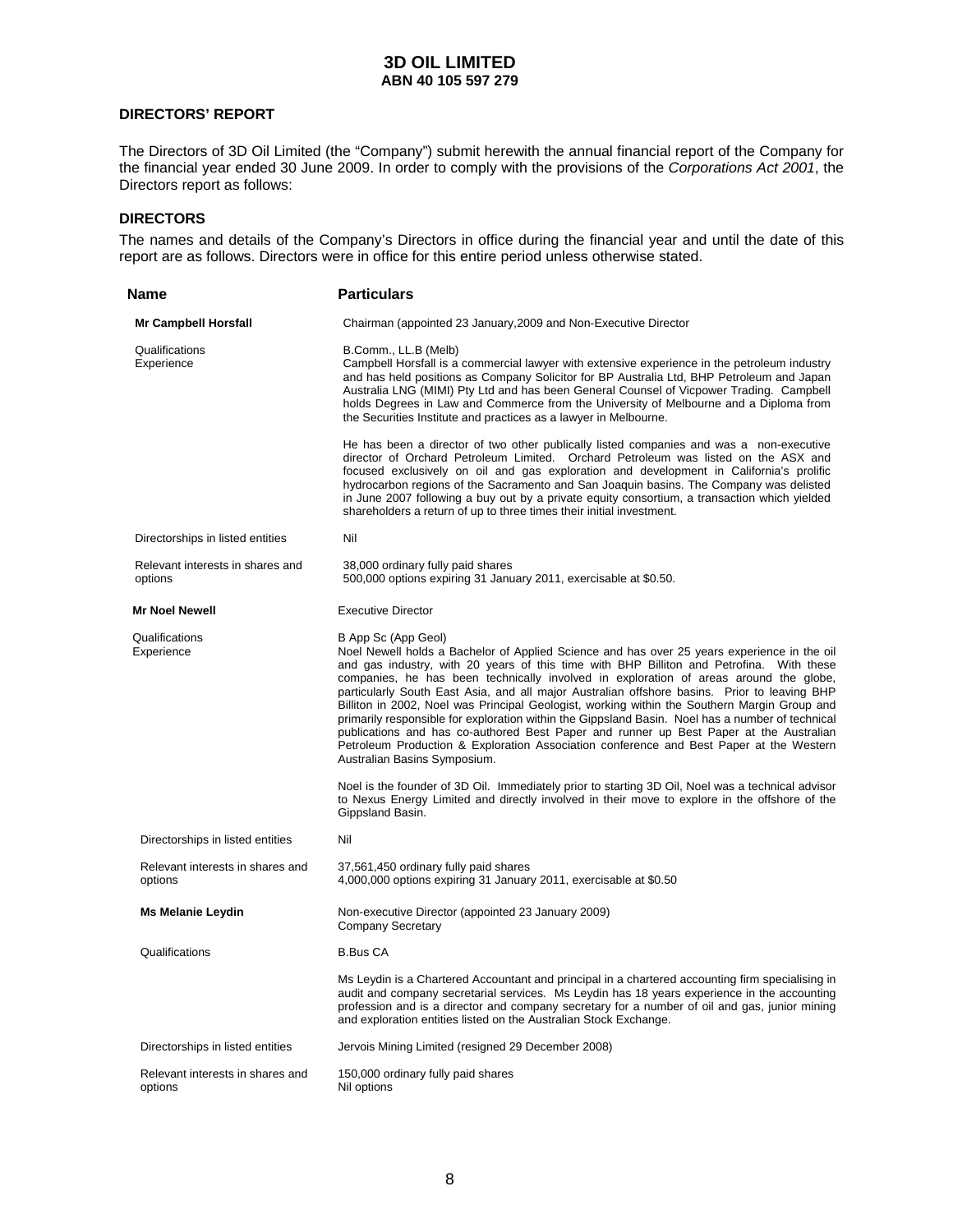### **DIRECTORS' REPORT**

The Directors of 3D Oil Limited (the "Company") submit herewith the annual financial report of the Company for the financial year ended 30 June 2009. In order to comply with the provisions of the *Corporations Act 2001*, the Directors report as follows:

#### **DIRECTORS**

The names and details of the Company's Directors in office during the financial year and until the date of this report are as follows. Directors were in office for this entire period unless otherwise stated.

| Name                                        | <b>Particulars</b>                                                                                                                                                                                                                                                                                                                                                                                                                                                                                                                                                                                                                                                                                                                                                                                                                                                                                                                    |
|---------------------------------------------|---------------------------------------------------------------------------------------------------------------------------------------------------------------------------------------------------------------------------------------------------------------------------------------------------------------------------------------------------------------------------------------------------------------------------------------------------------------------------------------------------------------------------------------------------------------------------------------------------------------------------------------------------------------------------------------------------------------------------------------------------------------------------------------------------------------------------------------------------------------------------------------------------------------------------------------|
| Mr Campbell Horsfall                        | Chairman (appointed 23 January, 2009 and Non-Executive Director                                                                                                                                                                                                                                                                                                                                                                                                                                                                                                                                                                                                                                                                                                                                                                                                                                                                       |
| Qualifications<br>Experience                | B.Comm., LL.B (Melb)<br>Campbell Horsfall is a commercial lawyer with extensive experience in the petroleum industry<br>and has held positions as Company Solicitor for BP Australia Ltd, BHP Petroleum and Japan<br>Australia LNG (MIMI) Pty Ltd and has been General Counsel of Vicpower Trading. Campbell<br>holds Degrees in Law and Commerce from the University of Melbourne and a Diploma from<br>the Securities Institute and practices as a lawyer in Melbourne.                                                                                                                                                                                                                                                                                                                                                                                                                                                             |
|                                             | He has been a director of two other publically listed companies and was a non-executive<br>director of Orchard Petroleum Limited. Orchard Petroleum was listed on the ASX and<br>focused exclusively on oil and gas exploration and development in California's prolific<br>hydrocarbon regions of the Sacramento and San Joaquin basins. The Company was delisted<br>in June 2007 following a buy out by a private equity consortium, a transaction which yielded<br>shareholders a return of up to three times their initial investment.                                                                                                                                                                                                                                                                                                                                                                                            |
| Directorships in listed entities            | Nil                                                                                                                                                                                                                                                                                                                                                                                                                                                                                                                                                                                                                                                                                                                                                                                                                                                                                                                                   |
| Relevant interests in shares and<br>options | 38,000 ordinary fully paid shares<br>500,000 options expiring 31 January 2011, exercisable at \$0.50.                                                                                                                                                                                                                                                                                                                                                                                                                                                                                                                                                                                                                                                                                                                                                                                                                                 |
| <b>Mr Noel Newell</b>                       | <b>Executive Director</b>                                                                                                                                                                                                                                                                                                                                                                                                                                                                                                                                                                                                                                                                                                                                                                                                                                                                                                             |
| Qualifications<br>Experience                | B App Sc (App Geol)<br>Noel Newell holds a Bachelor of Applied Science and has over 25 years experience in the oil<br>and gas industry, with 20 years of this time with BHP Billiton and Petrofina. With these<br>companies, he has been technically involved in exploration of areas around the globe,<br>particularly South East Asia, and all major Australian offshore basins. Prior to leaving BHP<br>Billiton in 2002, Noel was Principal Geologist, working within the Southern Margin Group and<br>primarily responsible for exploration within the Gippsland Basin. Noel has a number of technical<br>publications and has co-authored Best Paper and runner up Best Paper at the Australian<br>Petroleum Production & Exploration Association conference and Best Paper at the Western<br>Australian Basins Symposium.<br>Noel is the founder of 3D Oil. Immediately prior to starting 3D Oil, Noel was a technical advisor |
|                                             | to Nexus Energy Limited and directly involved in their move to explore in the offshore of the<br>Gippsland Basin.                                                                                                                                                                                                                                                                                                                                                                                                                                                                                                                                                                                                                                                                                                                                                                                                                     |
| Directorships in listed entities            | Nil                                                                                                                                                                                                                                                                                                                                                                                                                                                                                                                                                                                                                                                                                                                                                                                                                                                                                                                                   |
| Relevant interests in shares and<br>options | 37,561,450 ordinary fully paid shares<br>4,000,000 options expiring 31 January 2011, exercisable at \$0.50                                                                                                                                                                                                                                                                                                                                                                                                                                                                                                                                                                                                                                                                                                                                                                                                                            |
| <b>Ms Melanie Leydin</b>                    | Non-executive Director (appointed 23 January 2009)<br><b>Company Secretary</b>                                                                                                                                                                                                                                                                                                                                                                                                                                                                                                                                                                                                                                                                                                                                                                                                                                                        |
| Qualifications                              | <b>B.Bus CA</b>                                                                                                                                                                                                                                                                                                                                                                                                                                                                                                                                                                                                                                                                                                                                                                                                                                                                                                                       |
|                                             | Ms Leydin is a Chartered Accountant and principal in a chartered accounting firm specialising in<br>audit and company secretarial services. Ms Leydin has 18 years experience in the accounting<br>profession and is a director and company secretary for a number of oil and gas, junior mining<br>and exploration entities listed on the Australian Stock Exchange.                                                                                                                                                                                                                                                                                                                                                                                                                                                                                                                                                                 |
| Directorships in listed entities            | Jervois Mining Limited (resigned 29 December 2008)                                                                                                                                                                                                                                                                                                                                                                                                                                                                                                                                                                                                                                                                                                                                                                                                                                                                                    |
| Relevant interests in shares and<br>options | 150,000 ordinary fully paid shares<br>Nil options                                                                                                                                                                                                                                                                                                                                                                                                                                                                                                                                                                                                                                                                                                                                                                                                                                                                                     |
|                                             |                                                                                                                                                                                                                                                                                                                                                                                                                                                                                                                                                                                                                                                                                                                                                                                                                                                                                                                                       |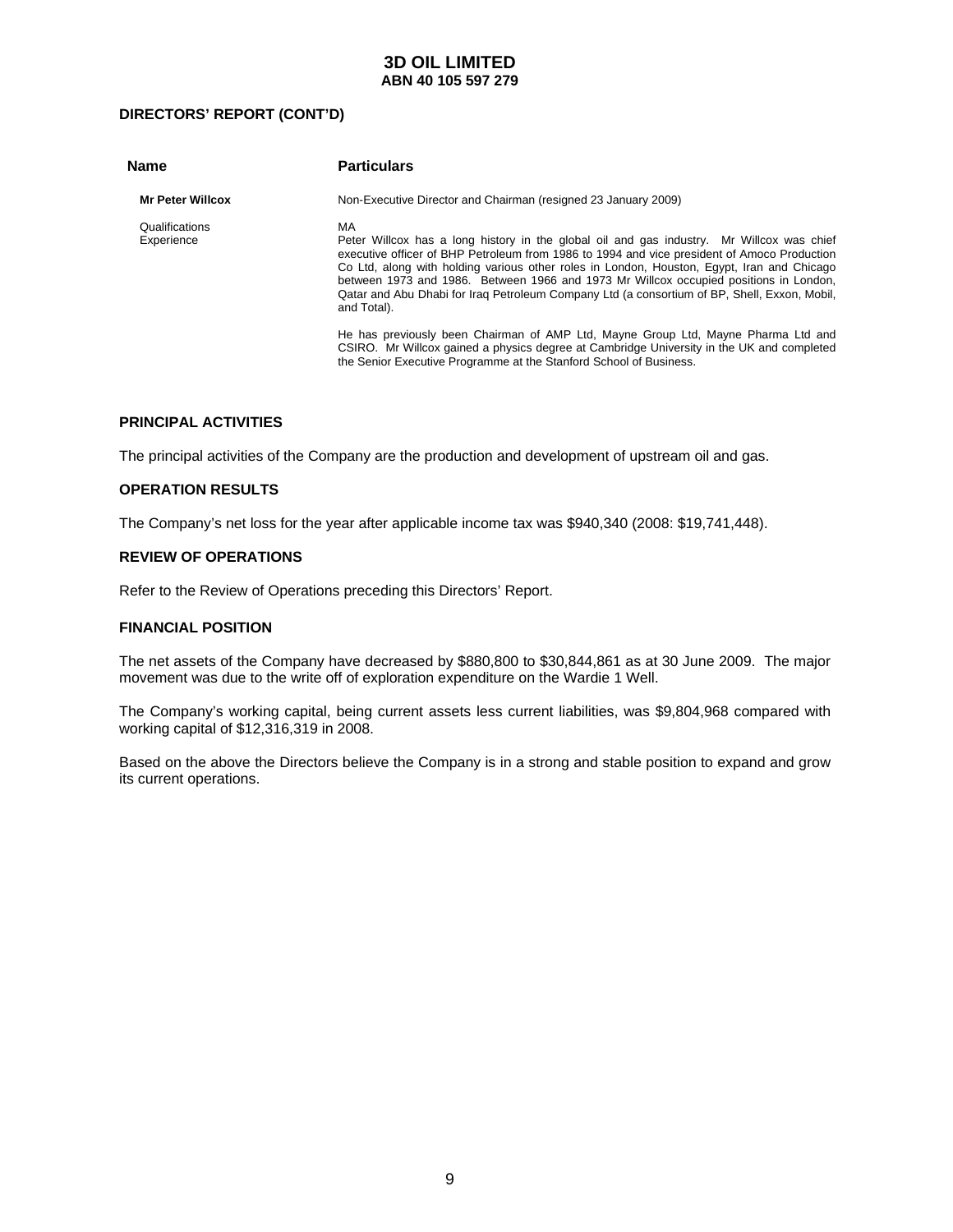### **DIRECTORS' REPORT (CONT'D)**

| <b>Name</b>                  | <b>Particulars</b>                                                                                                                                                                                                                                                                                                                                                                                                                                                                                   |
|------------------------------|------------------------------------------------------------------------------------------------------------------------------------------------------------------------------------------------------------------------------------------------------------------------------------------------------------------------------------------------------------------------------------------------------------------------------------------------------------------------------------------------------|
| <b>Mr Peter Willcox</b>      | Non-Executive Director and Chairman (resigned 23 January 2009)                                                                                                                                                                                                                                                                                                                                                                                                                                       |
| Qualifications<br>Experience | MA<br>Peter Willcox has a long history in the global oil and gas industry. Mr Willcox was chief<br>executive officer of BHP Petroleum from 1986 to 1994 and vice president of Amoco Production<br>Co Ltd, along with holding various other roles in London, Houston, Egypt, Iran and Chicago<br>between 1973 and 1986. Between 1966 and 1973 Mr Willcox occupied positions in London,<br>Qatar and Abu Dhabi for Iraq Petroleum Company Ltd (a consortium of BP, Shell, Exxon, Mobil,<br>and Total). |
|                              | He has previously been Chairman of AMP Ltd, Mayne Group Ltd, Mayne Pharma Ltd and<br>CSIRO. Mr Willcox gained a physics degree at Cambridge University in the UK and completed<br>the Senior Executive Programme at the Stanford School of Business.                                                                                                                                                                                                                                                 |

### **PRINCIPAL ACTIVITIES**

The principal activities of the Company are the production and development of upstream oil and gas.

#### **OPERATION RESULTS**

The Company's net loss for the year after applicable income tax was \$940,340 (2008: \$19,741,448).

### **REVIEW OF OPERATIONS**

Refer to the Review of Operations preceding this Directors' Report.

### **FINANCIAL POSITION**

The net assets of the Company have decreased by \$880,800 to \$30,844,861 as at 30 June 2009. The major movement was due to the write off of exploration expenditure on the Wardie 1 Well.

The Company's working capital, being current assets less current liabilities, was \$9,804,968 compared with working capital of \$12,316,319 in 2008.

Based on the above the Directors believe the Company is in a strong and stable position to expand and grow its current operations.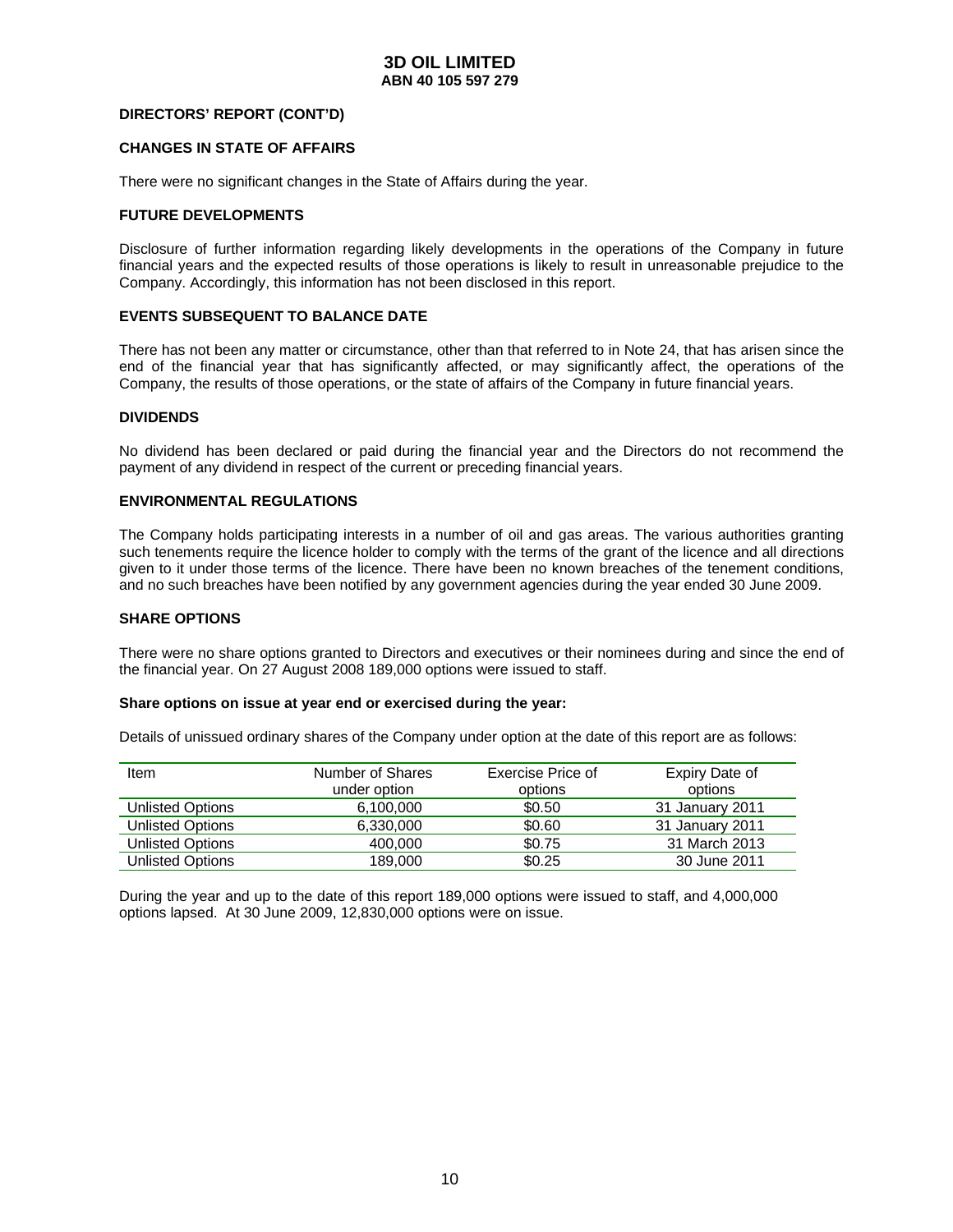### **DIRECTORS' REPORT (CONT'D)**

#### **CHANGES IN STATE OF AFFAIRS**

There were no significant changes in the State of Affairs during the year.

#### **FUTURE DEVELOPMENTS**

Disclosure of further information regarding likely developments in the operations of the Company in future financial years and the expected results of those operations is likely to result in unreasonable prejudice to the Company. Accordingly, this information has not been disclosed in this report.

#### **EVENTS SUBSEQUENT TO BALANCE DATE**

There has not been any matter or circumstance, other than that referred to in Note 24, that has arisen since the end of the financial year that has significantly affected, or may significantly affect, the operations of the Company, the results of those operations, or the state of affairs of the Company in future financial years.

#### **DIVIDENDS**

No dividend has been declared or paid during the financial year and the Directors do not recommend the payment of any dividend in respect of the current or preceding financial years.

#### **ENVIRONMENTAL REGULATIONS**

The Company holds participating interests in a number of oil and gas areas. The various authorities granting such tenements require the licence holder to comply with the terms of the grant of the licence and all directions given to it under those terms of the licence. There have been no known breaches of the tenement conditions, and no such breaches have been notified by any government agencies during the year ended 30 June 2009.

#### **SHARE OPTIONS**

There were no share options granted to Directors and executives or their nominees during and since the end of the financial year. On 27 August 2008 189,000 options were issued to staff.

#### **Share options on issue at year end or exercised during the year:**

Details of unissued ordinary shares of the Company under option at the date of this report are as follows:

| Item                    | Number of Shares | Exercise Price of | Expiry Date of  |
|-------------------------|------------------|-------------------|-----------------|
|                         | under option     | options           | options         |
| Unlisted Options        | 6.100.000        | \$0.50            | 31 January 2011 |
| <b>Unlisted Options</b> | 6.330.000        | \$0.60            | 31 January 2011 |
| <b>Unlisted Options</b> | 400,000          | \$0.75            | 31 March 2013   |
| <b>Unlisted Options</b> | 189,000          | \$0.25            | 30 June 2011    |

During the year and up to the date of this report 189,000 options were issued to staff, and 4,000,000 options lapsed. At 30 June 2009, 12,830,000 options were on issue.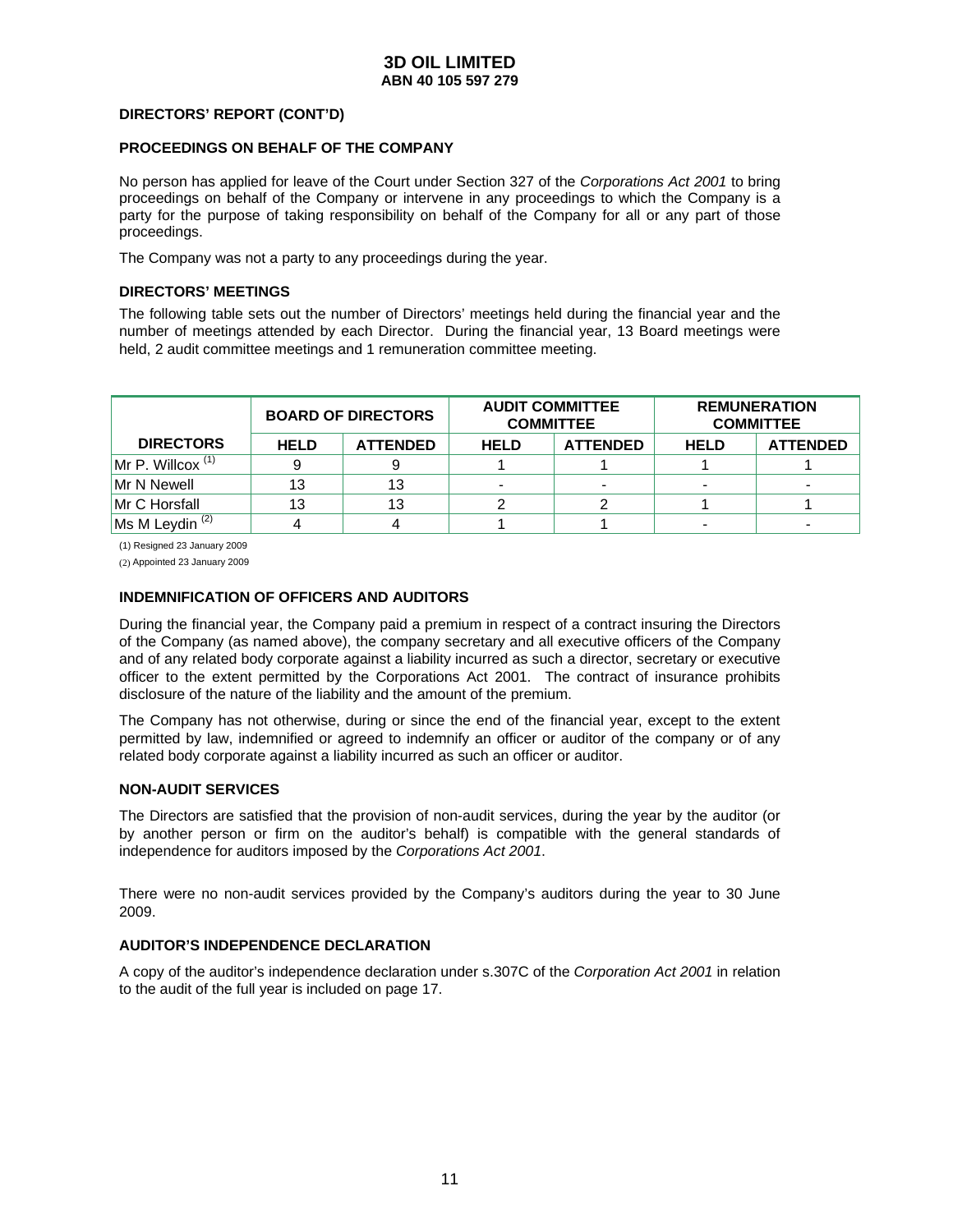### **DIRECTORS' REPORT (CONT'D)**

#### **PROCEEDINGS ON BEHALF OF THE COMPANY**

No person has applied for leave of the Court under Section 327 of the *Corporations Act 2001* to bring proceedings on behalf of the Company or intervene in any proceedings to which the Company is a party for the purpose of taking responsibility on behalf of the Company for all or any part of those proceedings.

The Company was not a party to any proceedings during the year.

### **DIRECTORS' MEETINGS**

The following table sets out the number of Directors' meetings held during the financial year and the number of meetings attended by each Director. During the financial year, 13 Board meetings were held, 2 audit committee meetings and 1 remuneration committee meeting.

|                            | <b>BOARD OF DIRECTORS</b> |                 | <b>AUDIT COMMITTEE</b><br><b>COMMITTEE</b> |  | <b>REMUNERATION</b><br><b>COMMITTEE</b> |                 |  |
|----------------------------|---------------------------|-----------------|--------------------------------------------|--|-----------------------------------------|-----------------|--|
| <b>DIRECTORS</b>           | <b>HELD</b>               | <b>ATTENDED</b> | <b>HELD</b><br><b>ATTENDED</b>             |  | <b>HELD</b>                             | <b>ATTENDED</b> |  |
| $Mr$ P. Willcox $(1)$      | 9                         |                 |                                            |  |                                         |                 |  |
| Mr N Newell                | 13                        | 13              |                                            |  |                                         |                 |  |
| Mr C Horsfall              | 13                        | 13              |                                            |  |                                         |                 |  |
| Ms M Leydin <sup>(2)</sup> |                           |                 |                                            |  | -                                       | $\blacksquare$  |  |

(1) Resigned 23 January 2009

(2) Appointed 23 January 2009

### **INDEMNIFICATION OF OFFICERS AND AUDITORS**

During the financial year, the Company paid a premium in respect of a contract insuring the Directors of the Company (as named above), the company secretary and all executive officers of the Company and of any related body corporate against a liability incurred as such a director, secretary or executive officer to the extent permitted by the Corporations Act 2001. The contract of insurance prohibits disclosure of the nature of the liability and the amount of the premium.

The Company has not otherwise, during or since the end of the financial year, except to the extent permitted by law, indemnified or agreed to indemnify an officer or auditor of the company or of any related body corporate against a liability incurred as such an officer or auditor.

### **NON-AUDIT SERVICES**

The Directors are satisfied that the provision of non-audit services, during the year by the auditor (or by another person or firm on the auditor's behalf) is compatible with the general standards of independence for auditors imposed by the *Corporations Act 2001*.

There were no non-audit services provided by the Company's auditors during the year to 30 June 2009.

### **AUDITOR'S INDEPENDENCE DECLARATION**

A copy of the auditor's independence declaration under s.307C of the *Corporation Act 2001* in relation to the audit of the full year is included on page 17.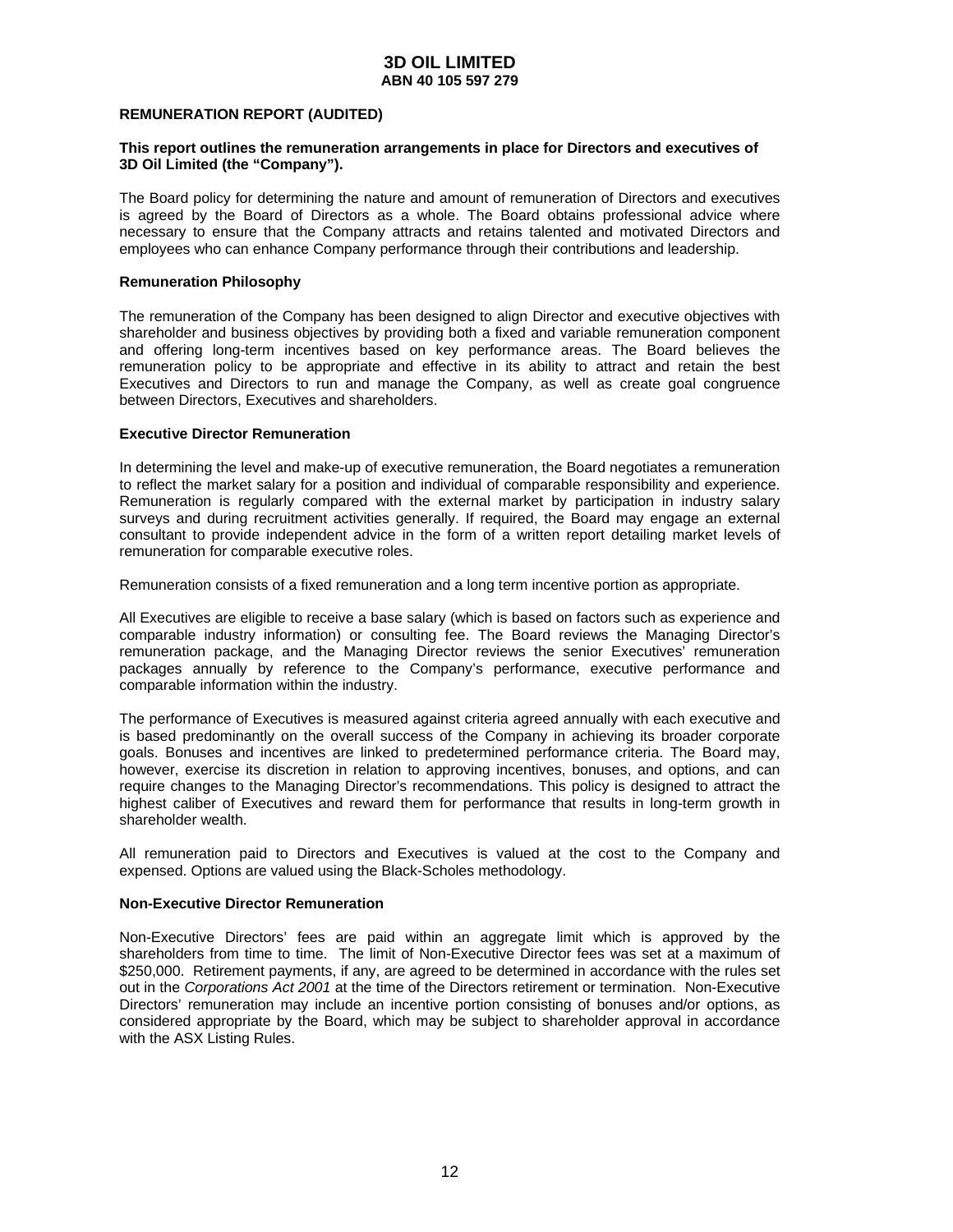#### **REMUNERATION REPORT (AUDITED)**

#### **This report outlines the remuneration arrangements in place for Directors and executives of 3D Oil Limited (the "Company").**

The Board policy for determining the nature and amount of remuneration of Directors and executives is agreed by the Board of Directors as a whole. The Board obtains professional advice where necessary to ensure that the Company attracts and retains talented and motivated Directors and employees who can enhance Company performance through their contributions and leadership.

#### **Remuneration Philosophy**

The remuneration of the Company has been designed to align Director and executive objectives with shareholder and business objectives by providing both a fixed and variable remuneration component and offering long-term incentives based on key performance areas. The Board believes the remuneration policy to be appropriate and effective in its ability to attract and retain the best Executives and Directors to run and manage the Company, as well as create goal congruence between Directors, Executives and shareholders.

#### **Executive Director Remuneration**

In determining the level and make-up of executive remuneration, the Board negotiates a remuneration to reflect the market salary for a position and individual of comparable responsibility and experience. Remuneration is regularly compared with the external market by participation in industry salary surveys and during recruitment activities generally. If required, the Board may engage an external consultant to provide independent advice in the form of a written report detailing market levels of remuneration for comparable executive roles.

Remuneration consists of a fixed remuneration and a long term incentive portion as appropriate.

All Executives are eligible to receive a base salary (which is based on factors such as experience and comparable industry information) or consulting fee. The Board reviews the Managing Director's remuneration package, and the Managing Director reviews the senior Executives' remuneration packages annually by reference to the Company's performance, executive performance and comparable information within the industry.

The performance of Executives is measured against criteria agreed annually with each executive and is based predominantly on the overall success of the Company in achieving its broader corporate goals. Bonuses and incentives are linked to predetermined performance criteria. The Board may, however, exercise its discretion in relation to approving incentives, bonuses, and options, and can require changes to the Managing Director's recommendations. This policy is designed to attract the highest caliber of Executives and reward them for performance that results in long-term growth in shareholder wealth.

All remuneration paid to Directors and Executives is valued at the cost to the Company and expensed. Options are valued using the Black-Scholes methodology.

#### **Non-Executive Director Remuneration**

Non-Executive Directors' fees are paid within an aggregate limit which is approved by the shareholders from time to time. The limit of Non-Executive Director fees was set at a maximum of \$250,000. Retirement payments, if any, are agreed to be determined in accordance with the rules set out in the *Corporations Act 2001* at the time of the Directors retirement or termination. Non-Executive Directors' remuneration may include an incentive portion consisting of bonuses and/or options, as considered appropriate by the Board, which may be subject to shareholder approval in accordance with the ASX Listing Rules.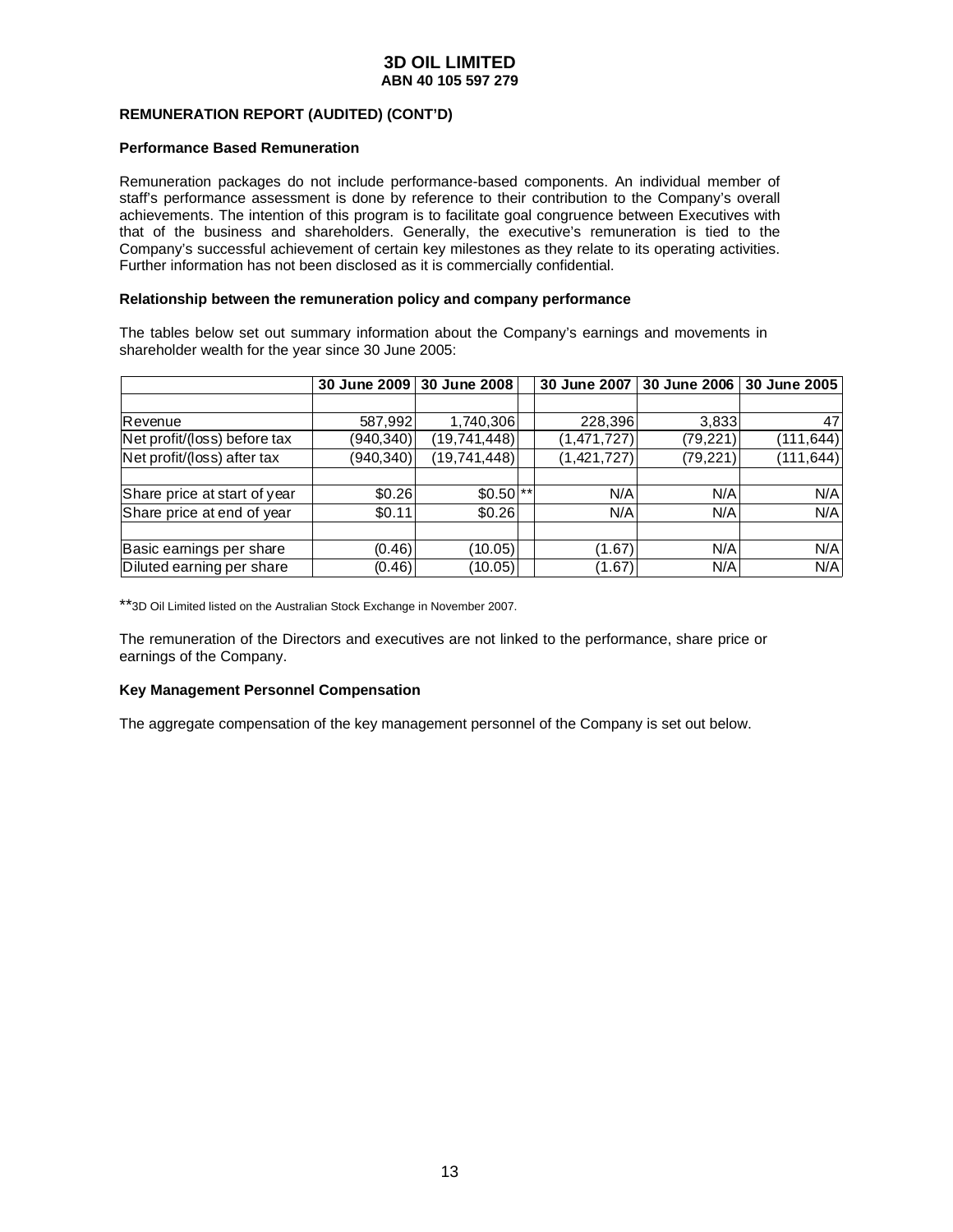### **REMUNERATION REPORT (AUDITED) (CONT'D)**

#### **Performance Based Remuneration**

Remuneration packages do not include performance-based components. An individual member of staff's performance assessment is done by reference to their contribution to the Company's overall achievements. The intention of this program is to facilitate goal congruence between Executives with that of the business and shareholders. Generally, the executive's remuneration is tied to the Company's successful achievement of certain key milestones as they relate to its operating activities. Further information has not been disclosed as it is commercially confidential.

#### **Relationship between the remuneration policy and company performance**

The tables below set out summary information about the Company's earnings and movements in shareholder wealth for the year since 30 June 2005:

|                              | 30 June 2009 | 30 June 2008          | 30 June 2007 | 30 June 2006 | 30 June 2005 |
|------------------------------|--------------|-----------------------|--------------|--------------|--------------|
|                              |              |                       |              |              |              |
| Revenue                      | 587,992      | 1,740,306             | 228,396      | 3,833        | 47           |
| Net profit/(loss) before tax | (940, 340)   | (19, 741, 448)        | (1,471,727)  | (79, 221)    | (111, 644)   |
| Net profit/(loss) after tax  | (940,340)    | (19,741,448)          | (1,421,727)  | (79, 221)    | (111, 644)   |
|                              |              |                       |              |              |              |
| Share price at start of year | \$0.26       | $$0.50$ <sup>**</sup> | N/A          | N/A          | N/A          |
| Share price at end of year   | \$0.11       | \$0.26                | N/A          | N/A          | N/A          |
|                              |              |                       |              |              |              |
| Basic earnings per share     | (0.46)       | (10.05)               | (1.67)       | N/A          | N/A          |
| Diluted earning per share    | (0.46)       | (10.05)               | (1.67)       | N/A          | N/A          |

\*\*3D Oil Limited listed on the Australian Stock Exchange in November 2007.

The remuneration of the Directors and executives are not linked to the performance, share price or earnings of the Company.

#### **Key Management Personnel Compensation**

The aggregate compensation of the key management personnel of the Company is set out below.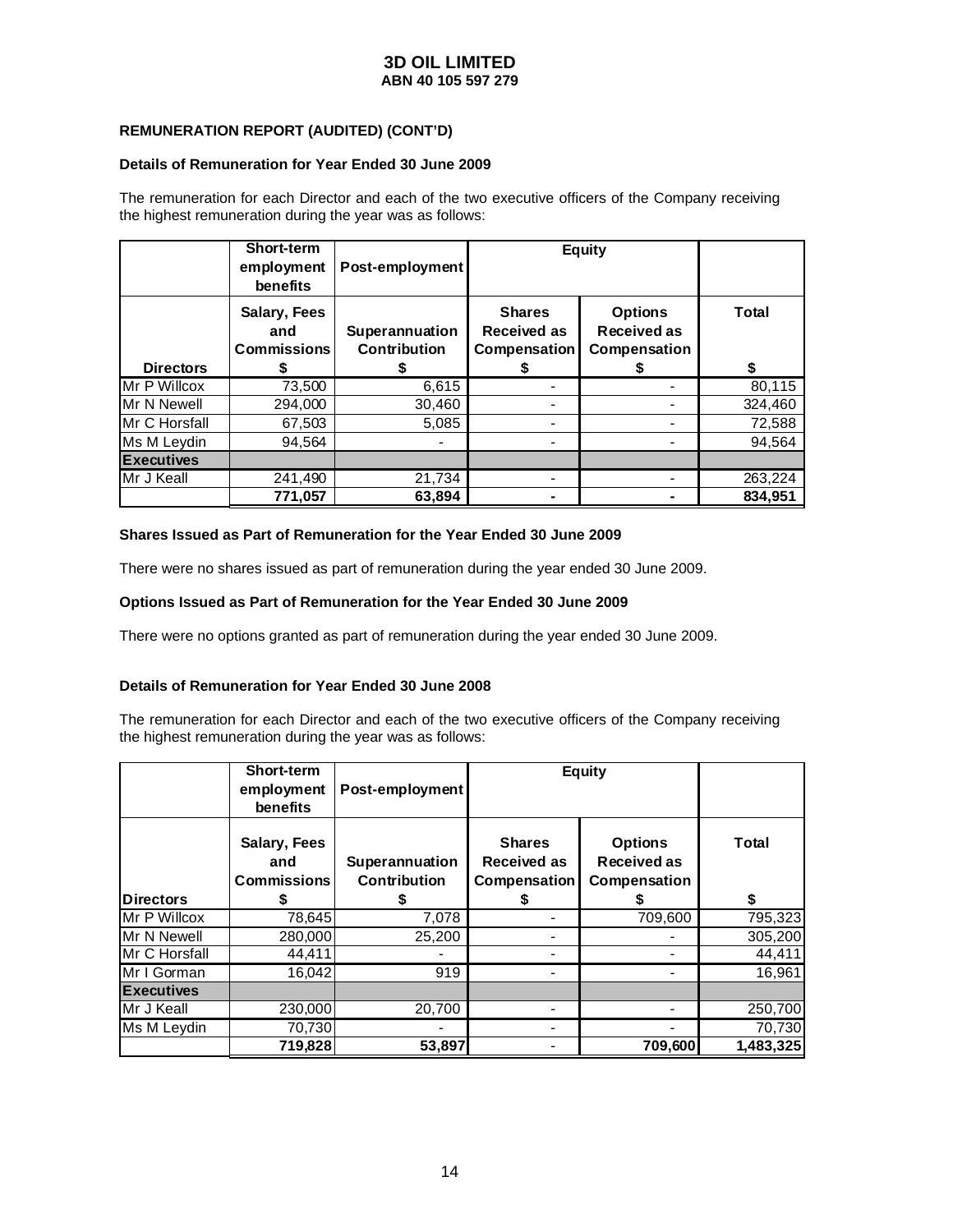### **REMUNERATION REPORT (AUDITED) (CONT'D)**

#### **Details of Remuneration for Year Ended 30 June 2009**

The remuneration for each Director and each of the two executive officers of the Company receiving the highest remuneration during the year was as follows:

|                      | <b>Short-term</b><br>employment<br>benefits | Post-employment                |                                                     | <b>Equity</b>                                 |         |
|----------------------|---------------------------------------------|--------------------------------|-----------------------------------------------------|-----------------------------------------------|---------|
| <b>Directors</b>     | Salary, Fees<br>and<br><b>Commissions</b>   | Superannuation<br>Contribution | <b>Shares</b><br><b>Received as</b><br>Compensation | <b>Options</b><br>Received as<br>Compensation | Total   |
| <b>IMr P Willcox</b> | 73,500                                      | 6,615                          |                                                     |                                               | 80,115  |
| Mr N Newell          | 294,000                                     | 30,460                         |                                                     |                                               | 324,460 |
| IMr C Horsfall       | 67,503                                      | 5,085                          |                                                     |                                               | 72,588  |
| Ms M Leydin          | 94.564                                      |                                |                                                     |                                               | 94.564  |
| <b>Executives</b>    |                                             |                                |                                                     |                                               |         |
| <b>IMr J Keall</b>   | 241,490                                     | 21,734                         |                                                     |                                               | 263,224 |
|                      | 771,057                                     | 63,894                         |                                                     |                                               | 834.951 |

#### **Shares Issued as Part of Remuneration for the Year Ended 30 June 2009**

There were no shares issued as part of remuneration during the year ended 30 June 2009.

### **Options Issued as Part of Remuneration for the Year Ended 30 June 2009**

There were no options granted as part of remuneration during the year ended 30 June 2009.

### **Details of Remuneration for Year Ended 30 June 2008**

The remuneration for each Director and each of the two executive officers of the Company receiving the highest remuneration during the year was as follows:

|                   | <b>Short-term</b><br>employment<br>benefits | Post-employment                |                                                     | <b>Equity</b>                                 |              |
|-------------------|---------------------------------------------|--------------------------------|-----------------------------------------------------|-----------------------------------------------|--------------|
|                   | Salary, Fees<br>and<br><b>Commissions</b>   | Superannuation<br>Contribution | <b>Shares</b><br><b>Received as</b><br>Compensation | <b>Options</b><br>Received as<br>Compensation | <b>Total</b> |
| <b>Directors</b>  |                                             |                                |                                                     |                                               | \$           |
| IMr P Willcox     | 78,645                                      | 7,078                          |                                                     | 709,600                                       | 795,323      |
| Mr N Newell       | 280,000                                     | 25,200                         |                                                     |                                               | 305,200      |
| Mr C Horsfall     | 44,411                                      |                                |                                                     |                                               | 44,411       |
| Mr I Gorman       | 16,042                                      | 919                            |                                                     |                                               | 16,961       |
| <b>Executives</b> |                                             |                                |                                                     |                                               |              |
| IMr J Keall       | 230,000                                     | 20,700                         |                                                     |                                               | 250,700      |
| Ms M Leydin       | 70,730                                      |                                |                                                     |                                               | 70,730       |
|                   | 719,828                                     | 53,897                         |                                                     | 709,600                                       | 1,483,325    |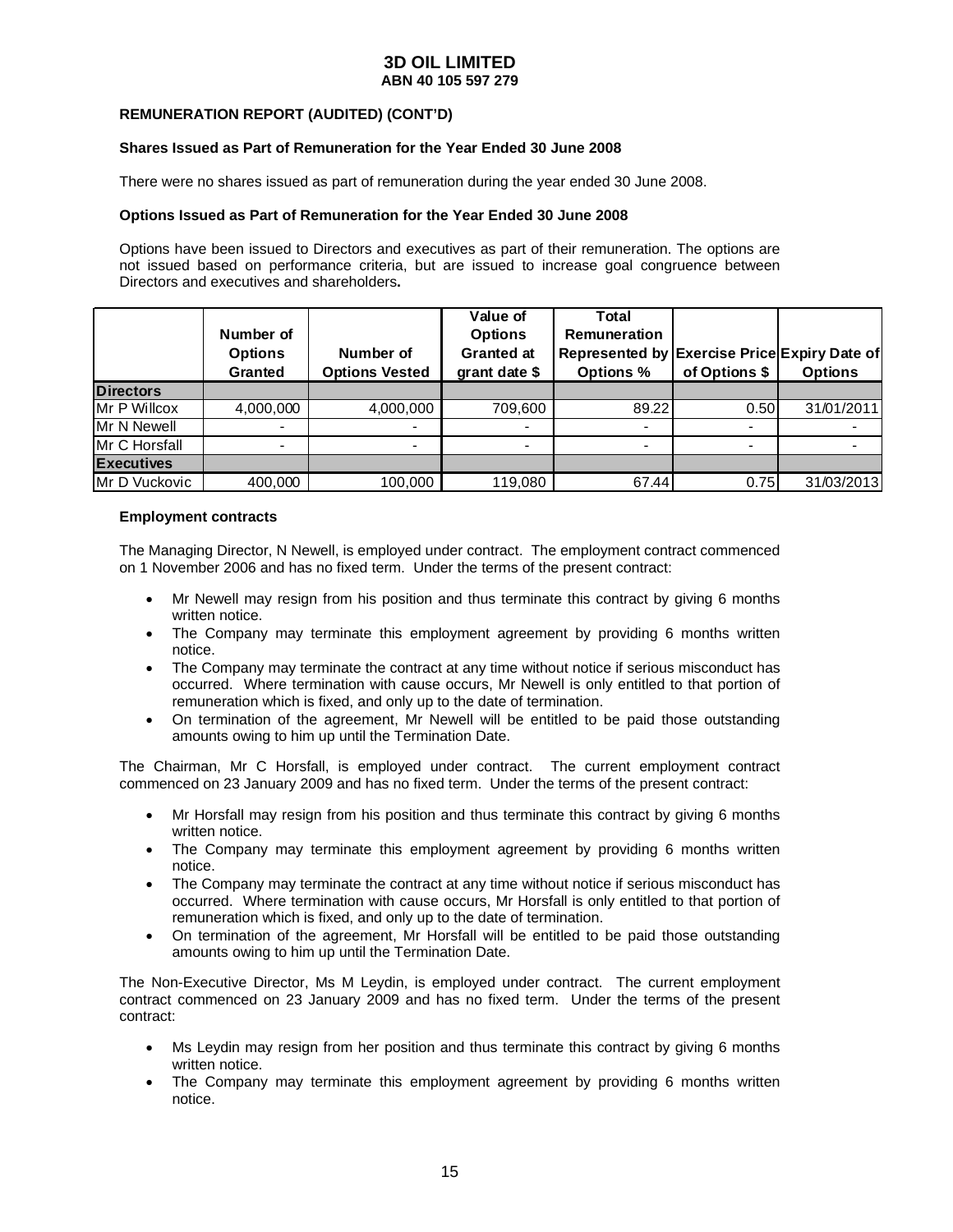#### **REMUNERATION REPORT (AUDITED) (CONT'D)**

#### **Shares Issued as Part of Remuneration for the Year Ended 30 June 2008**

There were no shares issued as part of remuneration during the year ended 30 June 2008.

#### **Options Issued as Part of Remuneration for the Year Ended 30 June 2008**

Options have been issued to Directors and executives as part of their remuneration. The options are not issued based on performance criteria, but are issued to increase goal congruence between Directors and executives and shareholders**.** 

|                       | Number of<br><b>Options</b><br><b>Granted</b> | Number of<br><b>Options Vested</b> | Value of<br><b>Options</b><br><b>Granted at</b><br>grant date \$ | Total<br><b>Remuneration</b><br>Represented by Exercise Price Expiry Date of<br><b>Options %</b> | of Options \$ | <b>Options</b> |
|-----------------------|-----------------------------------------------|------------------------------------|------------------------------------------------------------------|--------------------------------------------------------------------------------------------------|---------------|----------------|
| <b>Directors</b>      |                                               |                                    |                                                                  |                                                                                                  |               |                |
| Mr P Willcox          | 4,000,000                                     | 4,000,000                          | 709,600                                                          | 89.22                                                                                            | 0.50          | 31/01/2011     |
| Mr N Newell           |                                               |                                    | $\overline{\phantom{0}}$                                         | ٠                                                                                                |               |                |
| Mr C Horsfall         |                                               |                                    |                                                                  | ٠                                                                                                |               |                |
| <b>Executives</b>     |                                               |                                    |                                                                  |                                                                                                  |               |                |
| <b>IMr D Vuckovic</b> | 400,000                                       | 100,000                            | 119,080                                                          | 67.44                                                                                            | 0.75          | 31/03/2013     |

#### **Employment contracts**

The Managing Director, N Newell, is employed under contract. The employment contract commenced on 1 November 2006 and has no fixed term. Under the terms of the present contract:

- Mr Newell may resign from his position and thus terminate this contract by giving 6 months written notice.
- The Company may terminate this employment agreement by providing 6 months written notice.
- The Company may terminate the contract at any time without notice if serious misconduct has occurred. Where termination with cause occurs, Mr Newell is only entitled to that portion of remuneration which is fixed, and only up to the date of termination.
- On termination of the agreement, Mr Newell will be entitled to be paid those outstanding amounts owing to him up until the Termination Date.

The Chairman, Mr C Horsfall, is employed under contract. The current employment contract commenced on 23 January 2009 and has no fixed term. Under the terms of the present contract:

- Mr Horsfall may resign from his position and thus terminate this contract by giving 6 months written notice.
- The Company may terminate this employment agreement by providing 6 months written notice.
- The Company may terminate the contract at any time without notice if serious misconduct has occurred. Where termination with cause occurs, Mr Horsfall is only entitled to that portion of remuneration which is fixed, and only up to the date of termination.
- On termination of the agreement, Mr Horsfall will be entitled to be paid those outstanding amounts owing to him up until the Termination Date.

The Non-Executive Director, Ms M Leydin, is employed under contract. The current employment contract commenced on 23 January 2009 and has no fixed term. Under the terms of the present contract:

- Ms Leydin may resign from her position and thus terminate this contract by giving 6 months written notice.
- The Company may terminate this employment agreement by providing 6 months written notice.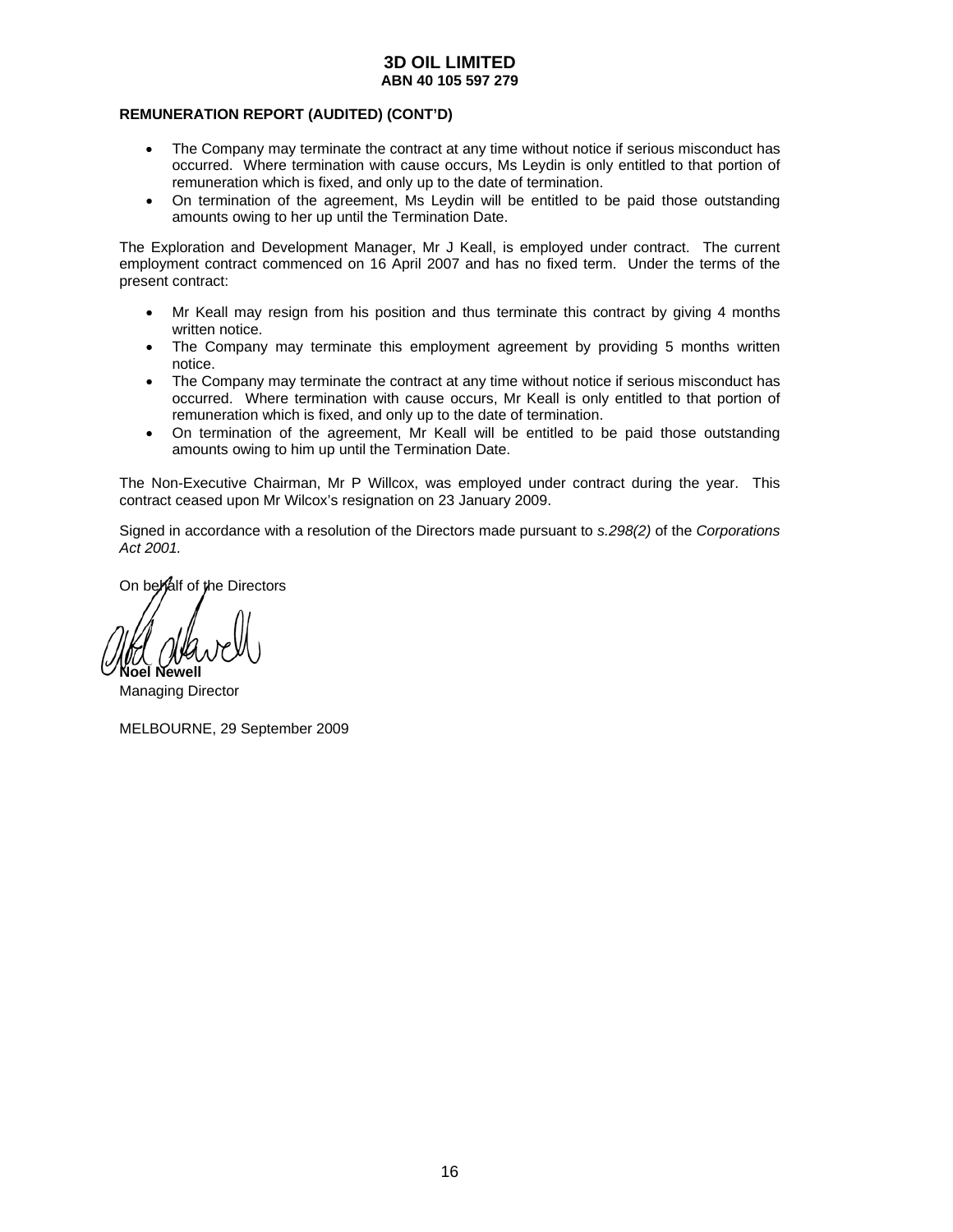#### **REMUNERATION REPORT (AUDITED) (CONT'D)**

- The Company may terminate the contract at any time without notice if serious misconduct has occurred. Where termination with cause occurs, Ms Leydin is only entitled to that portion of remuneration which is fixed, and only up to the date of termination.
- On termination of the agreement, Ms Leydin will be entitled to be paid those outstanding amounts owing to her up until the Termination Date.

The Exploration and Development Manager, Mr J Keall, is employed under contract. The current employment contract commenced on 16 April 2007 and has no fixed term. Under the terms of the present contract:

- Mr Keall may resign from his position and thus terminate this contract by giving 4 months written notice.
- The Company may terminate this employment agreement by providing 5 months written notice.
- The Company may terminate the contract at any time without notice if serious misconduct has occurred. Where termination with cause occurs, Mr Keall is only entitled to that portion of remuneration which is fixed, and only up to the date of termination.
- On termination of the agreement, Mr Keall will be entitled to be paid those outstanding amounts owing to him up until the Termination Date.

The Non-Executive Chairman, Mr P Willcox, was employed under contract during the year. This contract ceased upon Mr Wilcox's resignation on 23 January 2009.

Signed in accordance with a resolution of the Directors made pursuant to *s.298(2)* of the *Corporations Act 2001.* 

On behalf of the Directors

**Noel Newell** 

Managing Director

MELBOURNE, 29 September 2009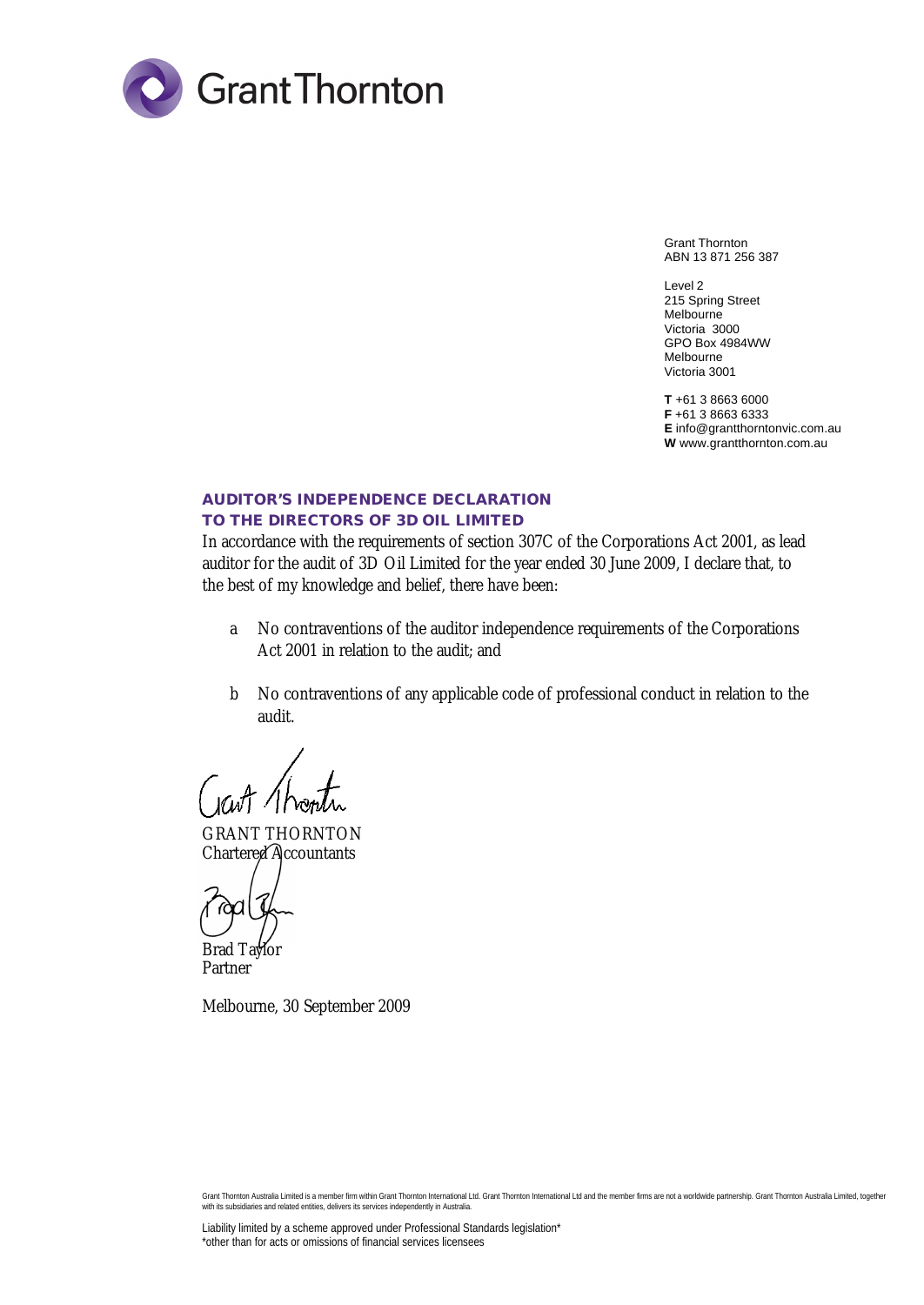

Grant Thornton ABN 13 871 256 387

Level 2 215 Spring Street Melbourne Victoria 3000 GPO Box 4984WW Melbourne Victoria 3001

**T** +61 3 8663 6000 **F** +61 3 8663 6333 **E** info@grantthorntonvic.com.au **W** www.grantthornton.com.au

### **AUDITOR'S INDEPENDENCE DECLARATION TO THE DIRECTORS OF 3D OIL LIMITED**

In accordance with the requirements of section 307C of the Corporations Act 2001, as lead auditor for the audit of 3D Oil Limited for the year ended 30 June 2009, I declare that, to the best of my knowledge and belief, there have been:

- a No contraventions of the auditor independence requirements of the Corporations Act 2001 in relation to the audit; and
- b No contraventions of any applicable code of professional conduct in relation to the audit.

GRANT THORNTON Chartered Accountants

Brad Taylor Partner

Melbourne, 30 September 2009

Grant Thornton Australia Limited is a member firm within Grant Thornton International Ltd. Grant Thornton International Ltd and the member firms are not a worldwide partnership. Grant Thornton Australia Limited, together with its subsidiaries and related entities, delivers its services independently in Australia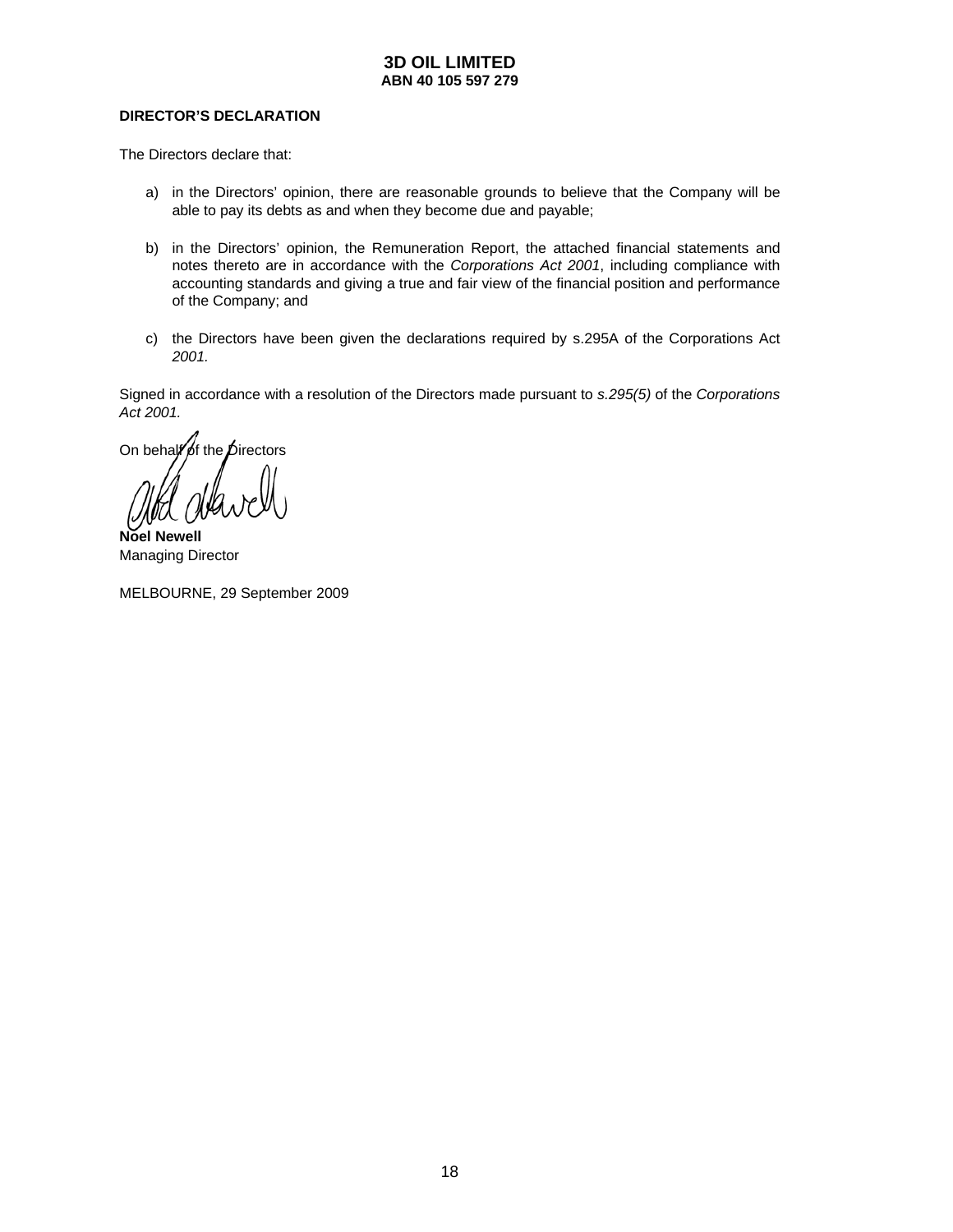### **DIRECTOR'S DECLARATION**

The Directors declare that:

- a) in the Directors' opinion, there are reasonable grounds to believe that the Company will be able to pay its debts as and when they become due and payable;
- b) in the Directors' opinion, the Remuneration Report, the attached financial statements and notes thereto are in accordance with the *Corporations Act 2001*, including compliance with accounting standards and giving a true and fair view of the financial position and performance of the Company; and
- c) the Directors have been given the declarations required by s.295A of the Corporations Act *2001.*

Signed in accordance with a resolution of the Directors made pursuant to *s.295(5)* of the *Corporations Act 2001.* 

On behalf of the  $\vec{D}$ irectors

**Noel Newell**  Managing Director

MELBOURNE, 29 September 2009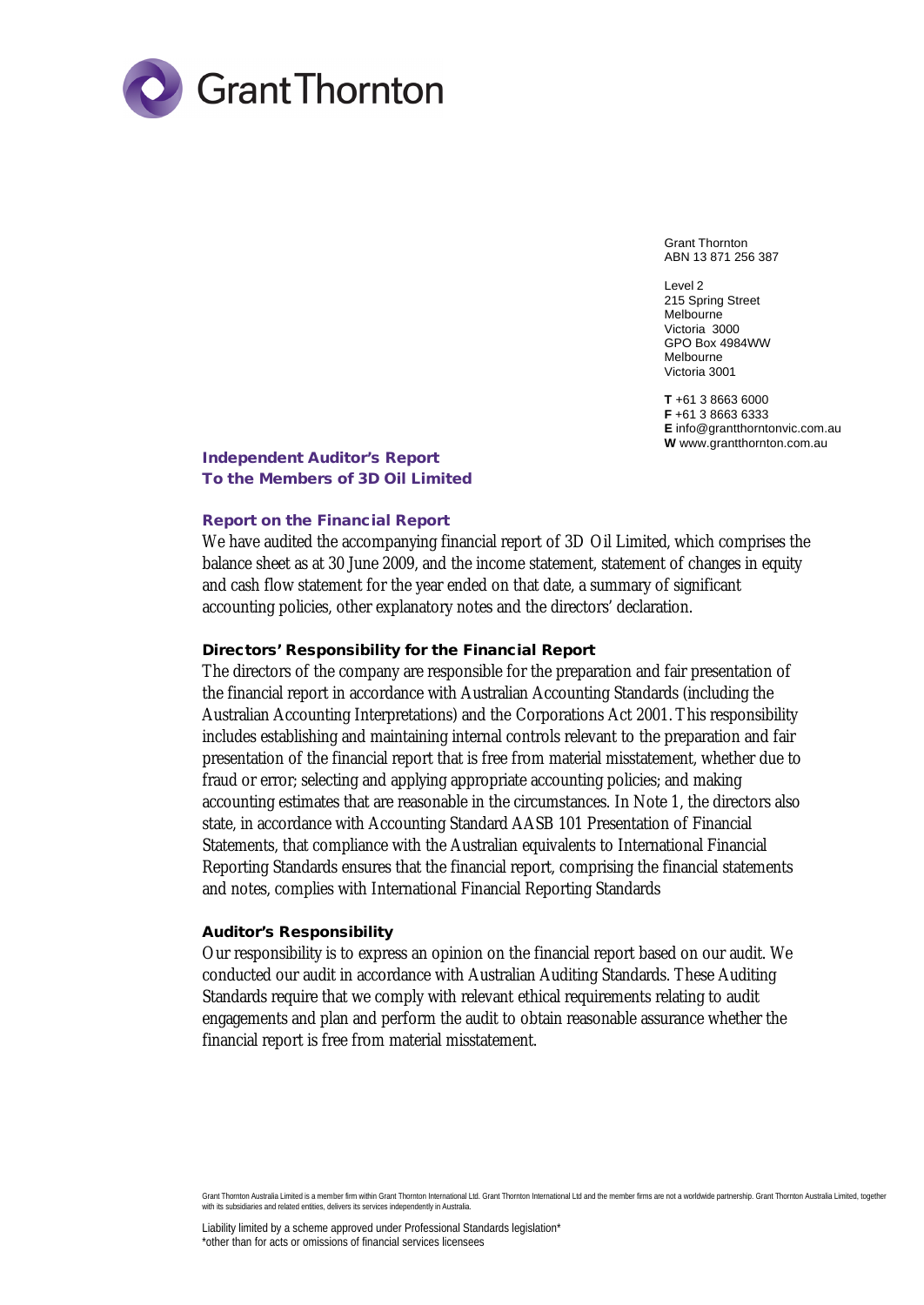

Grant Thornton ABN 13 871 256 387

Level 2 215 Spring Street Melbourne Victoria 3000 GPO Box 4984WW Melbourne Victoria 3001

**T** +61 3 8663 6000 **F** +61 3 8663 6333 **E** info@grantthorntonvic.com.au **W** www.grantthornton.com.au

**Independent Auditor's Report To the Members of 3D Oil Limited**

### **Report on the Financial Report**

We have audited the accompanying financial report of 3D Oil Limited, which comprises the balance sheet as at 30 June 2009, and the income statement, statement of changes in equity and cash flow statement for the year ended on that date, a summary of significant accounting policies, other explanatory notes and the directors' declaration.

**Directors' Responsibility for the Financial Report**

The directors of the company are responsible for the preparation and fair presentation of the financial report in accordance with Australian Accounting Standards (including the Australian Accounting Interpretations) and the Corporations Act 2001. This responsibility includes establishing and maintaining internal controls relevant to the preparation and fair presentation of the financial report that is free from material misstatement, whether due to fraud or error; selecting and applying appropriate accounting policies; and making accounting estimates that are reasonable in the circumstances. In Note 1, the directors also state, in accordance with Accounting Standard AASB 101 Presentation of Financial Statements, that compliance with the Australian equivalents to International Financial Reporting Standards ensures that the financial report, comprising the financial statements and notes, complies with International Financial Reporting Standards

### **Auditor's Responsibility**

Our responsibility is to express an opinion on the financial report based on our audit. We conducted our audit in accordance with Australian Auditing Standards. These Auditing Standards require that we comply with relevant ethical requirements relating to audit engagements and plan and perform the audit to obtain reasonable assurance whether the financial report is free from material misstatement.

Grant Thornton Australia Limited is a member firm within Grant Thornton International Ltd. Grant Thornton International Ltd and the member firms are not a worldwide partnership. Grant Thornton Australia Limited, together with its subsidiaries and related entities, delivers its services independently in Australia.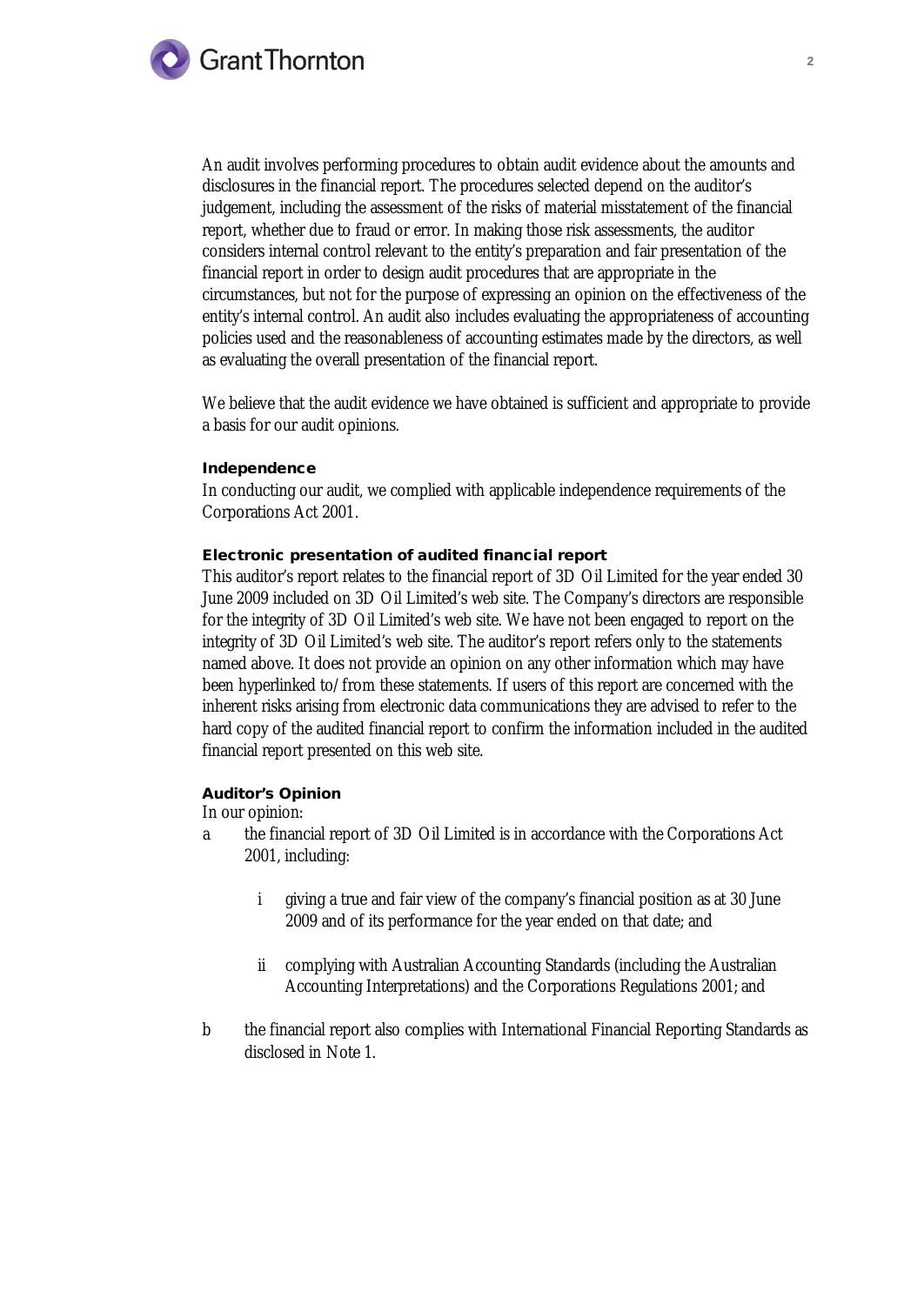

An audit involves performing procedures to obtain audit evidence about the amounts and disclosures in the financial report. The procedures selected depend on the auditor's judgement, including the assessment of the risks of material misstatement of the financial report, whether due to fraud or error. In making those risk assessments, the auditor considers internal control relevant to the entity's preparation and fair presentation of the financial report in order to design audit procedures that are appropriate in the circumstances, but not for the purpose of expressing an opinion on the effectiveness of the entity's internal control. An audit also includes evaluating the appropriateness of accounting policies used and the reasonableness of accounting estimates made by the directors, as well as evaluating the overall presentation of the financial report.

We believe that the audit evidence we have obtained is sufficient and appropriate to provide a basis for our audit opinions.

### **Independence**

In conducting our audit, we complied with applicable independence requirements of the Corporations Act 2001.

**Electronic presentation of audited financial report** 

This auditor's report relates to the financial report of 3D Oil Limited for the year ended 30 June 2009 included on 3D Oil Limited's web site. The Company's directors are responsible for the integrity of 3D Oil Limited's web site. We have not been engaged to report on the integrity of 3D Oil Limited's web site. The auditor's report refers only to the statements named above. It does not provide an opinion on any other information which may have been hyperlinked to/from these statements. If users of this report are concerned with the inherent risks arising from electronic data communications they are advised to refer to the hard copy of the audited financial report to confirm the information included in the audited financial report presented on this web site.

# **Auditor's Opinion**

In our opinion:

- a the financial report of 3D Oil Limited is in accordance with the Corporations Act 2001, including:
	- i giving a true and fair view of the company's financial position as at 30 June 2009 and of its performance for the year ended on that date; and
	- ii complying with Australian Accounting Standards (including the Australian Accounting Interpretations) and the Corporations Regulations 2001; and
- b the financial report also complies with International Financial Reporting Standards as disclosed in Note 1.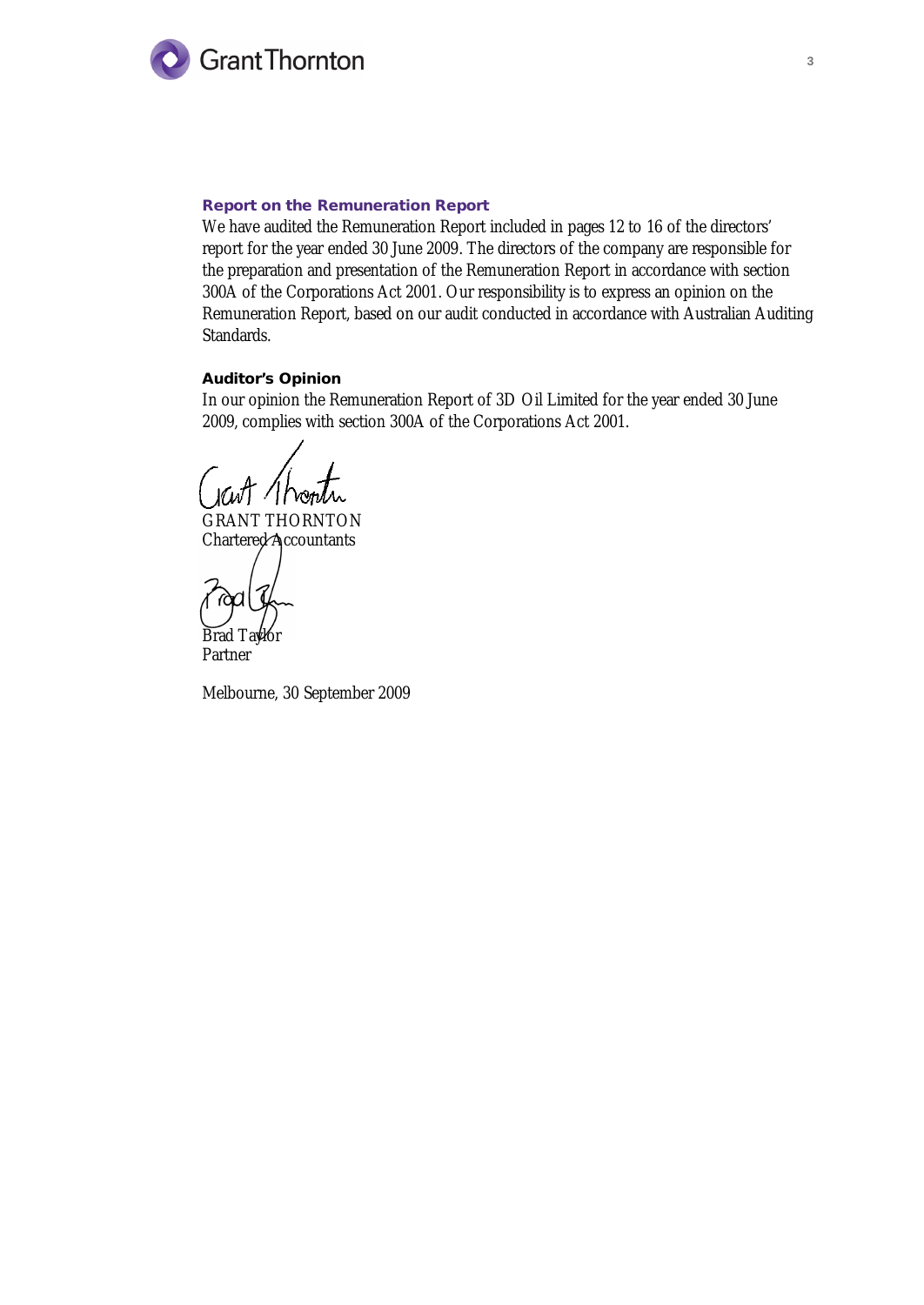

### **Report on the Remuneration Report**

We have audited the Remuneration Report included in pages 12 to 16 of the directors' report for the year ended 30 June 2009. The directors of the company are responsible for the preparation and presentation of the Remuneration Report in accordance with section 300A of the Corporations Act 2001. Our responsibility is to express an opinion on the Remuneration Report, based on our audit conducted in accordance with Australian Auditing Standards.

**Auditor's Opinion**

In our opinion the Remuneration Report of 3D Oil Limited for the year ended 30 June 2009, complies with section 300A of the Corporations Act 2001.

GRANT THORNTON Chartered Accountants

Brad Taylor Partner

Melbourne, 30 September 2009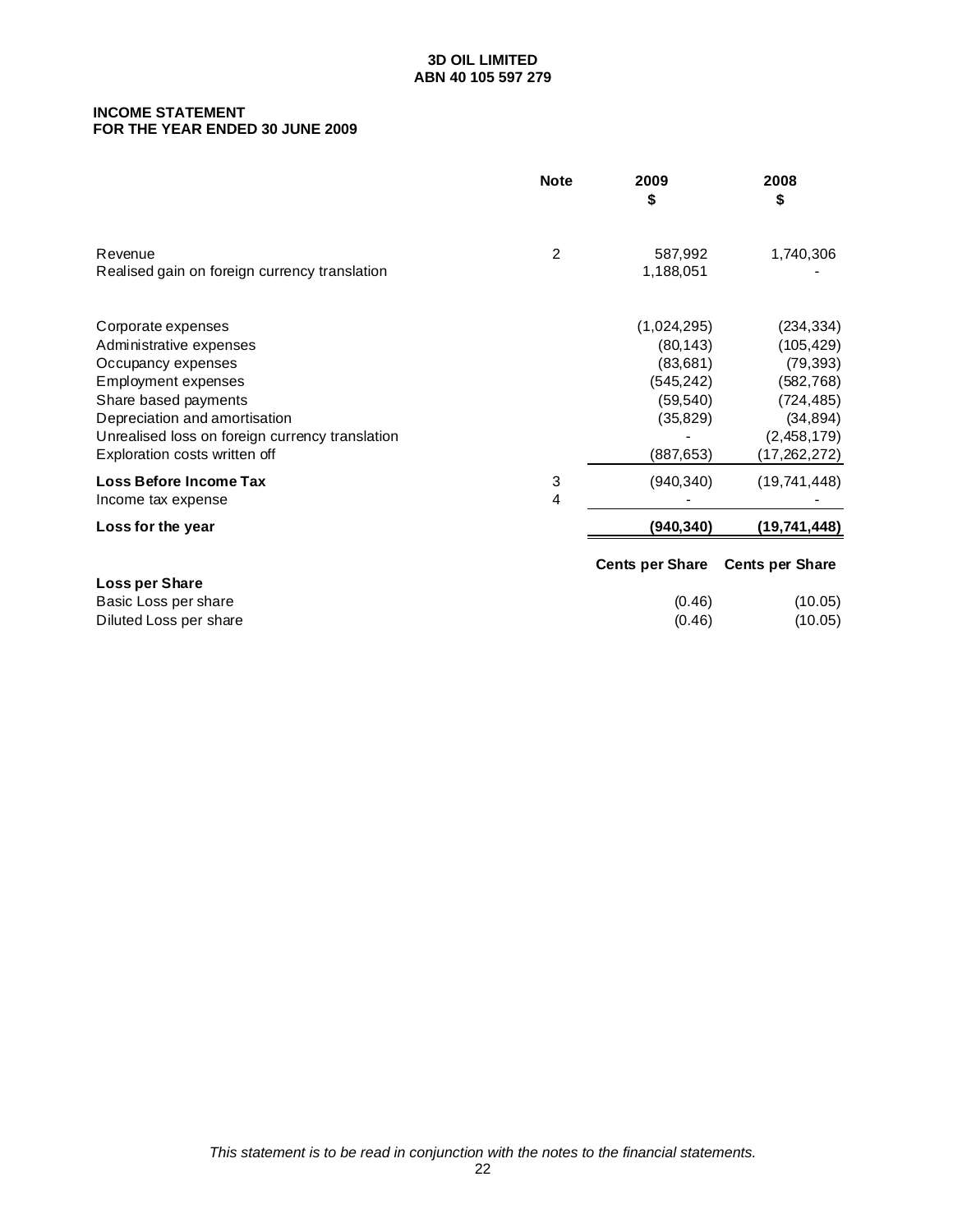#### **INCOME STATEMENT FOR THE YEAR ENDED 30 JUNE 2009**

|                                                                                                                                                                                                                                         | <b>Note</b> | 2009<br>\$                                                                                 | 2008<br>\$                                                                                                    |
|-----------------------------------------------------------------------------------------------------------------------------------------------------------------------------------------------------------------------------------------|-------------|--------------------------------------------------------------------------------------------|---------------------------------------------------------------------------------------------------------------|
| Revenue<br>Realised gain on foreign currency translation                                                                                                                                                                                | 2           | 587,992<br>1,188,051                                                                       | 1,740,306                                                                                                     |
| Corporate expenses<br>Administrative expenses<br>Occupancy expenses<br>Employment expenses<br>Share based payments<br>Depreciation and amortisation<br>Unrealised loss on foreign currency translation<br>Exploration costs written off |             | (1,024,295)<br>(80, 143)<br>(83, 681)<br>(545, 242)<br>(59, 540)<br>(35, 829)<br>(887,653) | (234, 334)<br>(105, 429)<br>(79, 393)<br>(582, 768)<br>(724, 485)<br>(34, 894)<br>(2,458,179)<br>(17,262,272) |
| Loss Before Income Tax<br>Income tax expense                                                                                                                                                                                            | 3<br>4      | (940, 340)                                                                                 | (19, 741, 448)                                                                                                |
| Loss for the year                                                                                                                                                                                                                       |             | (940, 340)                                                                                 | (19,741,448)                                                                                                  |
| Loss per Share<br>Basic Loss per share<br>Diluted Loss per share                                                                                                                                                                        |             | <b>Cents per Share</b><br>(0.46)<br>(0.46)                                                 | <b>Cents per Share</b><br>(10.05)<br>(10.05)                                                                  |
|                                                                                                                                                                                                                                         |             |                                                                                            |                                                                                                               |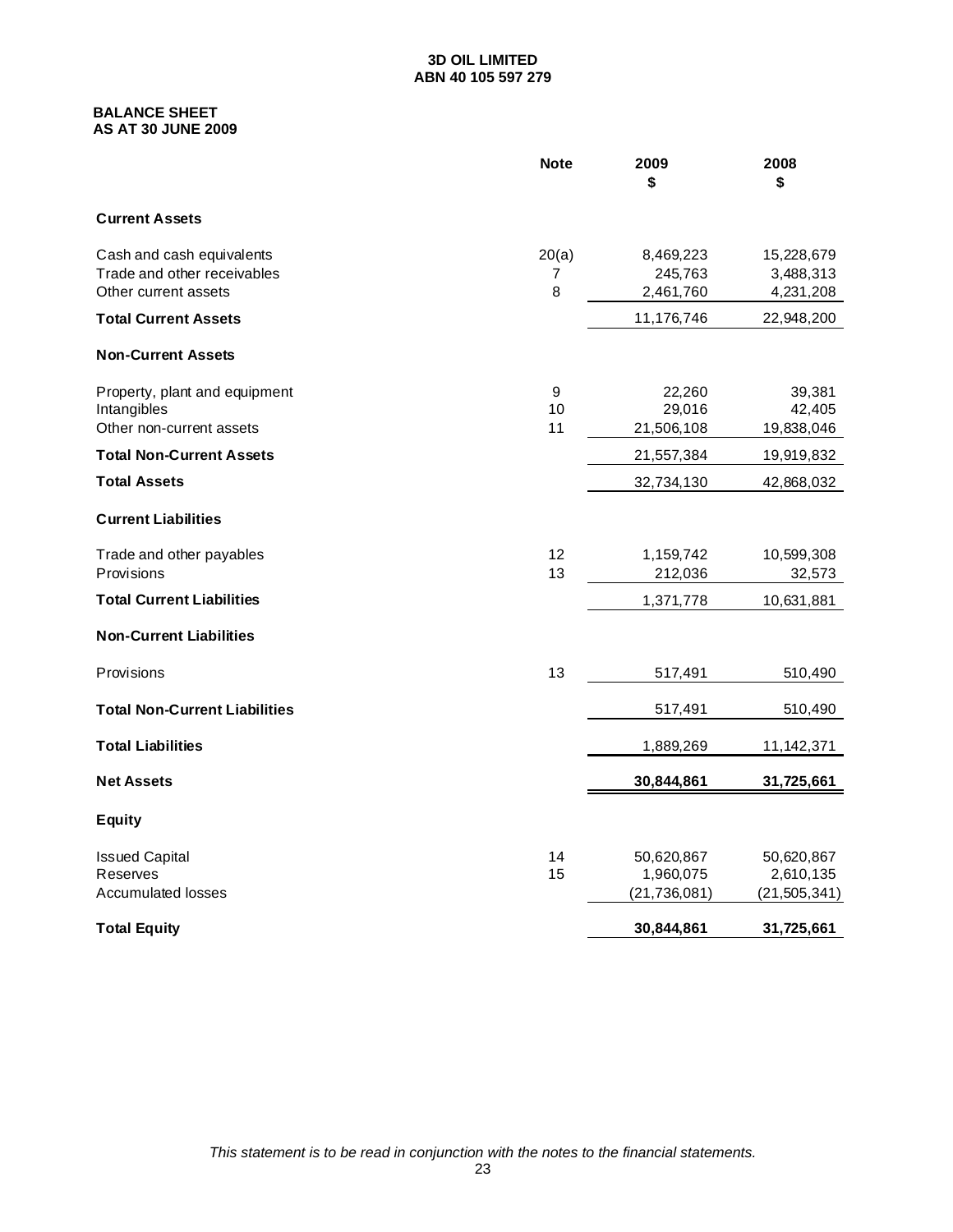### **BALANCE SHEET AS AT 30 JUNE 2009**

|                                                                                  | <b>Note</b>     | 2009<br>\$                                | 2008<br>\$                                |
|----------------------------------------------------------------------------------|-----------------|-------------------------------------------|-------------------------------------------|
| <b>Current Assets</b>                                                            |                 |                                           |                                           |
| Cash and cash equivalents<br>Trade and other receivables<br>Other current assets | 20(a)<br>7<br>8 | 8,469,223<br>245,763<br>2,461,760         | 15,228,679<br>3,488,313<br>4,231,208      |
| <b>Total Current Assets</b>                                                      |                 | 11,176,746                                | 22,948,200                                |
| <b>Non-Current Assets</b>                                                        |                 |                                           |                                           |
| Property, plant and equipment<br>Intangibles<br>Other non-current assets         | 9<br>10<br>11   | 22,260<br>29,016<br>21,506,108            | 39,381<br>42,405<br>19,838,046            |
| <b>Total Non-Current Assets</b>                                                  |                 | 21,557,384                                | 19,919,832                                |
| <b>Total Assets</b>                                                              |                 | 32,734,130                                | 42,868,032                                |
| <b>Current Liabilities</b>                                                       |                 |                                           |                                           |
| Trade and other payables<br>Provisions                                           | 12<br>13        | 1,159,742<br>212,036                      | 10,599,308<br>32,573                      |
| <b>Total Current Liabilities</b>                                                 |                 | 1,371,778                                 | 10,631,881                                |
| <b>Non-Current Liabilities</b>                                                   |                 |                                           |                                           |
| Provisions                                                                       | 13              | 517,491                                   | 510,490                                   |
| <b>Total Non-Current Liabilities</b>                                             |                 | 517,491                                   | 510,490                                   |
| <b>Total Liabilities</b>                                                         |                 | 1,889,269                                 | 11,142,371                                |
| <b>Net Assets</b>                                                                |                 | 30,844,861                                | 31,725,661                                |
| <b>Equity</b>                                                                    |                 |                                           |                                           |
| <b>Issued Capital</b><br>Reserves<br><b>Accumulated losses</b>                   | 14<br>15        | 50,620,867<br>1,960,075<br>(21, 736, 081) | 50,620,867<br>2,610,135<br>(21, 505, 341) |
| <b>Total Equity</b>                                                              |                 | 30,844,861                                | 31,725,661                                |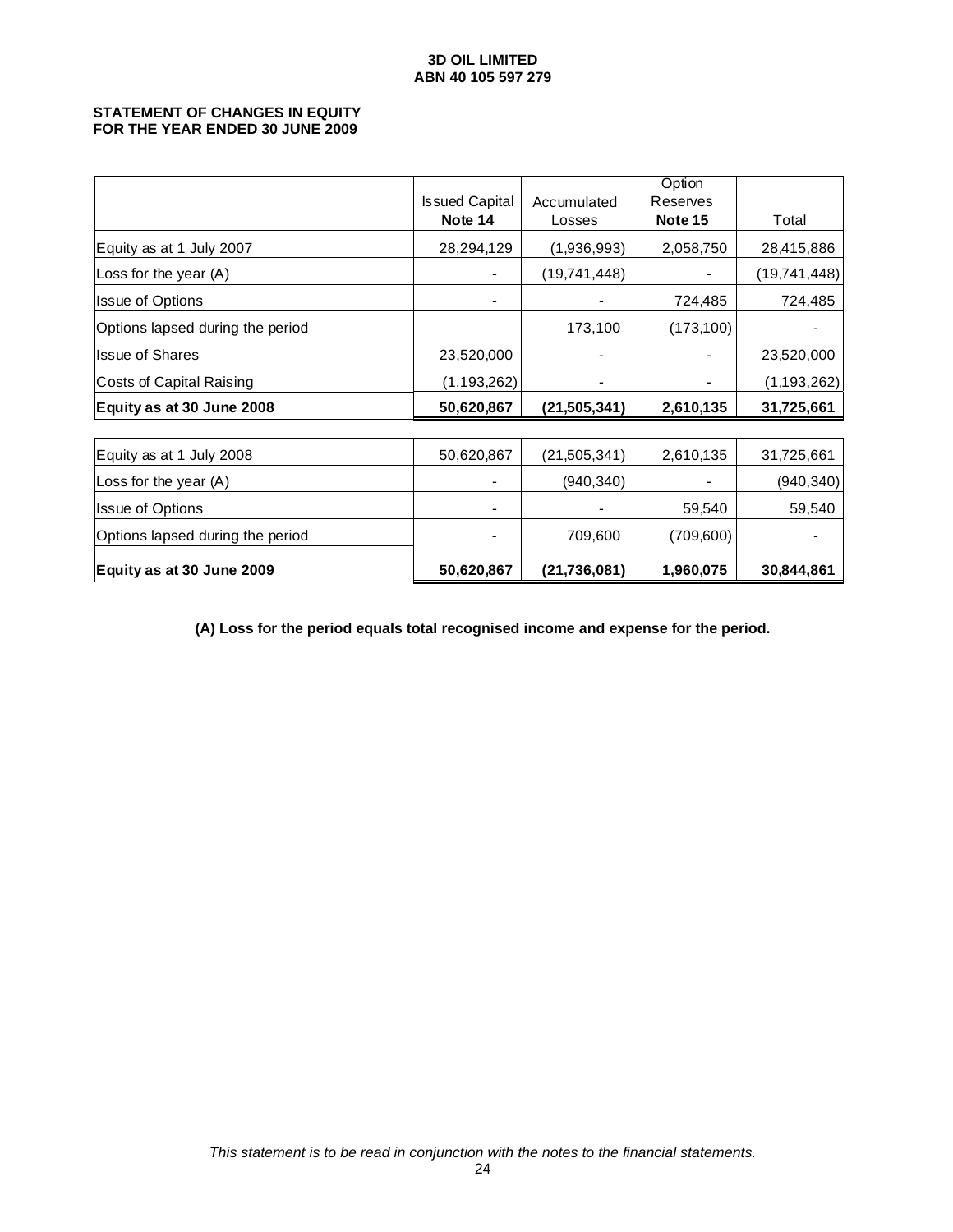#### **STATEMENT OF CHANGES IN EQUITY FOR THE YEAR ENDED 30 JUNE 2009**

|                                  |                       |                | Option     |              |
|----------------------------------|-----------------------|----------------|------------|--------------|
|                                  | <b>Issued Capital</b> | Accumulated    | Reserves   |              |
|                                  | Note 14               | Losses         | Note 15    | Total        |
| Equity as at 1 July 2007         | 28,294,129            | (1,936,993)    | 2,058,750  | 28,415,886   |
| Loss for the year (A)            |                       | (19,741,448)   |            | (19,741,448) |
| Issue of Options                 |                       |                | 724,485    | 724,485      |
| Options lapsed during the period |                       | 173,100        | (173, 100) |              |
| Issue of Shares                  | 23,520,000            |                |            | 23,520,000   |
| Costs of Capital Raising         | (1, 193, 262)         |                |            | (1,193,262)  |
| Equity as at 30 June 2008        | 50,620,867            | (21,505,341)   | 2,610,135  | 31,725,661   |
|                                  |                       |                |            |              |
| Equity as at 1 July 2008         | 50,620,867            | (21,505,341)   | 2,610,135  | 31,725,661   |
| Loss for the year (A)            |                       | (940, 340)     |            | (940, 340)   |
| Issue of Options                 |                       |                | 59,540     | 59,540       |
| Options lapsed during the period |                       | 709,600        | (709,600)  |              |
| Equity as at 30 June 2009        | 50,620,867            | (21, 736, 081) | 1,960,075  | 30,844,861   |

**(A) Loss for the period equals total recognised income and expense for the period.**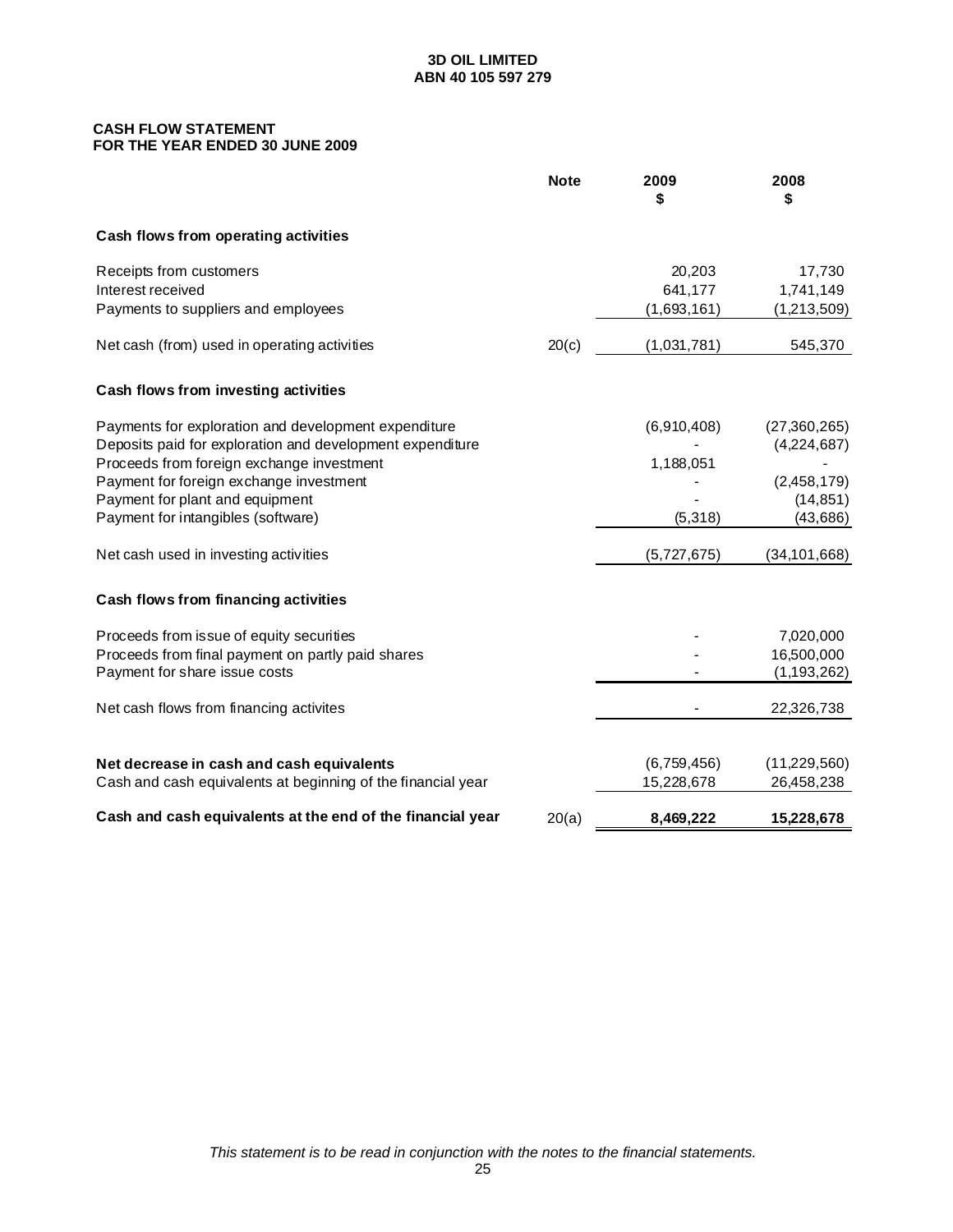### **CASH FLOW STATEMENT FOR THE YEAR ENDED 30 JUNE 2009**

|                                                                                                                   | <b>Note</b> | 2009<br>\$        | 2008<br>\$                    |
|-------------------------------------------------------------------------------------------------------------------|-------------|-------------------|-------------------------------|
| Cash flows from operating activities                                                                              |             |                   |                               |
| Receipts from customers<br>Interest received                                                                      |             | 20,203<br>641,177 | 17,730<br>1,741,149           |
| Payments to suppliers and employees                                                                               |             | (1,693,161)       | (1,213,509)                   |
| Net cash (from) used in operating activities                                                                      | 20(c)       | (1,031,781)       | 545,370                       |
| Cash flows from investing activities                                                                              |             |                   |                               |
| Payments for exploration and development expenditure<br>Deposits paid for exploration and development expenditure |             | (6,910,408)       | (27, 360, 265)<br>(4,224,687) |
| Proceeds from foreign exchange investment                                                                         |             | 1,188,051         |                               |
| Payment for foreign exchange investment                                                                           |             |                   | (2,458,179)                   |
| Payment for plant and equipment<br>Payment for intangibles (software)                                             |             | (5, 318)          | (14, 851)<br>(43, 686)        |
| Net cash used in investing activities                                                                             |             | (5,727,675)       | (34, 101, 668)                |
| Cash flows from financing activities                                                                              |             |                   |                               |
| Proceeds from issue of equity securities                                                                          |             |                   | 7,020,000                     |
| Proceeds from final payment on partly paid shares<br>Payment for share issue costs                                |             |                   | 16,500,000<br>(1, 193, 262)   |
| Net cash flows from financing activites                                                                           |             |                   | 22,326,738                    |
| Net decrease in cash and cash equivalents                                                                         |             | (6,759,456)       | (11, 229, 560)                |
| Cash and cash equivalents at beginning of the financial year                                                      |             | 15,228,678        | 26,458,238                    |
| Cash and cash equivalents at the end of the financial year                                                        | 20(a)       | 8,469,222         | 15,228,678                    |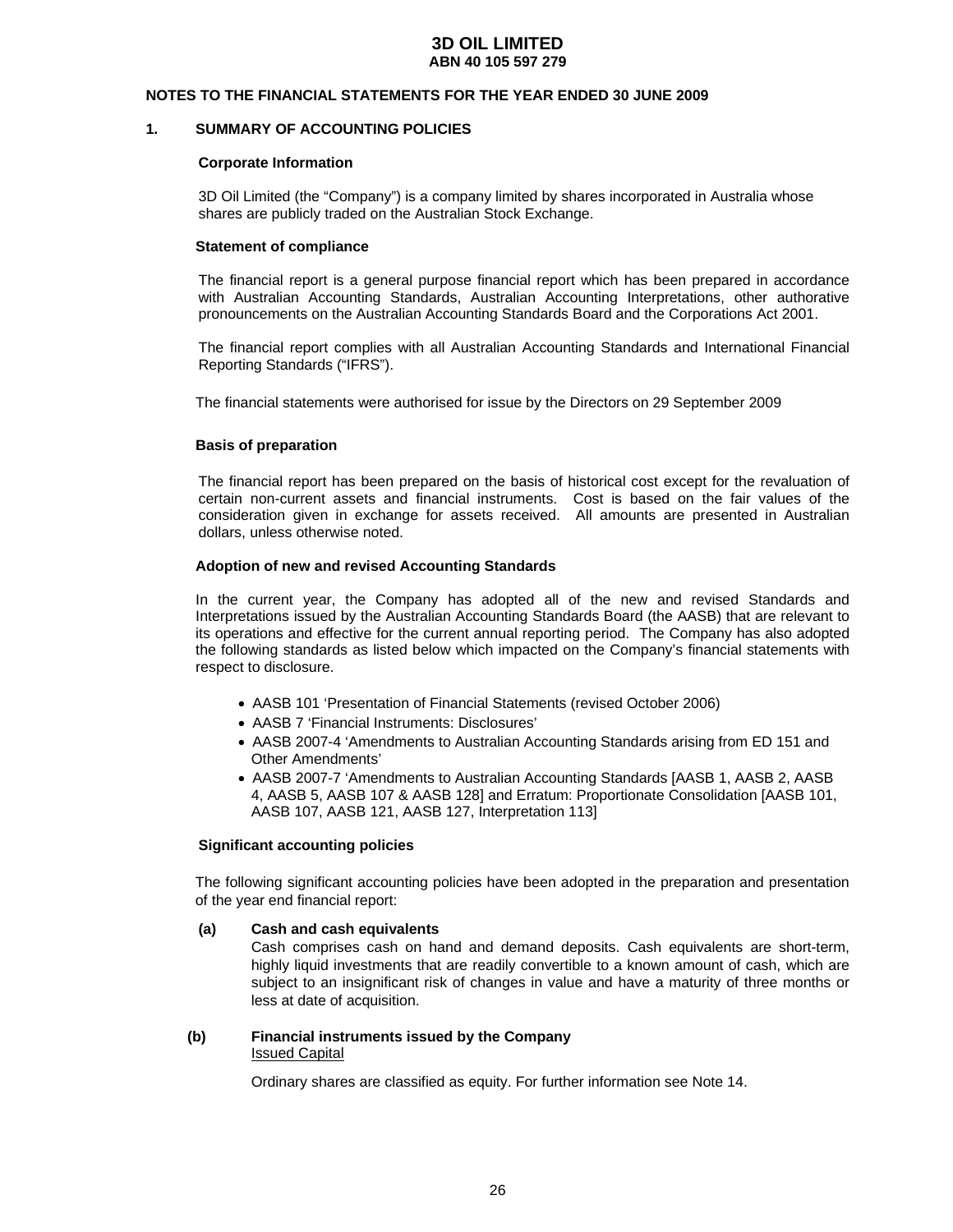#### **NOTES TO THE FINANCIAL STATEMENTS FOR THE YEAR ENDED 30 JUNE 2009**

### **1. SUMMARY OF ACCOUNTING POLICIES**

#### **Corporate Information**

3D Oil Limited (the "Company") is a company limited by shares incorporated in Australia whose shares are publicly traded on the Australian Stock Exchange.

#### **Statement of compliance**

The financial report is a general purpose financial report which has been prepared in accordance with Australian Accounting Standards, Australian Accounting Interpretations, other authorative pronouncements on the Australian Accounting Standards Board and the Corporations Act 2001.

The financial report complies with all Australian Accounting Standards and International Financial Reporting Standards ("IFRS").

The financial statements were authorised for issue by the Directors on 29 September 2009

### **Basis of preparation**

The financial report has been prepared on the basis of historical cost except for the revaluation of certain non-current assets and financial instruments. Cost is based on the fair values of the consideration given in exchange for assets received. All amounts are presented in Australian dollars, unless otherwise noted.

#### **Adoption of new and revised Accounting Standards**

In the current year, the Company has adopted all of the new and revised Standards and Interpretations issued by the Australian Accounting Standards Board (the AASB) that are relevant to its operations and effective for the current annual reporting period. The Company has also adopted the following standards as listed below which impacted on the Company's financial statements with respect to disclosure.

- AASB 101 'Presentation of Financial Statements (revised October 2006)
- AASB 7 'Financial Instruments: Disclosures'
- AASB 2007-4 'Amendments to Australian Accounting Standards arising from ED 151 and Other Amendments'
- AASB 2007-7 'Amendments to Australian Accounting Standards [AASB 1, AASB 2, AASB 4, AASB 5, AASB 107 & AASB 128] and Erratum: Proportionate Consolidation [AASB 101, AASB 107, AASB 121, AASB 127, Interpretation 113]

#### **Significant accounting policies**

The following significant accounting policies have been adopted in the preparation and presentation of the year end financial report:

#### **(a) Cash and cash equivalents**

Cash comprises cash on hand and demand deposits. Cash equivalents are short-term, highly liquid investments that are readily convertible to a known amount of cash, which are subject to an insignificant risk of changes in value and have a maturity of three months or less at date of acquisition.

#### **(b) Financial instruments issued by the Company**  Issued Capital

Ordinary shares are classified as equity. For further information see Note 14.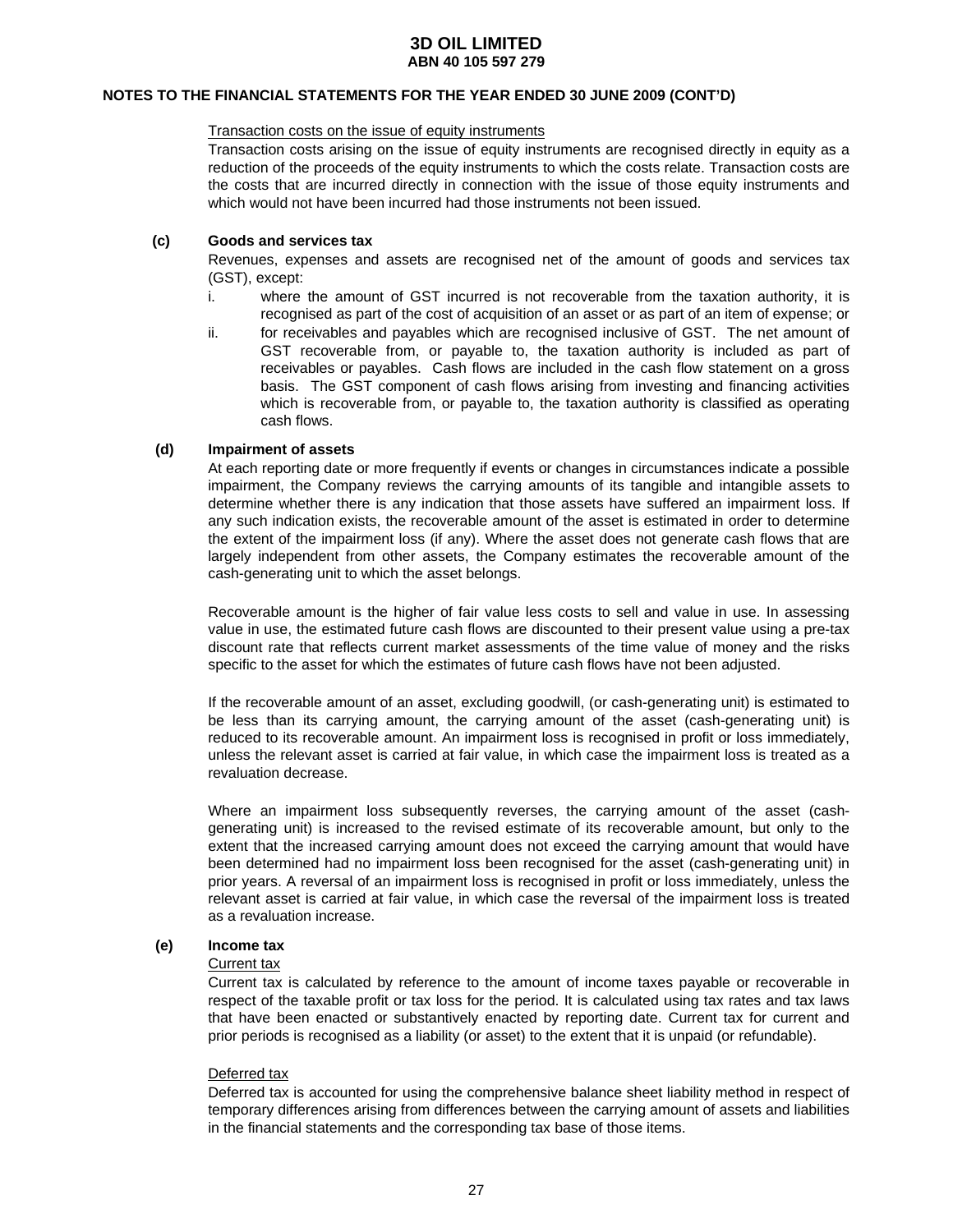### **NOTES TO THE FINANCIAL STATEMENTS FOR THE YEAR ENDED 30 JUNE 2009 (CONT'D)**

#### Transaction costs on the issue of equity instruments

Transaction costs arising on the issue of equity instruments are recognised directly in equity as a reduction of the proceeds of the equity instruments to which the costs relate. Transaction costs are the costs that are incurred directly in connection with the issue of those equity instruments and which would not have been incurred had those instruments not been issued.

#### **(c) Goods and services tax**

Revenues, expenses and assets are recognised net of the amount of goods and services tax (GST), except:

- i. where the amount of GST incurred is not recoverable from the taxation authority, it is recognised as part of the cost of acquisition of an asset or as part of an item of expense; or
- ii. for receivables and payables which are recognised inclusive of GST. The net amount of GST recoverable from, or payable to, the taxation authority is included as part of receivables or payables. Cash flows are included in the cash flow statement on a gross basis. The GST component of cash flows arising from investing and financing activities which is recoverable from, or payable to, the taxation authority is classified as operating cash flows.

#### **(d) Impairment of assets**

At each reporting date or more frequently if events or changes in circumstances indicate a possible impairment, the Company reviews the carrying amounts of its tangible and intangible assets to determine whether there is any indication that those assets have suffered an impairment loss. If any such indication exists, the recoverable amount of the asset is estimated in order to determine the extent of the impairment loss (if any). Where the asset does not generate cash flows that are largely independent from other assets, the Company estimates the recoverable amount of the cash-generating unit to which the asset belongs.

Recoverable amount is the higher of fair value less costs to sell and value in use. In assessing value in use, the estimated future cash flows are discounted to their present value using a pre-tax discount rate that reflects current market assessments of the time value of money and the risks specific to the asset for which the estimates of future cash flows have not been adjusted.

If the recoverable amount of an asset, excluding goodwill, (or cash-generating unit) is estimated to be less than its carrying amount, the carrying amount of the asset (cash-generating unit) is reduced to its recoverable amount. An impairment loss is recognised in profit or loss immediately, unless the relevant asset is carried at fair value, in which case the impairment loss is treated as a revaluation decrease.

 Where an impairment loss subsequently reverses, the carrying amount of the asset (cashgenerating unit) is increased to the revised estimate of its recoverable amount, but only to the extent that the increased carrying amount does not exceed the carrying amount that would have been determined had no impairment loss been recognised for the asset (cash-generating unit) in prior years. A reversal of an impairment loss is recognised in profit or loss immediately, unless the relevant asset is carried at fair value, in which case the reversal of the impairment loss is treated as a revaluation increase.

#### **(e) Income tax**

#### Current tax

 Current tax is calculated by reference to the amount of income taxes payable or recoverable in respect of the taxable profit or tax loss for the period. It is calculated using tax rates and tax laws that have been enacted or substantively enacted by reporting date. Current tax for current and prior periods is recognised as a liability (or asset) to the extent that it is unpaid (or refundable).

#### Deferred tax

 Deferred tax is accounted for using the comprehensive balance sheet liability method in respect of temporary differences arising from differences between the carrying amount of assets and liabilities in the financial statements and the corresponding tax base of those items.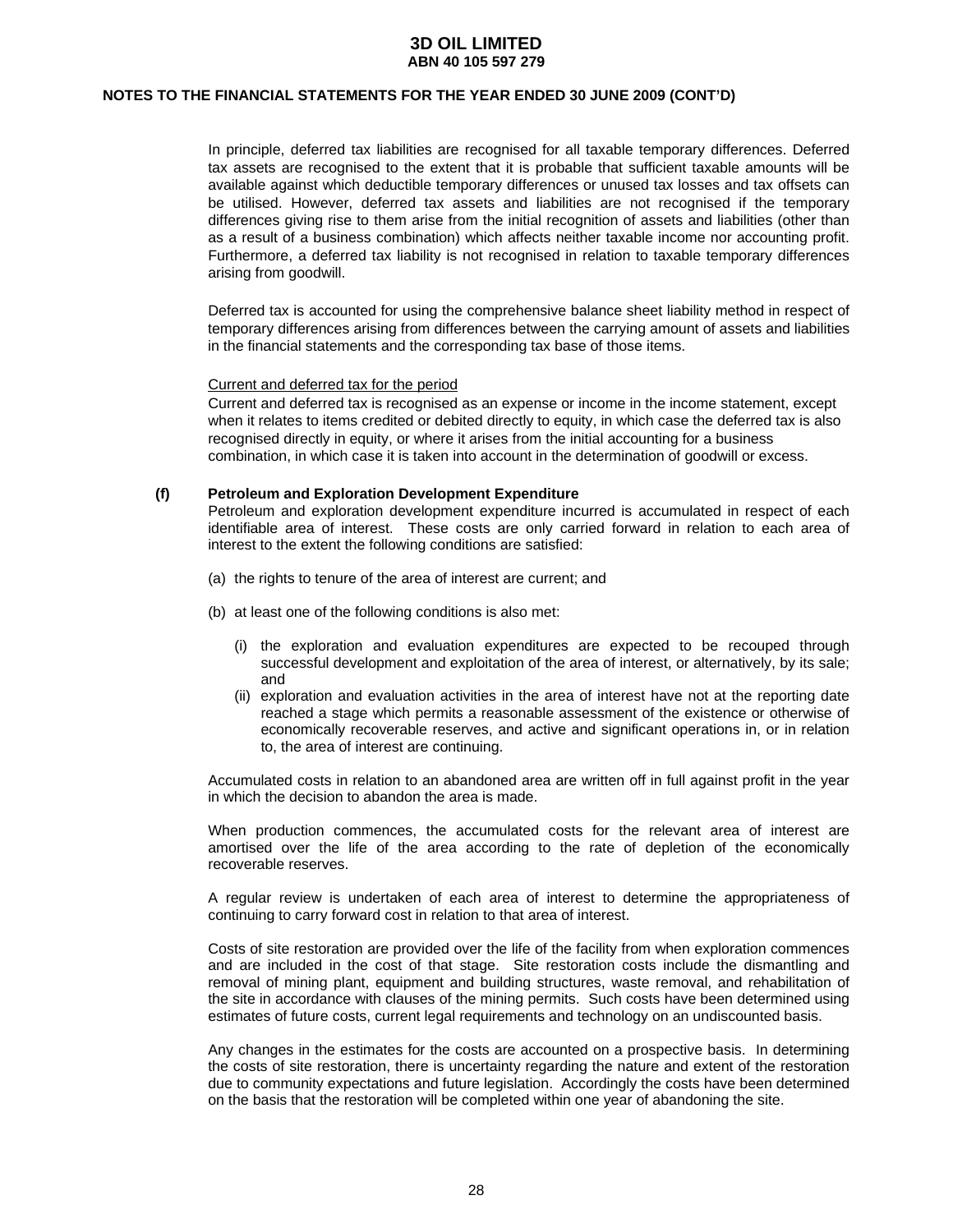#### **NOTES TO THE FINANCIAL STATEMENTS FOR THE YEAR ENDED 30 JUNE 2009 (CONT'D)**

 In principle, deferred tax liabilities are recognised for all taxable temporary differences. Deferred tax assets are recognised to the extent that it is probable that sufficient taxable amounts will be available against which deductible temporary differences or unused tax losses and tax offsets can be utilised. However, deferred tax assets and liabilities are not recognised if the temporary differences giving rise to them arise from the initial recognition of assets and liabilities (other than as a result of a business combination) which affects neither taxable income nor accounting profit. Furthermore, a deferred tax liability is not recognised in relation to taxable temporary differences arising from goodwill.

 Deferred tax is accounted for using the comprehensive balance sheet liability method in respect of temporary differences arising from differences between the carrying amount of assets and liabilities in the financial statements and the corresponding tax base of those items.

#### Current and deferred tax for the period

Current and deferred tax is recognised as an expense or income in the income statement, except when it relates to items credited or debited directly to equity, in which case the deferred tax is also recognised directly in equity, or where it arises from the initial accounting for a business combination, in which case it is taken into account in the determination of goodwill or excess.

#### **(f) Petroleum and Exploration Development Expenditure**

 Petroleum and exploration development expenditure incurred is accumulated in respect of each identifiable area of interest. These costs are only carried forward in relation to each area of interest to the extent the following conditions are satisfied:

- (a) the rights to tenure of the area of interest are current; and
- (b) at least one of the following conditions is also met:
	- (i) the exploration and evaluation expenditures are expected to be recouped through successful development and exploitation of the area of interest, or alternatively, by its sale; and
	- (ii) exploration and evaluation activities in the area of interest have not at the reporting date reached a stage which permits a reasonable assessment of the existence or otherwise of economically recoverable reserves, and active and significant operations in, or in relation to, the area of interest are continuing.

 Accumulated costs in relation to an abandoned area are written off in full against profit in the year in which the decision to abandon the area is made.

 When production commences, the accumulated costs for the relevant area of interest are amortised over the life of the area according to the rate of depletion of the economically recoverable reserves.

 A regular review is undertaken of each area of interest to determine the appropriateness of continuing to carry forward cost in relation to that area of interest.

 Costs of site restoration are provided over the life of the facility from when exploration commences and are included in the cost of that stage. Site restoration costs include the dismantling and removal of mining plant, equipment and building structures, waste removal, and rehabilitation of the site in accordance with clauses of the mining permits. Such costs have been determined using estimates of future costs, current legal requirements and technology on an undiscounted basis.

Any changes in the estimates for the costs are accounted on a prospective basis. In determining the costs of site restoration, there is uncertainty regarding the nature and extent of the restoration due to community expectations and future legislation. Accordingly the costs have been determined on the basis that the restoration will be completed within one year of abandoning the site.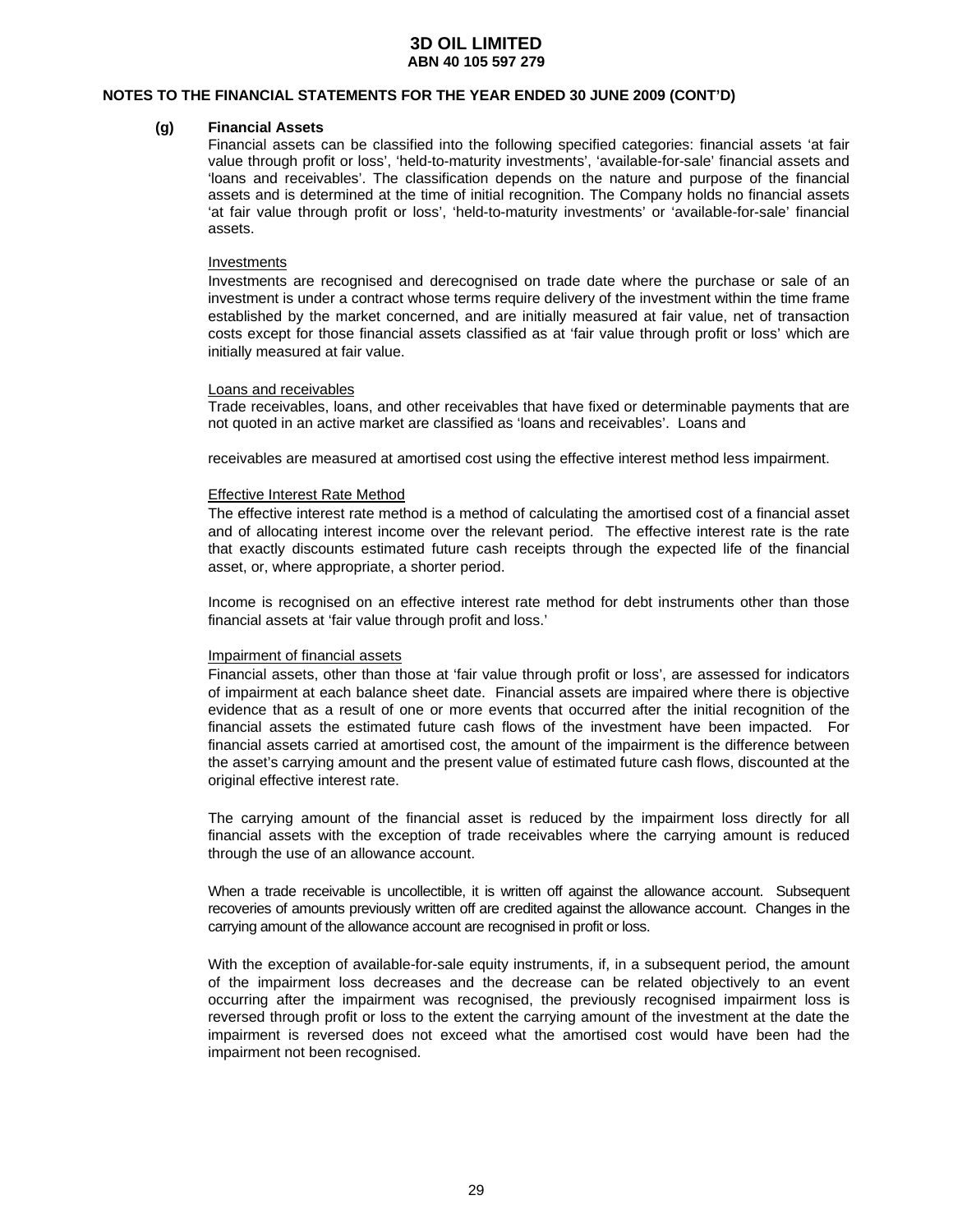#### **NOTES TO THE FINANCIAL STATEMENTS FOR THE YEAR ENDED 30 JUNE 2009 (CONT'D)**

#### **(g) Financial Assets**

Financial assets can be classified into the following specified categories: financial assets 'at fair value through profit or loss', 'held-to-maturity investments', 'available-for-sale' financial assets and 'loans and receivables'. The classification depends on the nature and purpose of the financial assets and is determined at the time of initial recognition. The Company holds no financial assets 'at fair value through profit or loss', 'held-to-maturity investments' or 'available-for-sale' financial assets.

#### Investments

Investments are recognised and derecognised on trade date where the purchase or sale of an investment is under a contract whose terms require delivery of the investment within the time frame established by the market concerned, and are initially measured at fair value, net of transaction costs except for those financial assets classified as at 'fair value through profit or loss' which are initially measured at fair value.

#### Loans and receivables

Trade receivables, loans, and other receivables that have fixed or determinable payments that are not quoted in an active market are classified as 'loans and receivables'. Loans and

receivables are measured at amortised cost using the effective interest method less impairment.

#### Effective Interest Rate Method

The effective interest rate method is a method of calculating the amortised cost of a financial asset and of allocating interest income over the relevant period. The effective interest rate is the rate that exactly discounts estimated future cash receipts through the expected life of the financial asset, or, where appropriate, a shorter period.

Income is recognised on an effective interest rate method for debt instruments other than those financial assets at 'fair value through profit and loss.'

#### Impairment of financial assets

Financial assets, other than those at 'fair value through profit or loss', are assessed for indicators of impairment at each balance sheet date. Financial assets are impaired where there is objective evidence that as a result of one or more events that occurred after the initial recognition of the financial assets the estimated future cash flows of the investment have been impacted. For financial assets carried at amortised cost, the amount of the impairment is the difference between the asset's carrying amount and the present value of estimated future cash flows, discounted at the original effective interest rate.

The carrying amount of the financial asset is reduced by the impairment loss directly for all financial assets with the exception of trade receivables where the carrying amount is reduced through the use of an allowance account.

When a trade receivable is uncollectible, it is written off against the allowance account. Subsequent recoveries of amounts previously written off are credited against the allowance account. Changes in the carrying amount of the allowance account are recognised in profit or loss.

With the exception of available-for-sale equity instruments, if, in a subsequent period, the amount of the impairment loss decreases and the decrease can be related objectively to an event occurring after the impairment was recognised, the previously recognised impairment loss is reversed through profit or loss to the extent the carrying amount of the investment at the date the impairment is reversed does not exceed what the amortised cost would have been had the impairment not been recognised.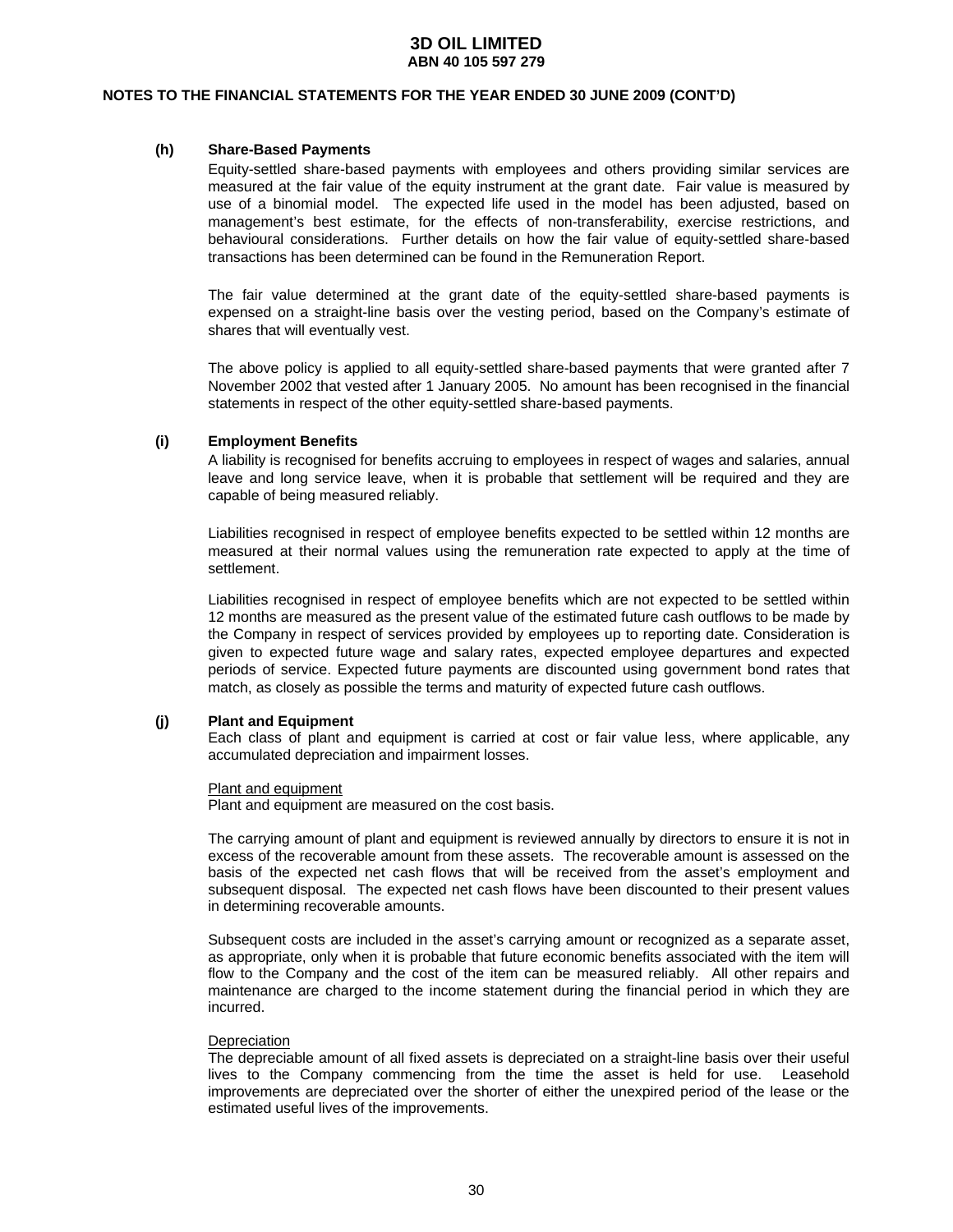#### **NOTES TO THE FINANCIAL STATEMENTS FOR THE YEAR ENDED 30 JUNE 2009 (CONT'D)**

#### **(h) Share-Based Payments**

Equity-settled share-based payments with employees and others providing similar services are measured at the fair value of the equity instrument at the grant date. Fair value is measured by use of a binomial model. The expected life used in the model has been adjusted, based on management's best estimate, for the effects of non-transferability, exercise restrictions, and behavioural considerations. Further details on how the fair value of equity-settled share-based transactions has been determined can be found in the Remuneration Report.

The fair value determined at the grant date of the equity-settled share-based payments is expensed on a straight-line basis over the vesting period, based on the Company's estimate of shares that will eventually vest.

The above policy is applied to all equity-settled share-based payments that were granted after 7 November 2002 that vested after 1 January 2005. No amount has been recognised in the financial statements in respect of the other equity-settled share-based payments.

### **(i) Employment Benefits**

A liability is recognised for benefits accruing to employees in respect of wages and salaries, annual leave and long service leave, when it is probable that settlement will be required and they are capable of being measured reliably.

Liabilities recognised in respect of employee benefits expected to be settled within 12 months are measured at their normal values using the remuneration rate expected to apply at the time of settlement.

Liabilities recognised in respect of employee benefits which are not expected to be settled within 12 months are measured as the present value of the estimated future cash outflows to be made by the Company in respect of services provided by employees up to reporting date. Consideration is given to expected future wage and salary rates, expected employee departures and expected periods of service. Expected future payments are discounted using government bond rates that match, as closely as possible the terms and maturity of expected future cash outflows.

#### **(j) Plant and Equipment**

 Each class of plant and equipment is carried at cost or fair value less, where applicable, any accumulated depreciation and impairment losses.

#### Plant and equipment

Plant and equipment are measured on the cost basis.

 The carrying amount of plant and equipment is reviewed annually by directors to ensure it is not in excess of the recoverable amount from these assets. The recoverable amount is assessed on the basis of the expected net cash flows that will be received from the asset's employment and subsequent disposal. The expected net cash flows have been discounted to their present values in determining recoverable amounts.

 Subsequent costs are included in the asset's carrying amount or recognized as a separate asset, as appropriate, only when it is probable that future economic benefits associated with the item will flow to the Company and the cost of the item can be measured reliably. All other repairs and maintenance are charged to the income statement during the financial period in which they are incurred.

#### **Depreciation**

 The depreciable amount of all fixed assets is depreciated on a straight-line basis over their useful lives to the Company commencing from the time the asset is held for use. Leasehold improvements are depreciated over the shorter of either the unexpired period of the lease or the estimated useful lives of the improvements.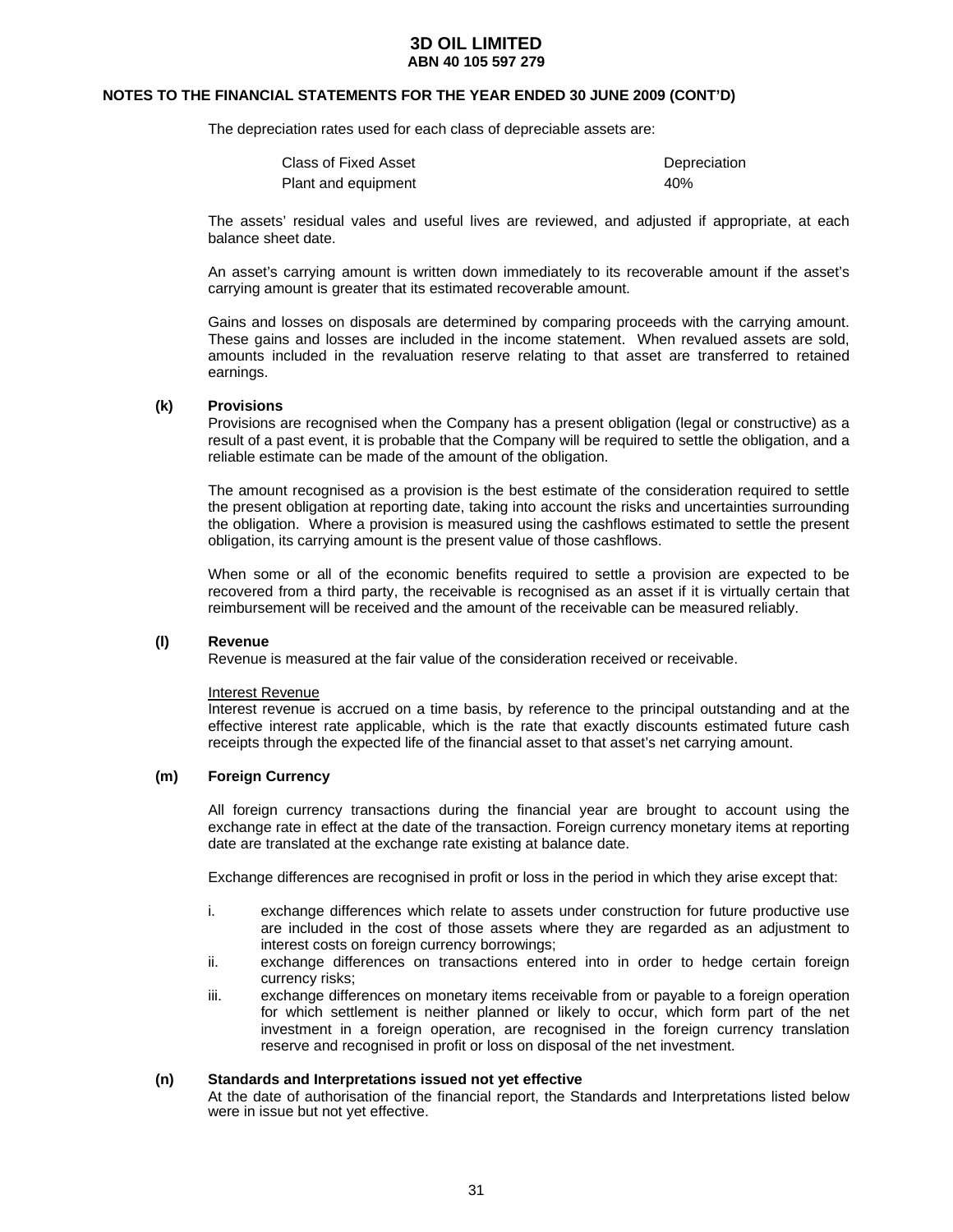#### **NOTES TO THE FINANCIAL STATEMENTS FOR THE YEAR ENDED 30 JUNE 2009 (CONT'D)**

The depreciation rates used for each class of depreciable assets are:

| Class of Fixed Asset | Depreciation |
|----------------------|--------------|
| Plant and equipment  | 40%          |

 The assets' residual vales and useful lives are reviewed, and adjusted if appropriate, at each balance sheet date.

 An asset's carrying amount is written down immediately to its recoverable amount if the asset's carrying amount is greater that its estimated recoverable amount.

 Gains and losses on disposals are determined by comparing proceeds with the carrying amount. These gains and losses are included in the income statement. When revalued assets are sold, amounts included in the revaluation reserve relating to that asset are transferred to retained earnings.

#### **(k) Provisions**

Provisions are recognised when the Company has a present obligation (legal or constructive) as a result of a past event, it is probable that the Company will be required to settle the obligation, and a reliable estimate can be made of the amount of the obligation.

The amount recognised as a provision is the best estimate of the consideration required to settle the present obligation at reporting date, taking into account the risks and uncertainties surrounding the obligation. Where a provision is measured using the cashflows estimated to settle the present obligation, its carrying amount is the present value of those cashflows.

When some or all of the economic benefits required to settle a provision are expected to be recovered from a third party, the receivable is recognised as an asset if it is virtually certain that reimbursement will be received and the amount of the receivable can be measured reliably.

#### **(l) Revenue**

Revenue is measured at the fair value of the consideration received or receivable.

#### Interest Revenue

Interest revenue is accrued on a time basis, by reference to the principal outstanding and at the effective interest rate applicable, which is the rate that exactly discounts estimated future cash receipts through the expected life of the financial asset to that asset's net carrying amount.

#### **(m) Foreign Currency**

All foreign currency transactions during the financial year are brought to account using the exchange rate in effect at the date of the transaction. Foreign currency monetary items at reporting date are translated at the exchange rate existing at balance date.

Exchange differences are recognised in profit or loss in the period in which they arise except that:

- i. exchange differences which relate to assets under construction for future productive use are included in the cost of those assets where they are regarded as an adjustment to interest costs on foreign currency borrowings;
- ii. exchange differences on transactions entered into in order to hedge certain foreign currency risks;
- iii. exchange differences on monetary items receivable from or payable to a foreign operation for which settlement is neither planned or likely to occur, which form part of the net investment in a foreign operation, are recognised in the foreign currency translation reserve and recognised in profit or loss on disposal of the net investment.

#### **(n) Standards and Interpretations issued not yet effective**

 At the date of authorisation of the financial report, the Standards and Interpretations listed below were in issue but not yet effective.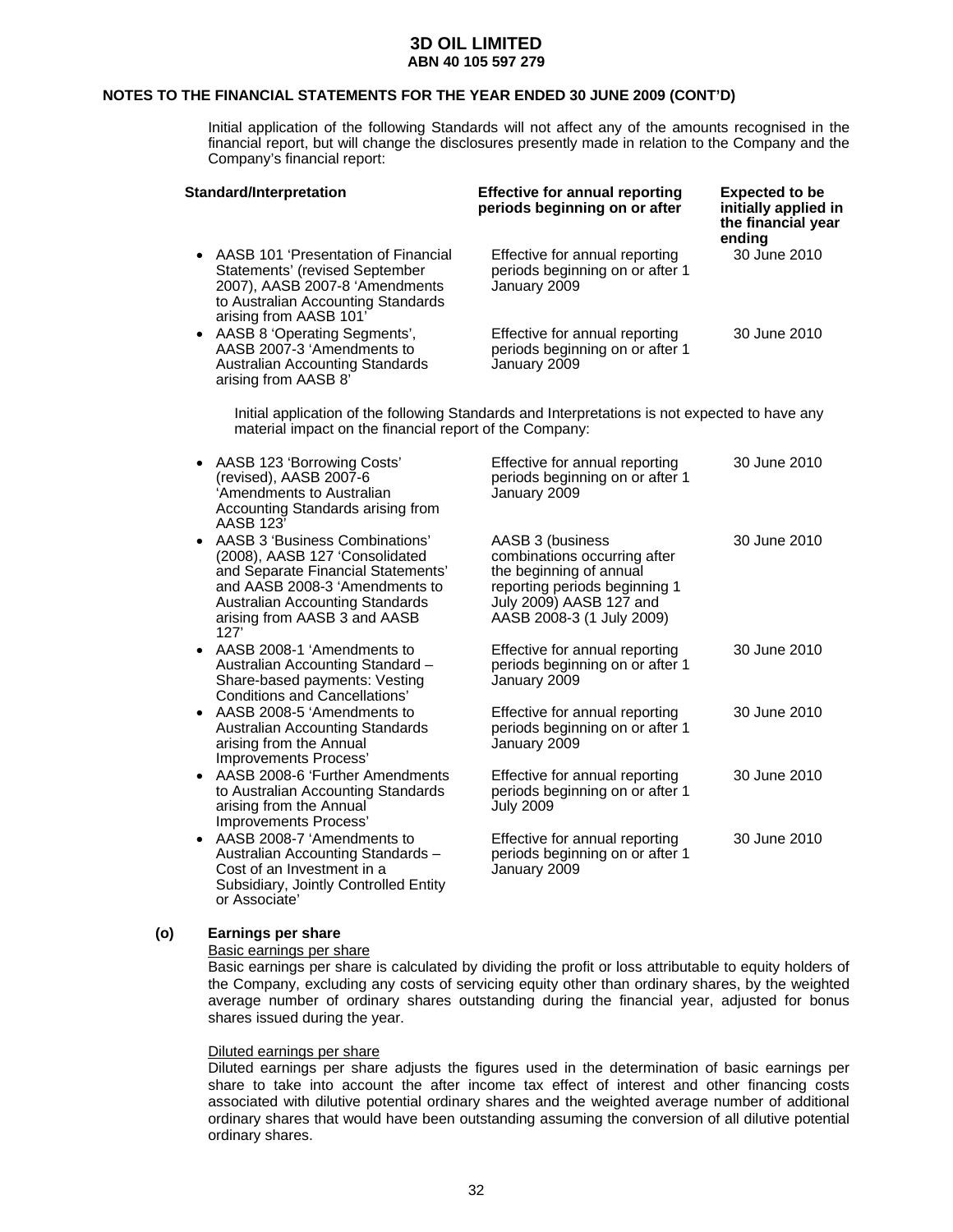### **NOTES TO THE FINANCIAL STATEMENTS FOR THE YEAR ENDED 30 JUNE 2009 (CONT'D)**

 Initial application of the following Standards will not affect any of the amounts recognised in the financial report, but will change the disclosures presently made in relation to the Company and the Company's financial report:

| Standard/Interpretation                                                                                                                                                   | <b>Effective for annual reporting</b><br>periods beginning on or after            | <b>Expected to be</b><br>initially applied in<br>the financial year<br>ending |
|---------------------------------------------------------------------------------------------------------------------------------------------------------------------------|-----------------------------------------------------------------------------------|-------------------------------------------------------------------------------|
| • AASB 101 'Presentation of Financial<br>Statements' (revised September<br>2007), AASB 2007-8 'Amendments<br>to Australian Accounting Standards<br>arising from AASB 101' | Effective for annual reporting<br>periods beginning on or after 1<br>January 2009 | 30 June 2010                                                                  |
| • AASB 8 'Operating Segments',<br>AASB 2007-3 'Amendments to<br><b>Australian Accounting Standards</b><br>arising from AASB 8'                                            | Effective for annual reporting<br>periods beginning on or after 1<br>January 2009 | 30 June 2010                                                                  |

Initial application of the following Standards and Interpretations is not expected to have any material impact on the financial report of the Company:

|           | • AASB 123 'Borrowing Costs'<br>(revised), AASB 2007-6<br>'Amendments to Australian<br>Accounting Standards arising from<br>AASB 123'                                                                               | Effective for annual reporting<br>periods beginning on or after 1<br>January 2009                                                                                    | 30 June 2010 |
|-----------|---------------------------------------------------------------------------------------------------------------------------------------------------------------------------------------------------------------------|----------------------------------------------------------------------------------------------------------------------------------------------------------------------|--------------|
| ٠         | AASB 3 'Business Combinations'<br>(2008), AASB 127 'Consolidated<br>and Separate Financial Statements'<br>and AASB 2008-3 'Amendments to<br>Australian Accounting Standards<br>arising from AASB 3 and AASB<br>127' | AASB 3 (business<br>combinations occurring after<br>the beginning of annual<br>reporting periods beginning 1<br>July 2009) AASB 127 and<br>AASB 2008-3 (1 July 2009) | 30 June 2010 |
|           | • AASB 2008-1 'Amendments to<br>Australian Accounting Standard -<br>Share-based payments: Vesting<br>Conditions and Cancellations'                                                                                  | Effective for annual reporting<br>periods beginning on or after 1<br>January 2009                                                                                    | 30 June 2010 |
|           | • AASB 2008-5 'Amendments to<br><b>Australian Accounting Standards</b><br>arising from the Annual<br>Improvements Process'                                                                                          | Effective for annual reporting<br>periods beginning on or after 1<br>January 2009                                                                                    | 30 June 2010 |
| $\bullet$ | AASB 2008-6 'Further Amendments<br>to Australian Accounting Standards<br>arising from the Annual<br>Improvements Process'                                                                                           | Effective for annual reporting<br>periods beginning on or after 1<br><b>July 2009</b>                                                                                | 30 June 2010 |
|           | • AASB 2008-7 'Amendments to<br>Australian Accounting Standards -<br>Cost of an Investment in a<br>Subsidiary, Jointly Controlled Entity                                                                            | Effective for annual reporting<br>periods beginning on or after 1<br>January 2009                                                                                    | 30 June 2010 |

### **(o) Earnings per share**

or Associate'

#### Basic earnings per share

Basic earnings per share is calculated by dividing the profit or loss attributable to equity holders of the Company, excluding any costs of servicing equity other than ordinary shares, by the weighted average number of ordinary shares outstanding during the financial year, adjusted for bonus shares issued during the year.

#### Diluted earnings per share

Diluted earnings per share adjusts the figures used in the determination of basic earnings per share to take into account the after income tax effect of interest and other financing costs associated with dilutive potential ordinary shares and the weighted average number of additional ordinary shares that would have been outstanding assuming the conversion of all dilutive potential ordinary shares.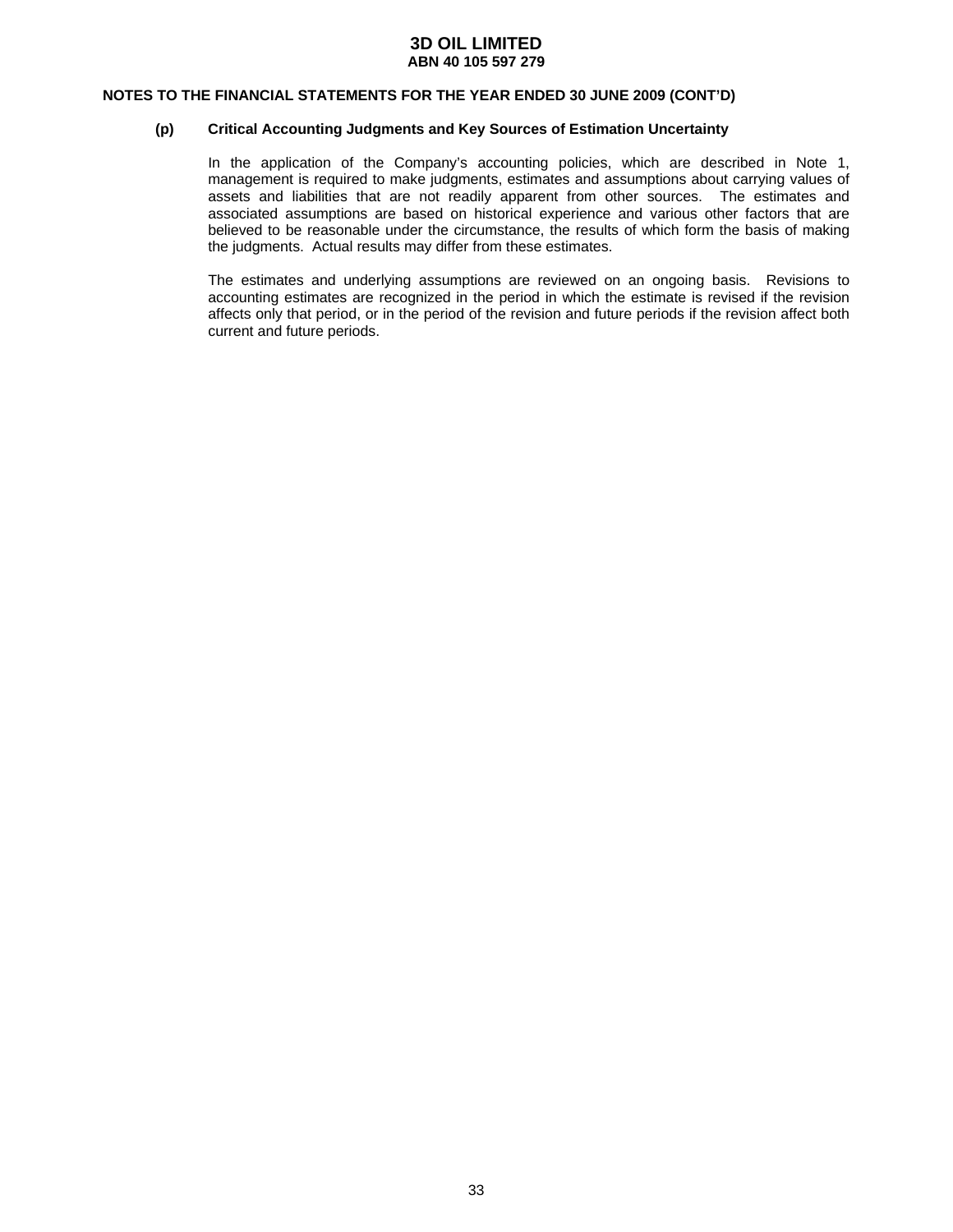#### **NOTES TO THE FINANCIAL STATEMENTS FOR THE YEAR ENDED 30 JUNE 2009 (CONT'D)**

#### **(p) Critical Accounting Judgments and Key Sources of Estimation Uncertainty**

In the application of the Company's accounting policies, which are described in Note 1, management is required to make judgments, estimates and assumptions about carrying values of assets and liabilities that are not readily apparent from other sources. The estimates and associated assumptions are based on historical experience and various other factors that are believed to be reasonable under the circumstance, the results of which form the basis of making the judgments. Actual results may differ from these estimates.

The estimates and underlying assumptions are reviewed on an ongoing basis. Revisions to accounting estimates are recognized in the period in which the estimate is revised if the revision affects only that period, or in the period of the revision and future periods if the revision affect both current and future periods.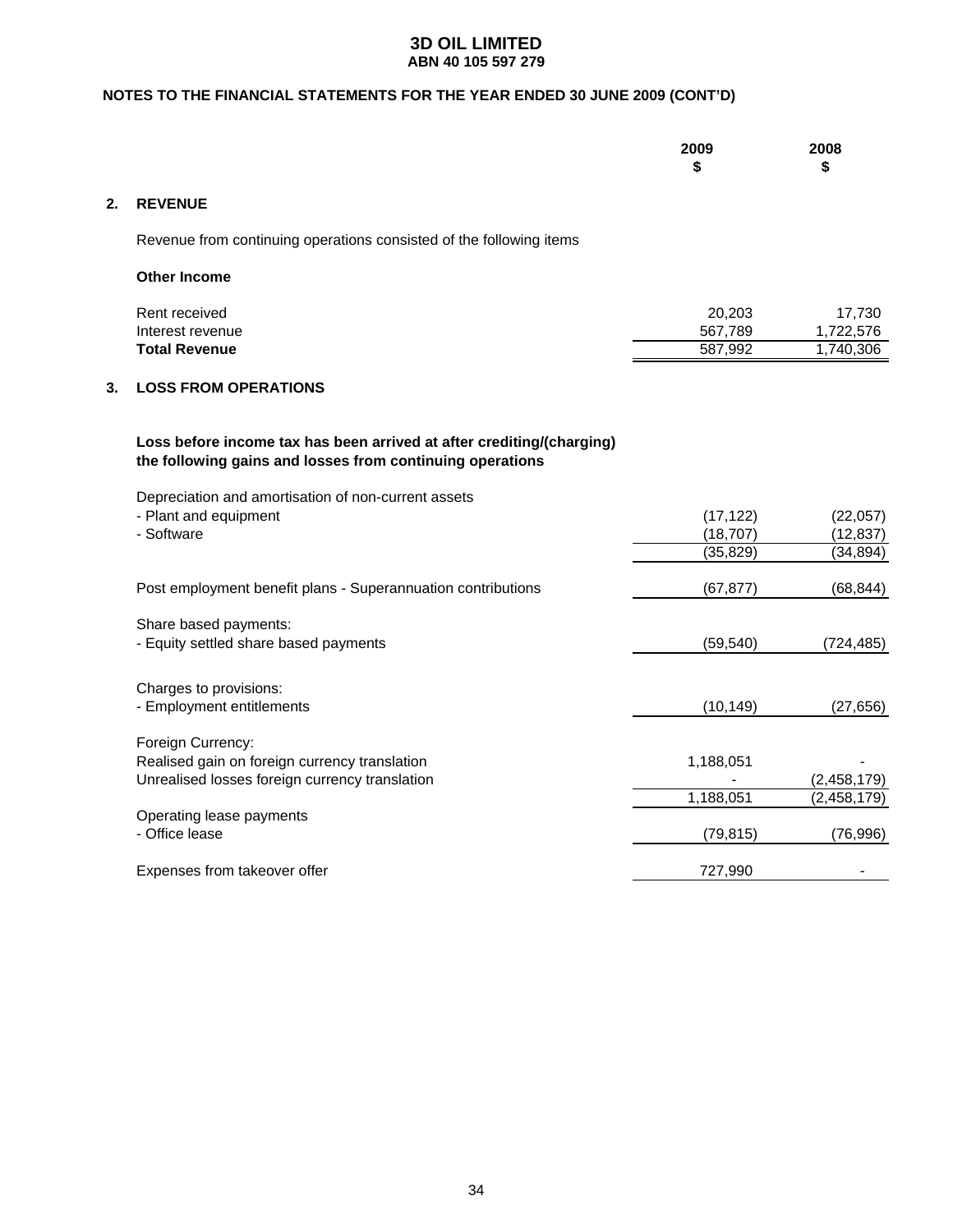### **NOTES TO THE FINANCIAL STATEMENTS FOR THE YEAR ENDED 30 JUNE 2009 (CONT'D)**

|  |  | 2009<br>æ<br>.п. | 2008<br>æ<br>∾ |
|--|--|------------------|----------------|
|  |  |                  |                |

### **2. REVENUE**

Revenue from continuing operations consisted of the following items

| <b>Other Income</b>  |         |           |
|----------------------|---------|-----------|
| Rent received        | 20.203  | 17.730    |
| Interest revenue     | 567.789 | 1,722,576 |
| <b>Total Revenue</b> | 587,992 | 1.740.306 |

### **3. LOSS FROM OPERATIONS**

### **Loss before income tax has been arrived at after crediting/(charging) the following gains and losses from continuing operations**

Depreciation and amortisation of non-current assets

| - Plant and equipment                                        | (17, 122) | (22,057)      |
|--------------------------------------------------------------|-----------|---------------|
| - Software                                                   | (18,707)  | (12,837)      |
|                                                              | (35,829)  | (34, 894)     |
| Post employment benefit plans - Superannuation contributions | (67,877)  | (68, 844)     |
| Share based payments:                                        |           |               |
| - Equity settled share based payments                        | (59,540)  | (724,485)     |
| Charges to provisions:                                       |           |               |
| - Employment entitlements                                    | (10, 149) | (27, 656)     |
| Foreign Currency:                                            |           |               |
| Realised gain on foreign currency translation                | 1,188,051 |               |
| Unrealised losses foreign currency translation               |           | (2,458,179)   |
|                                                              | 1,188,051 | (2, 458, 179) |
| Operating lease payments                                     |           |               |
| - Office lease                                               | (79, 815) | (76, 996)     |
| Expenses from takeover offer                                 | 727,990   |               |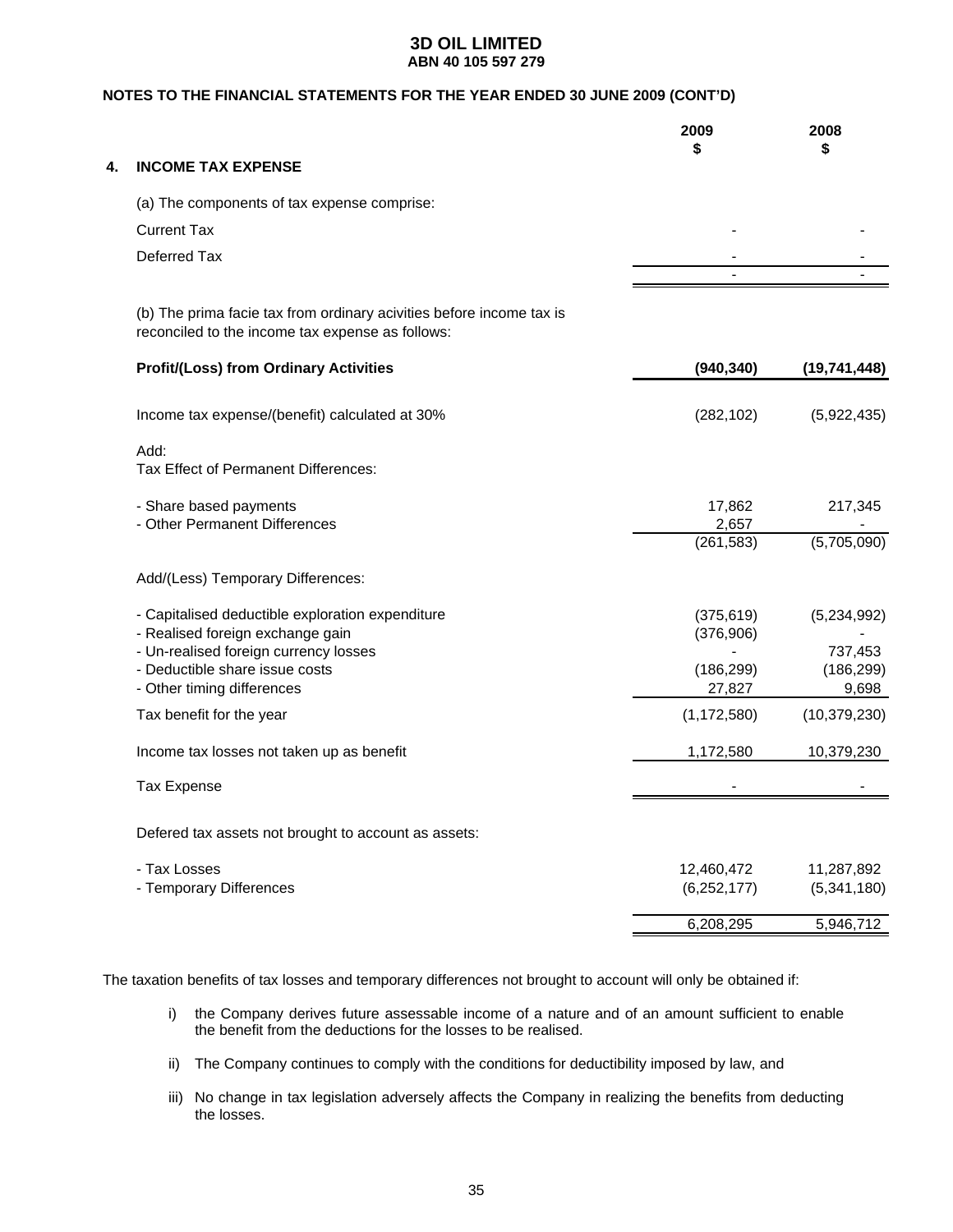### **NOTES TO THE FINANCIAL STATEMENTS FOR THE YEAR ENDED 30 JUNE 2009 (CONT'D)**

|    |                                                                                                                          | 2009            | 2008<br>\$            |
|----|--------------------------------------------------------------------------------------------------------------------------|-----------------|-----------------------|
| 4. | <b>INCOME TAX EXPENSE</b>                                                                                                |                 |                       |
|    | (a) The components of tax expense comprise:                                                                              |                 |                       |
|    | <b>Current Tax</b>                                                                                                       |                 |                       |
|    | Deferred Tax                                                                                                             |                 |                       |
|    |                                                                                                                          |                 |                       |
|    | (b) The prima facie tax from ordinary acivities before income tax is<br>reconciled to the income tax expense as follows: |                 |                       |
|    | <b>Profit/(Loss) from Ordinary Activities</b>                                                                            | (940, 340)      | (19, 741, 448)        |
|    | Income tax expense/(benefit) calculated at 30%                                                                           | (282, 102)      | (5,922,435)           |
|    | Add:<br>Tax Effect of Permanent Differences:                                                                             |                 |                       |
|    | - Share based payments<br>- Other Permanent Differences                                                                  | 17,862<br>2,657 | 217,345               |
|    |                                                                                                                          | (261, 583)      | (5,705,090)           |
|    | Add/(Less) Temporary Differences:                                                                                        |                 |                       |
|    | - Capitalised deductible exploration expenditure                                                                         | (375, 619)      | (5,234,992)           |
|    | - Realised foreign exchange gain                                                                                         | (376,906)       |                       |
|    | - Un-realised foreign currency losses<br>- Deductible share issue costs                                                  | (186, 299)      | 737,453<br>(186, 299) |
|    | - Other timing differences                                                                                               | 27,827          | 9,698                 |
|    | Tax benefit for the year                                                                                                 | (1, 172, 580)   | (10, 379, 230)        |
|    | Income tax losses not taken up as benefit                                                                                | 1,172,580       | 10,379,230            |
|    | <b>Tax Expense</b>                                                                                                       |                 |                       |
|    | Defered tax assets not brought to account as assets:                                                                     |                 |                       |
|    | - Tax Losses                                                                                                             | 12,460,472      | 11,287,892            |
|    | - Temporary Differences                                                                                                  | (6, 252, 177)   | (5,341,180)           |
|    |                                                                                                                          | 6,208,295       | 5,946,712             |
|    |                                                                                                                          |                 |                       |

The taxation benefits of tax losses and temporary differences not brought to account will only be obtained if:

- i) the Company derives future assessable income of a nature and of an amount sufficient to enable the benefit from the deductions for the losses to be realised.
- ii) The Company continues to comply with the conditions for deductibility imposed by law, and
- iii) No change in tax legislation adversely affects the Company in realizing the benefits from deducting the losses.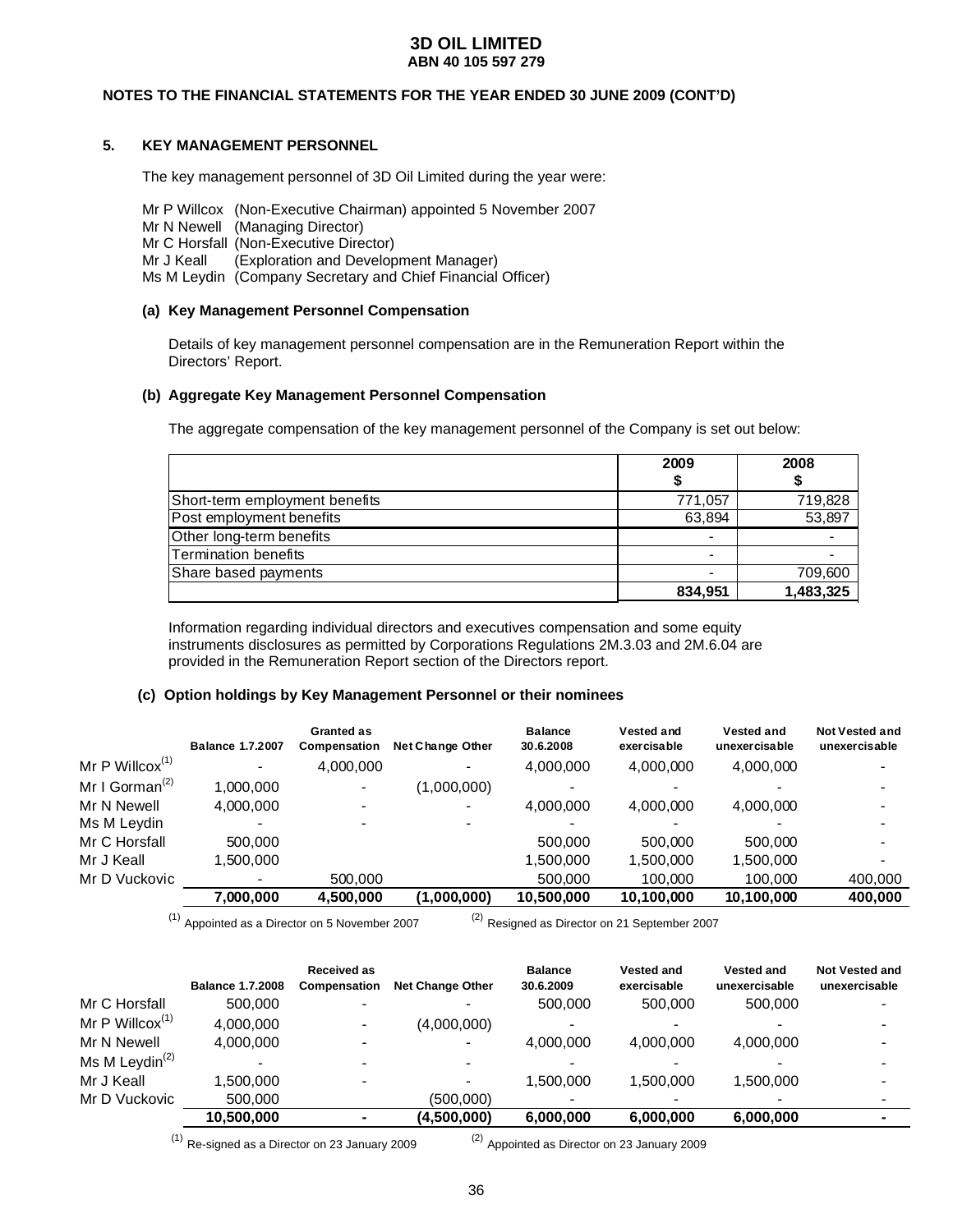### **NOTES TO THE FINANCIAL STATEMENTS FOR THE YEAR ENDED 30 JUNE 2009 (CONT'D)**

### **5. KEY MANAGEMENT PERSONNEL**

The key management personnel of 3D Oil Limited during the year were:

Mr P Willcox (Non-Executive Chairman) appointed 5 November 2007

- Mr N Newell (Managing Director)
- Mr C Horsfall (Non-Executive Director)
- Mr J Keall (Exploration and Development Manager)
- Ms M Leydin (Company Secretary and Chief Financial Officer)

#### **(a) Key Management Personnel Compensation**

Details of key management personnel compensation are in the Remuneration Report within the Directors' Report.

#### **(b) Aggregate Key Management Personnel Compensation**

The aggregate compensation of the key management personnel of the Company is set out below:

|                                | 2009    | 2008      |
|--------------------------------|---------|-----------|
| Short-term employment benefits | 771,057 | 719,828   |
| Post employment benefits       | 63,894  | 53,897    |
| Other long-term benefits       |         |           |
| Termination benefits           |         |           |
| Share based payments           |         | 709,600   |
|                                | 834,951 | 1,483,325 |

Information regarding individual directors and executives compensation and some equity instruments disclosures as permitted by Corporations Regulations 2M.3.03 and 2M.6.04 are provided in the Remuneration Report section of the Directors report.

#### **(c) Option holdings by Key Management Personnel or their nominees**

|                                         | <b>Balance 1.7.2007</b> | Granted as<br>Compensation | <b>Net Change Other</b> | <b>Balance</b><br>30.6.2008 | Vested and<br>exercisable | Vested and<br>unexercisable | <b>Not Vested and</b><br>unexercisable |
|-----------------------------------------|-------------------------|----------------------------|-------------------------|-----------------------------|---------------------------|-----------------------------|----------------------------------------|
| Mr P Willcox $(1)$                      |                         | 4,000,000                  |                         | 4,000,000                   | 4,000,000                 | 4,000,000                   |                                        |
| Mr I Gorman <sup><math>(2)</math></sup> | 1.000.000               | $\sim$                     | (1,000,000)             |                             |                           |                             |                                        |
| Mr N Newell                             | 4.000.000               |                            |                         | 4,000,000                   | 4,000,000                 | 4,000,000                   |                                        |
| Ms M Leydin                             |                         |                            |                         |                             |                           |                             |                                        |
| Mr C Horsfall                           | 500.000                 |                            |                         | 500,000                     | 500.000                   | 500,000                     |                                        |
| Mr J Keall                              | 1.500.000               |                            |                         | 1,500,000                   | 1,500,000                 | 1,500,000                   |                                        |
| Mr D Vuckovic                           | $\blacksquare$          | 500,000                    |                         | 500,000                     | 100,000                   | 100.000                     | 400,000                                |
|                                         | 7,000,000               | 4,500,000                  | (1,000,000)             | 10,500,000                  | 10,100,000                | 10,100,000                  | 400,000                                |

 $(1)$  Appointed as a Director on 5 November 2007 (2) Resigned as Director on 21 September 2007

|                                         |                         | Received as  |                         | <b>Balance</b> | <b>Vested and</b> | <b>Vested and</b> | <b>Not Vested and</b> |
|-----------------------------------------|-------------------------|--------------|-------------------------|----------------|-------------------|-------------------|-----------------------|
|                                         | <b>Balance 1.7.2008</b> | Compensation | <b>Net Change Other</b> | 30.6.2009      | exercisable       | unexercisable     | unexercisable         |
| Mr C Horsfall                           | 500.000                 |              |                         | 500,000        | 500,000           | 500.000           |                       |
| Mr P Willcox $(1)$                      | 4,000,000               |              | (4,000,000)             |                |                   |                   |                       |
| Mr N Newell                             | 4.000.000               |              | -                       | 4.000.000      | 4.000.000         | 4,000,000         |                       |
| Ms M Leydin <sup><math>(2)</math></sup> |                         |              |                         |                |                   |                   |                       |
| Mr J Keall                              | 1.500.000               |              |                         | 1.500.000      | 1.500.000         | 1.500.000         |                       |
| Mr D Vuckovic                           | 500,000                 |              | (500,000)               |                |                   | $\,$              |                       |
|                                         | 10,500,000              |              | (4,500,000)             | 6,000,000      | 6,000,000         | 6,000,000         |                       |

 $(1)$  Re-signed as a Director on 23 January 2009  $(2)$  Appointed as Director on 23 January 2009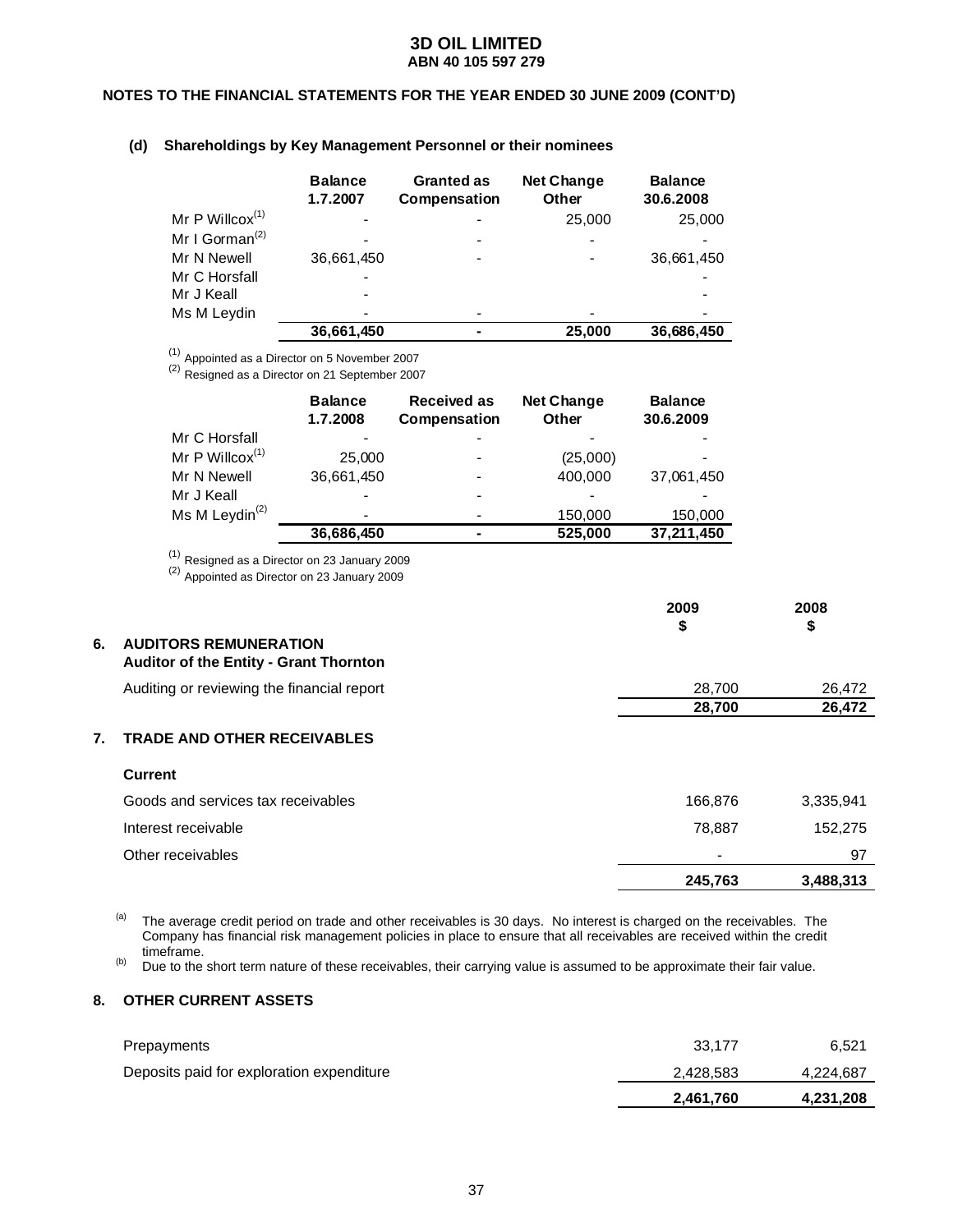### **NOTES TO THE FINANCIAL STATEMENTS FOR THE YEAR ENDED 30 JUNE 2009 (CONT'D)**

### **(d) Shareholdings by Key Management Personnel or their nominees**

|                            | <b>Balance</b><br>1.7.2007 | <b>Granted as</b><br>Compensation | <b>Net Change</b><br>Other | <b>Balance</b><br>30.6.2008 |
|----------------------------|----------------------------|-----------------------------------|----------------------------|-----------------------------|
| Mr P Willcox $(1)$         |                            |                                   | 25,000                     | 25,000                      |
| Mr I Gorman <sup>(2)</sup> |                            |                                   |                            |                             |
| Mr N Newell                | 36,661,450                 |                                   |                            | 36,661,450                  |
| Mr C Horsfall              |                            |                                   |                            |                             |
| Mr J Keall                 |                            |                                   |                            |                             |
| Ms M Leydin                |                            |                                   |                            |                             |
|                            | 36,661,450                 |                                   | 25,000                     | 36,686,450                  |

 $(1)$  Appointed as a Director on 5 November 2007

(2) Resigned as a Director on 21 September 2007

|                                         | <b>Balance</b><br>1.7.2008 | <b>Received as</b><br>Compensation | <b>Net Change</b><br>Other | <b>Balance</b><br>30.6.2009 |
|-----------------------------------------|----------------------------|------------------------------------|----------------------------|-----------------------------|
| Mr C Horsfall                           |                            |                                    |                            |                             |
| Mr P Willcox $(1)$                      | 25,000                     |                                    | (25,000)                   |                             |
| Mr N Newell                             | 36,661,450                 |                                    | 400,000                    | 37,061,450                  |
| Mr J Keall                              |                            |                                    |                            |                             |
| Ms M Leydin <sup><math>(2)</math></sup> | -                          |                                    | 150,000                    | 150,000                     |
|                                         | 36,686,450                 | -                                  | 525,000                    | 37,211,450                  |

 $<sup>(1)</sup>$  Resigned as a Director on 23 January 2009</sup>

(2) Appointed as Director on 23 January 2009

|    |                                                                               | 2009<br>\$ | 2008<br>\$ |
|----|-------------------------------------------------------------------------------|------------|------------|
| 6. | <b>AUDITORS REMUNERATION</b><br><b>Auditor of the Entity - Grant Thornton</b> |            |            |
|    | Auditing or reviewing the financial report                                    | 28,700     | 26,472     |
|    |                                                                               | 28,700     | 26,472     |
| 7. | <b>TRADE AND OTHER RECEIVABLES</b>                                            |            |            |
|    | <b>Current</b>                                                                |            |            |
|    | Goods and services tax receivables                                            | 166,876    | 3,335,941  |
|    | Interest receivable                                                           | 78,887     | 152,275    |
|    | Other receivables                                                             |            | 97         |
|    |                                                                               | 245.763    | 3.488.313  |

(a) The average credit period on trade and other receivables is 30 days. No interest is charged on the receivables. The Company has financial risk management policies in place to ensure that all receivables are received within the credit timeframe.

(b) Due to the short term nature of these receivables, their carrying value is assumed to be approximate their fair value.

### **8. OTHER CURRENT ASSETS**

|                                           | 2,461,760 | 4,231,208 |
|-------------------------------------------|-----------|-----------|
| Deposits paid for exploration expenditure | 2,428,583 | 4,224,687 |
| Prepayments                               | 33.177    | 6.521     |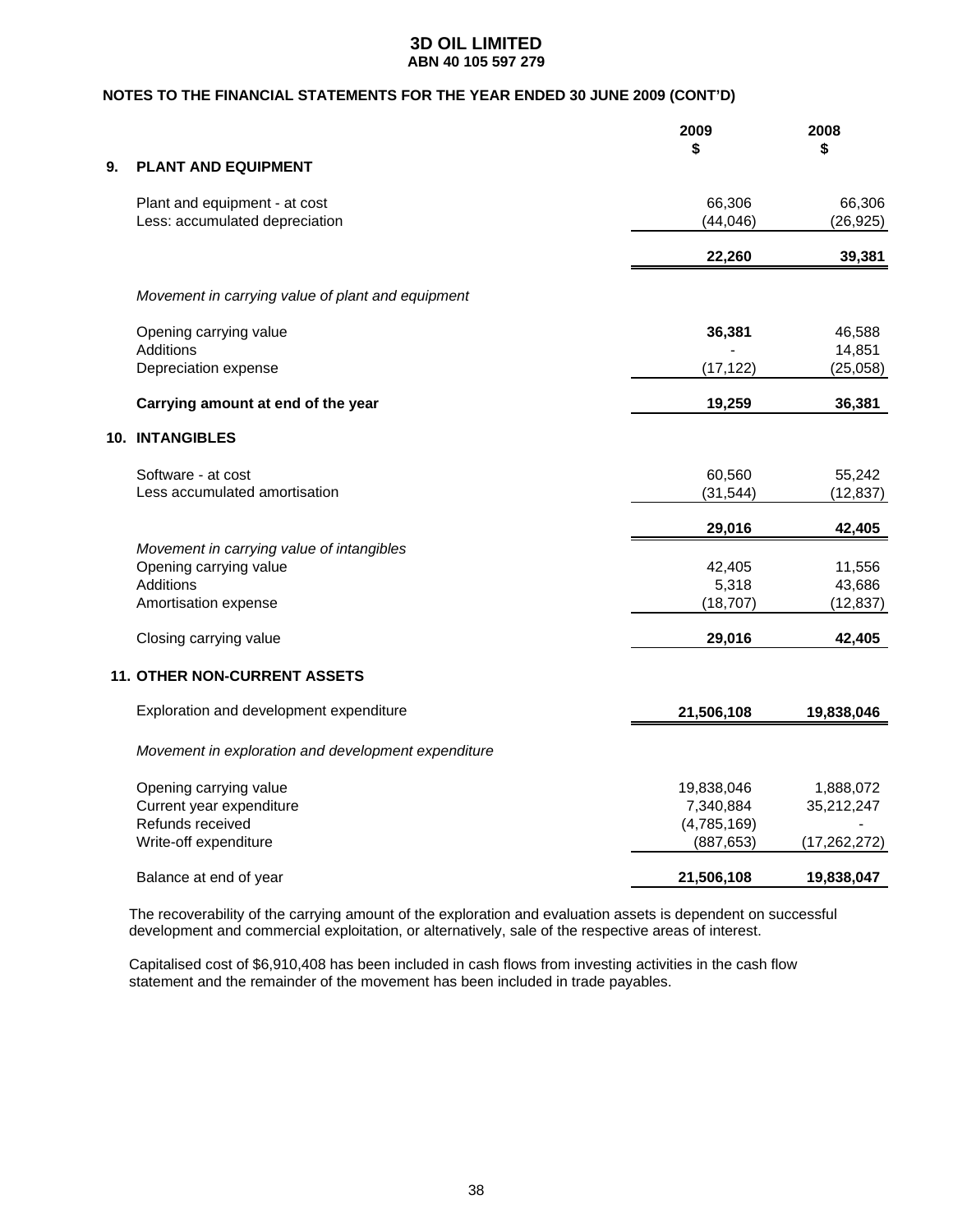### **NOTES TO THE FINANCIAL STATEMENTS FOR THE YEAR ENDED 30 JUNE 2009 (CONT'D)**

|    |                                                                                                                 | 2009<br>\$                             | 2008<br>\$                    |
|----|-----------------------------------------------------------------------------------------------------------------|----------------------------------------|-------------------------------|
| 9. | <b>PLANT AND EQUIPMENT</b>                                                                                      |                                        |                               |
|    | Plant and equipment - at cost<br>Less: accumulated depreciation                                                 | 66,306<br>(44, 046)                    | 66,306<br>(26, 925)           |
|    |                                                                                                                 | 22,260                                 | 39,381                        |
|    | Movement in carrying value of plant and equipment                                                               |                                        |                               |
|    | Opening carrying value                                                                                          | 36,381                                 | 46,588                        |
|    | <b>Additions</b><br>Depreciation expense                                                                        | (17, 122)                              | 14,851<br>(25,058)            |
|    | Carrying amount at end of the year                                                                              | 19,259                                 | 36,381                        |
|    | 10. INTANGIBLES                                                                                                 |                                        |                               |
|    | Software - at cost<br>Less accumulated amortisation                                                             | 60,560<br>(31, 544)                    | 55,242<br>(12, 837)           |
|    |                                                                                                                 | 29,016                                 | 42,405                        |
|    | Movement in carrying value of intangibles<br>Opening carrying value<br><b>Additions</b><br>Amortisation expense | 42,405<br>5,318<br>(18, 707)           | 11,556<br>43,686<br>(12, 837) |
|    | Closing carrying value                                                                                          | 29,016                                 | 42,405                        |
|    | <b>11. OTHER NON-CURRENT ASSETS</b>                                                                             |                                        |                               |
|    | Exploration and development expenditure                                                                         | 21,506,108                             | 19,838,046                    |
|    | Movement in exploration and development expenditure                                                             |                                        |                               |
|    | Opening carrying value<br>Current year expenditure<br>Refunds received                                          | 19,838,046<br>7,340,884<br>(4,785,169) | 1,888,072<br>35,212,247       |
|    | Write-off expenditure                                                                                           | (887, 653)                             | (17, 262, 272)                |
|    | Balance at end of year                                                                                          | 21,506,108                             | 19,838,047                    |

The recoverability of the carrying amount of the exploration and evaluation assets is dependent on successful development and commercial exploitation, or alternatively, sale of the respective areas of interest.

Capitalised cost of \$6,910,408 has been included in cash flows from investing activities in the cash flow statement and the remainder of the movement has been included in trade payables.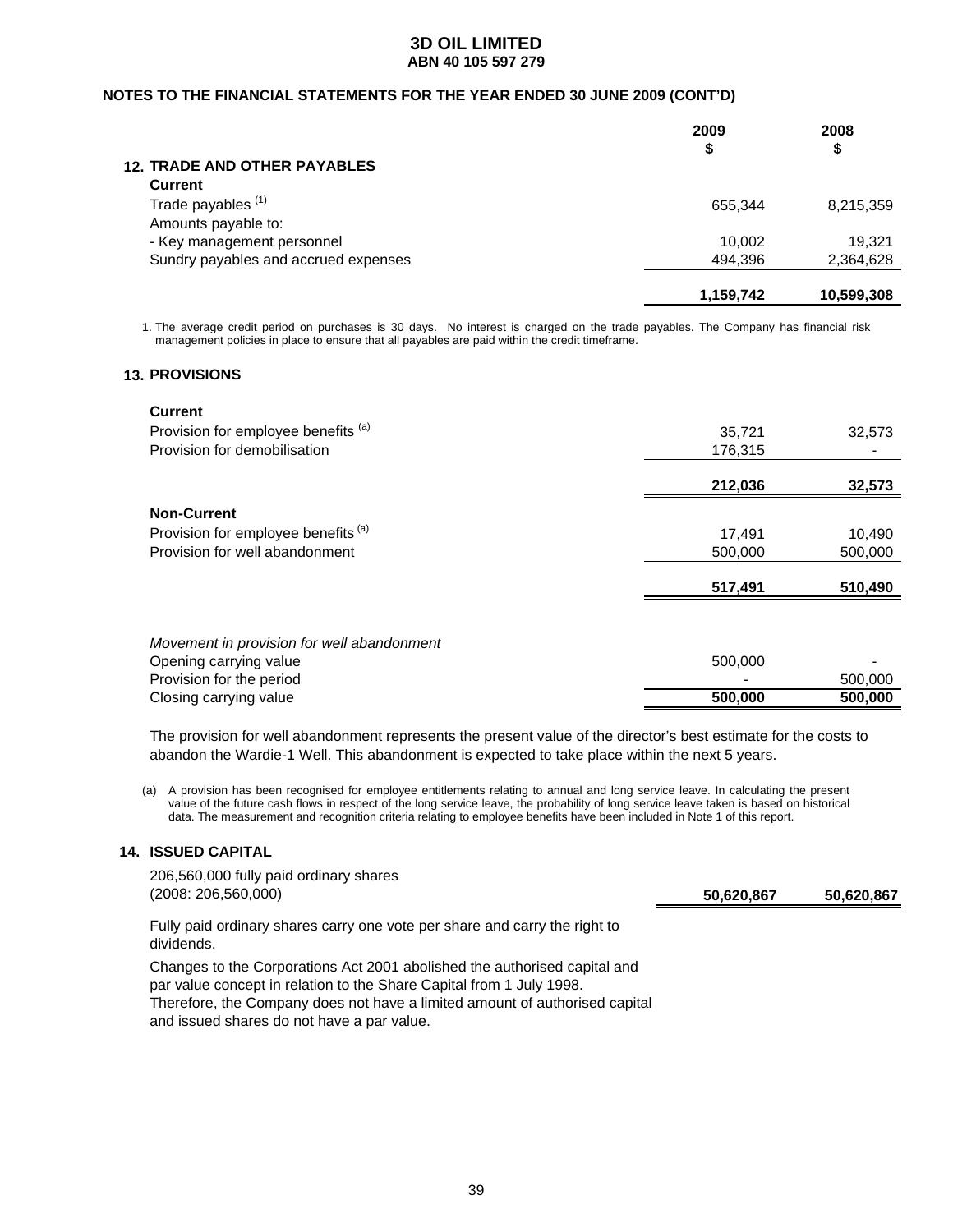### **NOTES TO THE FINANCIAL STATEMENTS FOR THE YEAR ENDED 30 JUNE 2009 (CONT'D)**

|                                      | 2009<br>\$ | 2008<br>\$ |
|--------------------------------------|------------|------------|
| <b>12. TRADE AND OTHER PAYABLES</b>  |            |            |
| <b>Current</b>                       |            |            |
| Trade payables <sup>(1)</sup>        | 655.344    | 8,215,359  |
| Amounts payable to:                  |            |            |
| - Key management personnel           | 10.002     | 19.321     |
| Sundry payables and accrued expenses | 494,396    | 2,364,628  |
|                                      | 1,159,742  | 10,599,308 |

1. The average credit period on purchases is 30 days. No interest is charged on the trade payables. The Company has financial risk management policies in place to ensure that all payables are paid within the credit timeframe.

### **13. PROVISIONS**

| <b>Current</b>                      |         |         |
|-------------------------------------|---------|---------|
| Provision for employee benefits (a) | 35,721  | 32,573  |
| Provision for demobilisation        | 176,315 |         |
|                                     | 212,036 | 32,573  |
| <b>Non-Current</b>                  |         |         |
| Provision for employee benefits (a) | 17.491  | 10.490  |
| Provision for well abandonment      | 500,000 | 500,000 |
|                                     |         |         |
|                                     | 517,491 | 510,490 |

| Closing carrying value                     | 500,000 | 500,000        |
|--------------------------------------------|---------|----------------|
| Provision for the period                   |         | 500,000        |
| Opening carrying value                     | 500,000 | $\blacksquare$ |
| Movement in provision for well abandonment |         |                |

The provision for well abandonment represents the present value of the director's best estimate for the costs to abandon the Wardie-1 Well. This abandonment is expected to take place within the next 5 years.

(a) A provision has been recognised for employee entitlements relating to annual and long service leave. In calculating the present value of the future cash flows in respect of the long service leave, the probability of long service leave taken is based on historical data. The measurement and recognition criteria relating to employee benefits have been included in Note 1 of this report.

### **14. ISSUED CAPITAL**

dividends.

206,560,000 fully paid ordinary shares (2008: 206,560,000) **50,620,867 50,620,867**

Fully paid ordinary shares carry one vote per share and carry the right to

Changes to the Corporations Act 2001 abolished the authorised capital and par value concept in relation to the Share Capital from 1 July 1998. Therefore, the Company does not have a limited amount of authorised capital and issued shares do not have a par value.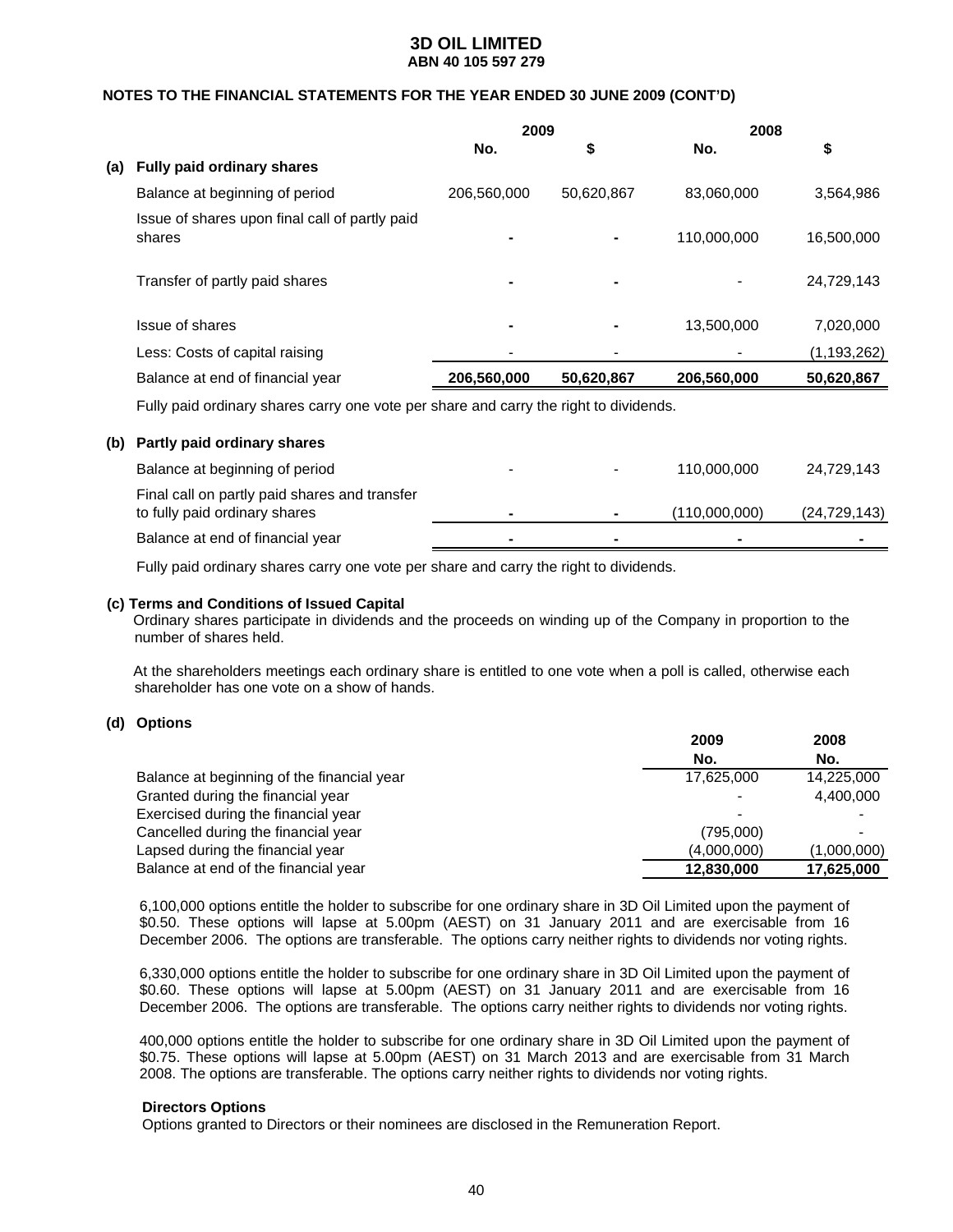### **NOTES TO THE FINANCIAL STATEMENTS FOR THE YEAR ENDED 30 JUNE 2009 (CONT'D)**

|     |                                                                                      | 2009        |            | 2008        |               |
|-----|--------------------------------------------------------------------------------------|-------------|------------|-------------|---------------|
|     |                                                                                      | No.         | \$         | No.         | \$            |
| (a) | <b>Fully paid ordinary shares</b>                                                    |             |            |             |               |
|     | Balance at beginning of period                                                       | 206,560,000 | 50,620,867 | 83,060,000  | 3,564,986     |
|     | Issue of shares upon final call of partly paid<br>shares                             |             | ۰          | 110,000,000 | 16,500,000    |
|     | Transfer of partly paid shares                                                       |             |            |             | 24,729,143    |
|     | Issue of shares                                                                      |             | ۰          | 13,500,000  | 7,020,000     |
|     | Less: Costs of capital raising                                                       |             |            |             | (1, 193, 262) |
|     | Balance at end of financial year                                                     | 206,560,000 | 50,620,867 | 206,560,000 | 50,620,867    |
|     | Fully paid ordinary shares carry one yote per share and carry the right to dividends |             |            |             |               |

Fully paid ordinary shares carry one vote per share and carry the right to dividends.

| Balance at beginning of period<br>110.000.000<br>$\blacksquare$<br>$\overline{\phantom{a}}$<br>Final call on partly paid shares and transfer | (b) Partly paid ordinary shares |  |               |                |
|----------------------------------------------------------------------------------------------------------------------------------------------|---------------------------------|--|---------------|----------------|
|                                                                                                                                              |                                 |  |               | 24,729,143     |
| ۰                                                                                                                                            | to fully paid ordinary shares   |  | (110,000,000) | (24, 729, 143) |
| Balance at end of financial year<br>-<br>-                                                                                                   |                                 |  |               |                |

Fully paid ordinary shares carry one vote per share and carry the right to dividends.

#### **(c) Terms and Conditions of Issued Capital**

 Ordinary shares participate in dividends and the proceeds on winding up of the Company in proportion to the number of shares held.

 At the shareholders meetings each ordinary share is entitled to one vote when a poll is called, otherwise each shareholder has one vote on a show of hands.

#### **(d) Options**

|                                            | 2009        | 2008        |
|--------------------------------------------|-------------|-------------|
|                                            | No.         | No.         |
| Balance at beginning of the financial year | 17.625.000  | 14,225,000  |
| Granted during the financial year          |             | 4,400,000   |
| Exercised during the financial year        |             |             |
| Cancelled during the financial year        | (795,000)   |             |
| Lapsed during the financial year           | (4,000,000) | (1,000,000) |
| Balance at end of the financial year       | 12,830,000  | 17,625,000  |

6,100,000 options entitle the holder to subscribe for one ordinary share in 3D Oil Limited upon the payment of \$0.50. These options will lapse at 5.00pm (AEST) on 31 January 2011 and are exercisable from 16 December 2006. The options are transferable. The options carry neither rights to dividends nor voting rights.

6,330,000 options entitle the holder to subscribe for one ordinary share in 3D Oil Limited upon the payment of \$0.60. These options will lapse at 5.00pm (AEST) on 31 January 2011 and are exercisable from 16 December 2006. The options are transferable. The options carry neither rights to dividends nor voting rights.

400,000 options entitle the holder to subscribe for one ordinary share in 3D Oil Limited upon the payment of \$0.75. These options will lapse at 5.00pm (AEST) on 31 March 2013 and are exercisable from 31 March 2008. The options are transferable. The options carry neither rights to dividends nor voting rights.

#### **Directors Options**

Options granted to Directors or their nominees are disclosed in the Remuneration Report.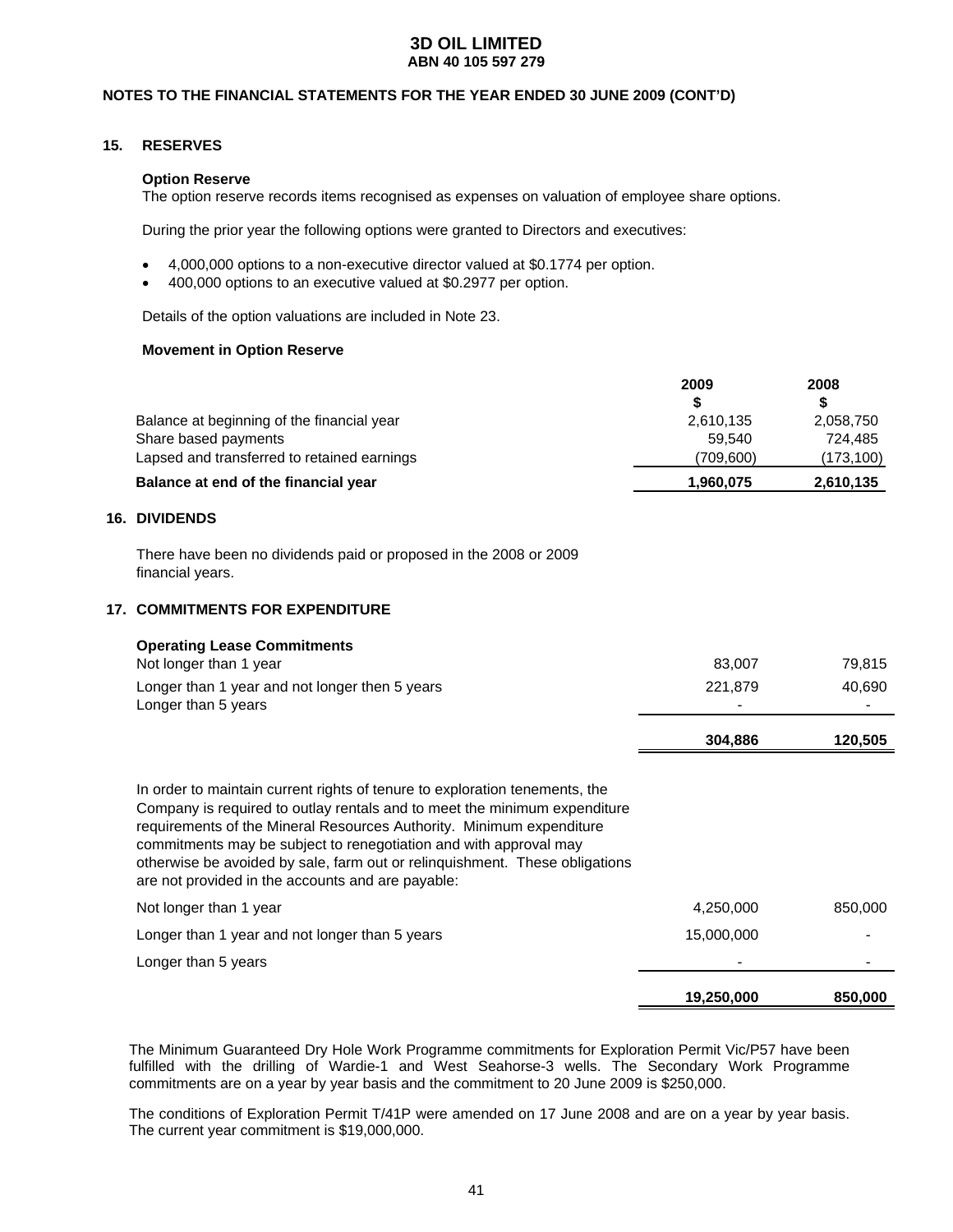### **NOTES TO THE FINANCIAL STATEMENTS FOR THE YEAR ENDED 30 JUNE 2009 (CONT'D)**

### **15. RESERVES**

**16.** 

#### **Option Reserve**

The option reserve records items recognised as expenses on valuation of employee share options.

During the prior year the following options were granted to Directors and executives:

- 4,000,000 options to a non-executive director valued at \$0.1774 per option.
- 400,000 options to an executive valued at \$0.2977 per option.

Details of the option valuations are included in Note 23.

#### **Movement in Option Reserve**

|                                             | 2009      | 2008       |
|---------------------------------------------|-----------|------------|
|                                             | S         | S          |
| Balance at beginning of the financial year  | 2,610,135 | 2,058,750  |
| Share based payments                        | 59.540    | 724,485    |
| Lapsed and transferred to retained earnings | (709,600) | (173, 100) |
| Balance at end of the financial year        | 1,960,075 | 2,610,135  |
| <b>DIVIDENDS</b>                            |           |            |

There have been no dividends paid or proposed in the 2008 or 2009 financial years.

### **17. COMMITMENTS FOR EXPENDITURE**

| <b>Operating Lease Commitments</b><br>Not longer than 1 year<br>Longer than 1 year and not longer then 5 years<br>Longer than 5 years                                                                                                                                                                                                                                                                                                     | 83,007<br>221,879<br>304,886 | 79,815<br>40,690<br>120,505 |
|-------------------------------------------------------------------------------------------------------------------------------------------------------------------------------------------------------------------------------------------------------------------------------------------------------------------------------------------------------------------------------------------------------------------------------------------|------------------------------|-----------------------------|
| In order to maintain current rights of tenure to exploration tenements, the<br>Company is required to outlay rentals and to meet the minimum expenditure<br>requirements of the Mineral Resources Authority. Minimum expenditure<br>commitments may be subject to renegotiation and with approval may<br>otherwise be avoided by sale, farm out or relinguishment. These obligations<br>are not provided in the accounts and are payable: |                              |                             |
| Not longer than 1 year                                                                                                                                                                                                                                                                                                                                                                                                                    | 4,250,000                    | 850,000                     |
| Longer than 1 year and not longer than 5 years                                                                                                                                                                                                                                                                                                                                                                                            | 15,000,000                   |                             |
| Longer than 5 years                                                                                                                                                                                                                                                                                                                                                                                                                       |                              |                             |
|                                                                                                                                                                                                                                                                                                                                                                                                                                           | 19,250,000                   | 850,000                     |

 The Minimum Guaranteed Dry Hole Work Programme commitments for Exploration Permit Vic/P57 have been fulfilled with the drilling of Wardie-1 and West Seahorse-3 wells. The Secondary Work Programme commitments are on a year by year basis and the commitment to 20 June 2009 is \$250,000.

 The conditions of Exploration Permit T/41P were amended on 17 June 2008 and are on a year by year basis. The current year commitment is \$19,000,000.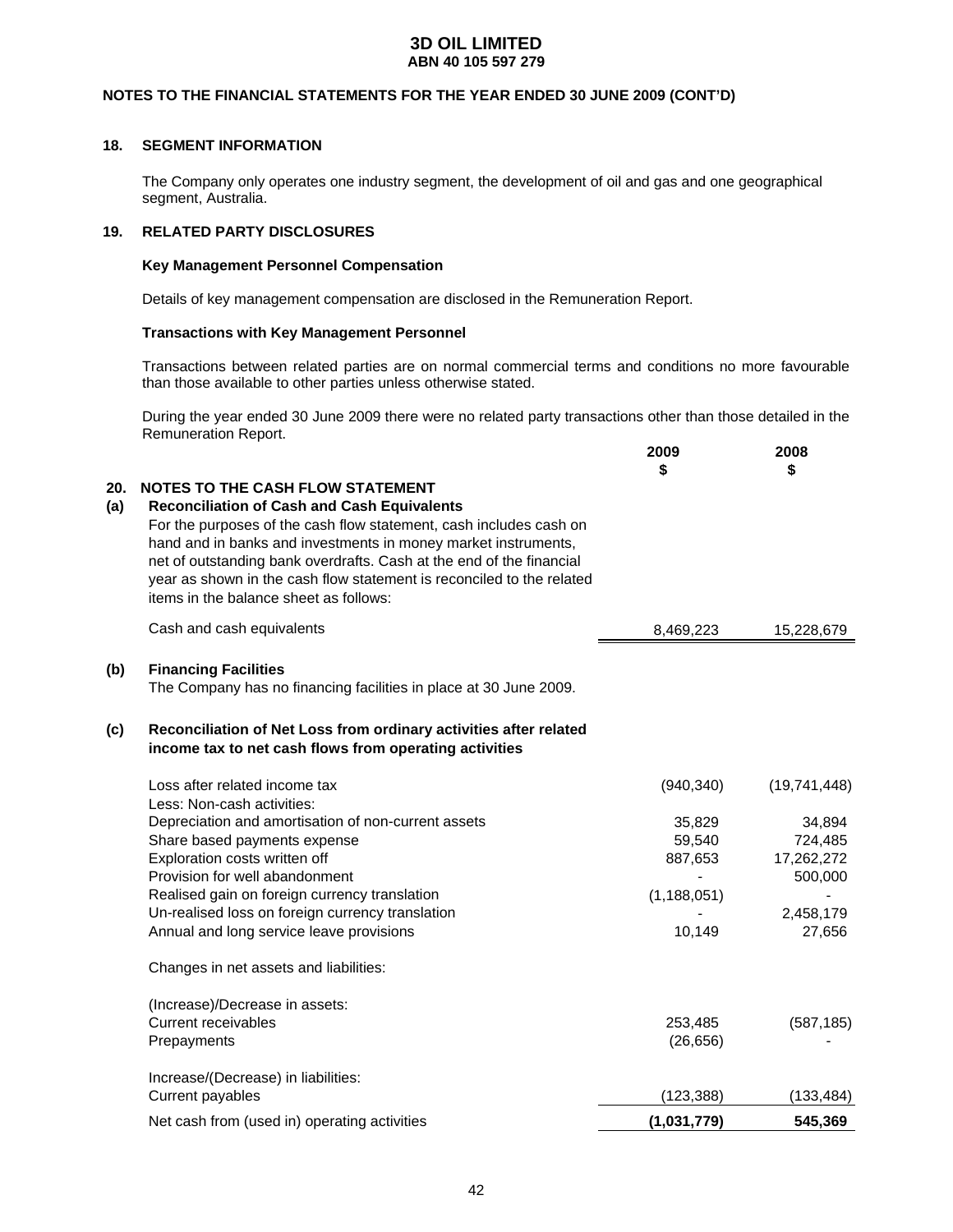### **NOTES TO THE FINANCIAL STATEMENTS FOR THE YEAR ENDED 30 JUNE 2009 (CONT'D)**

### **18. SEGMENT INFORMATION**

 The Company only operates one industry segment, the development of oil and gas and one geographical segment, Australia.

### **19. RELATED PARTY DISCLOSURES**

#### **Key Management Personnel Compensation**

Details of key management compensation are disclosed in the Remuneration Report.

#### **Transactions with Key Management Personnel**

 Transactions between related parties are on normal commercial terms and conditions no more favourable than those available to other parties unless otherwise stated.

During the year ended 30 June 2009 there were no related party transactions other than those detailed in the Remuneration Report.

|            |                                                                                                                                                                                                                                                                                                                                                                                                                                  | 2009<br>\$    | 2008<br>\$   |
|------------|----------------------------------------------------------------------------------------------------------------------------------------------------------------------------------------------------------------------------------------------------------------------------------------------------------------------------------------------------------------------------------------------------------------------------------|---------------|--------------|
| 20.<br>(a) | <b>NOTES TO THE CASH FLOW STATEMENT</b><br><b>Reconciliation of Cash and Cash Equivalents</b><br>For the purposes of the cash flow statement, cash includes cash on<br>hand and in banks and investments in money market instruments,<br>net of outstanding bank overdrafts. Cash at the end of the financial<br>year as shown in the cash flow statement is reconciled to the related<br>items in the balance sheet as follows: |               |              |
|            | Cash and cash equivalents                                                                                                                                                                                                                                                                                                                                                                                                        | 8,469,223     | 15,228,679   |
| (b)        | <b>Financing Facilities</b><br>The Company has no financing facilities in place at 30 June 2009.                                                                                                                                                                                                                                                                                                                                 |               |              |
| (c)        | Reconciliation of Net Loss from ordinary activities after related<br>income tax to net cash flows from operating activities                                                                                                                                                                                                                                                                                                      |               |              |
|            | Loss after related income tax<br>Less: Non-cash activities:                                                                                                                                                                                                                                                                                                                                                                      | (940, 340)    | (19,741,448) |
|            | Depreciation and amortisation of non-current assets                                                                                                                                                                                                                                                                                                                                                                              | 35,829        | 34,894       |
|            | Share based payments expense                                                                                                                                                                                                                                                                                                                                                                                                     | 59,540        | 724,485      |
|            | Exploration costs written off                                                                                                                                                                                                                                                                                                                                                                                                    | 887,653       | 17,262,272   |
|            | Provision for well abandonment                                                                                                                                                                                                                                                                                                                                                                                                   |               | 500,000      |
|            | Realised gain on foreign currency translation                                                                                                                                                                                                                                                                                                                                                                                    | (1, 188, 051) |              |
|            | Un-realised loss on foreign currency translation                                                                                                                                                                                                                                                                                                                                                                                 |               | 2,458,179    |
|            | Annual and long service leave provisions                                                                                                                                                                                                                                                                                                                                                                                         | 10,149        | 27,656       |
|            | Changes in net assets and liabilities:                                                                                                                                                                                                                                                                                                                                                                                           |               |              |
|            | (Increase)/Decrease in assets:                                                                                                                                                                                                                                                                                                                                                                                                   |               |              |
|            | <b>Current receivables</b>                                                                                                                                                                                                                                                                                                                                                                                                       | 253,485       | (587, 185)   |
|            | Prepayments                                                                                                                                                                                                                                                                                                                                                                                                                      | (26, 656)     |              |
|            | Increase/(Decrease) in liabilities:                                                                                                                                                                                                                                                                                                                                                                                              |               |              |
|            | Current payables                                                                                                                                                                                                                                                                                                                                                                                                                 | (123, 388)    | (133, 484)   |
|            | Net cash from (used in) operating activities                                                                                                                                                                                                                                                                                                                                                                                     | (1,031,779)   | 545,369      |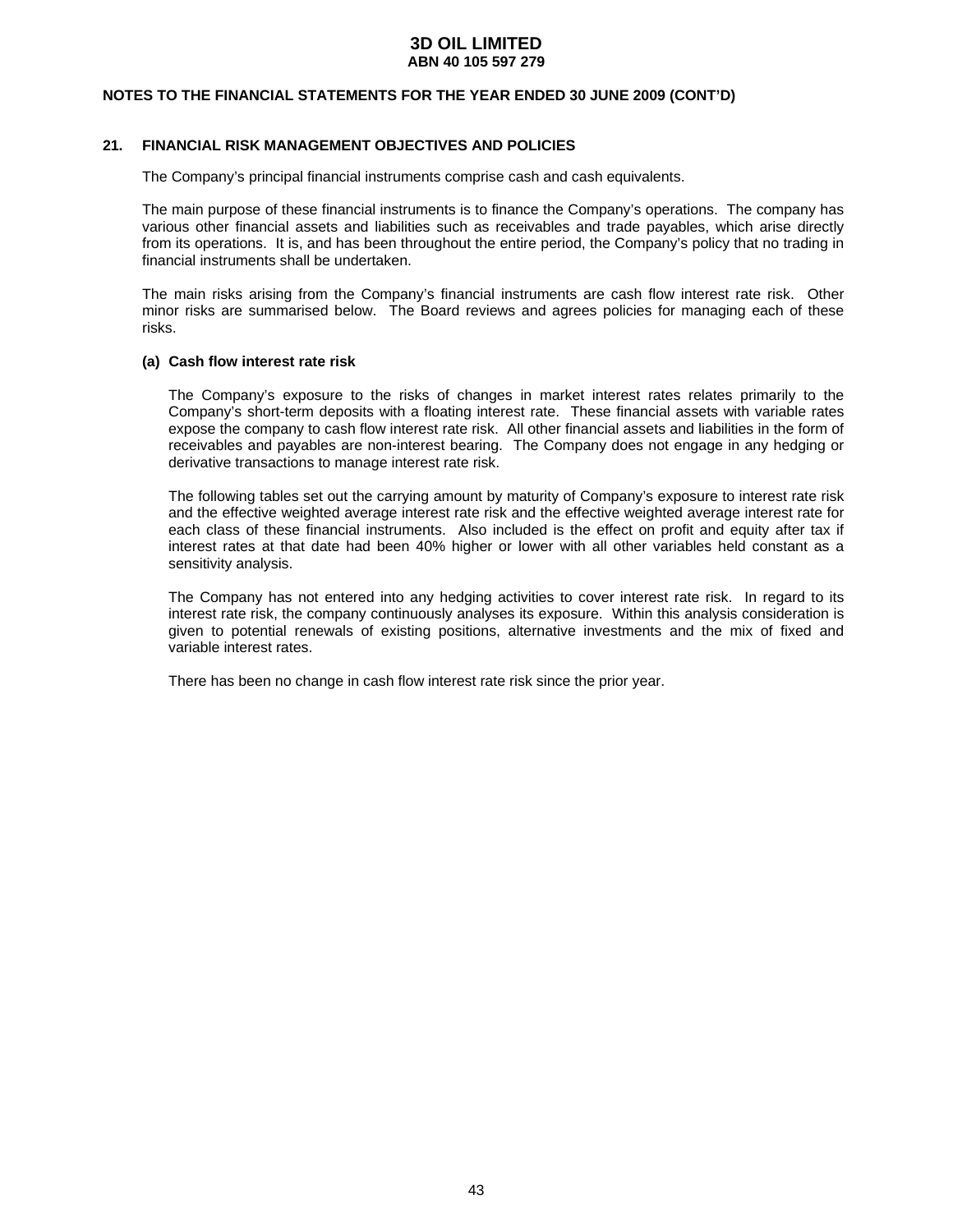### **NOTES TO THE FINANCIAL STATEMENTS FOR THE YEAR ENDED 30 JUNE 2009 (CONT'D)**

### **21. FINANCIAL RISK MANAGEMENT OBJECTIVES AND POLICIES**

The Company's principal financial instruments comprise cash and cash equivalents.

 The main purpose of these financial instruments is to finance the Company's operations. The company has various other financial assets and liabilities such as receivables and trade payables, which arise directly from its operations. It is, and has been throughout the entire period, the Company's policy that no trading in financial instruments shall be undertaken.

 The main risks arising from the Company's financial instruments are cash flow interest rate risk. Other minor risks are summarised below. The Board reviews and agrees policies for managing each of these risks.

#### **(a) Cash flow interest rate risk**

 The Company's exposure to the risks of changes in market interest rates relates primarily to the Company's short-term deposits with a floating interest rate. These financial assets with variable rates expose the company to cash flow interest rate risk. All other financial assets and liabilities in the form of receivables and payables are non-interest bearing. The Company does not engage in any hedging or derivative transactions to manage interest rate risk.

 The following tables set out the carrying amount by maturity of Company's exposure to interest rate risk and the effective weighted average interest rate risk and the effective weighted average interest rate for each class of these financial instruments. Also included is the effect on profit and equity after tax if interest rates at that date had been 40% higher or lower with all other variables held constant as a sensitivity analysis.

 The Company has not entered into any hedging activities to cover interest rate risk. In regard to its interest rate risk, the company continuously analyses its exposure. Within this analysis consideration is given to potential renewals of existing positions, alternative investments and the mix of fixed and variable interest rates.

There has been no change in cash flow interest rate risk since the prior year.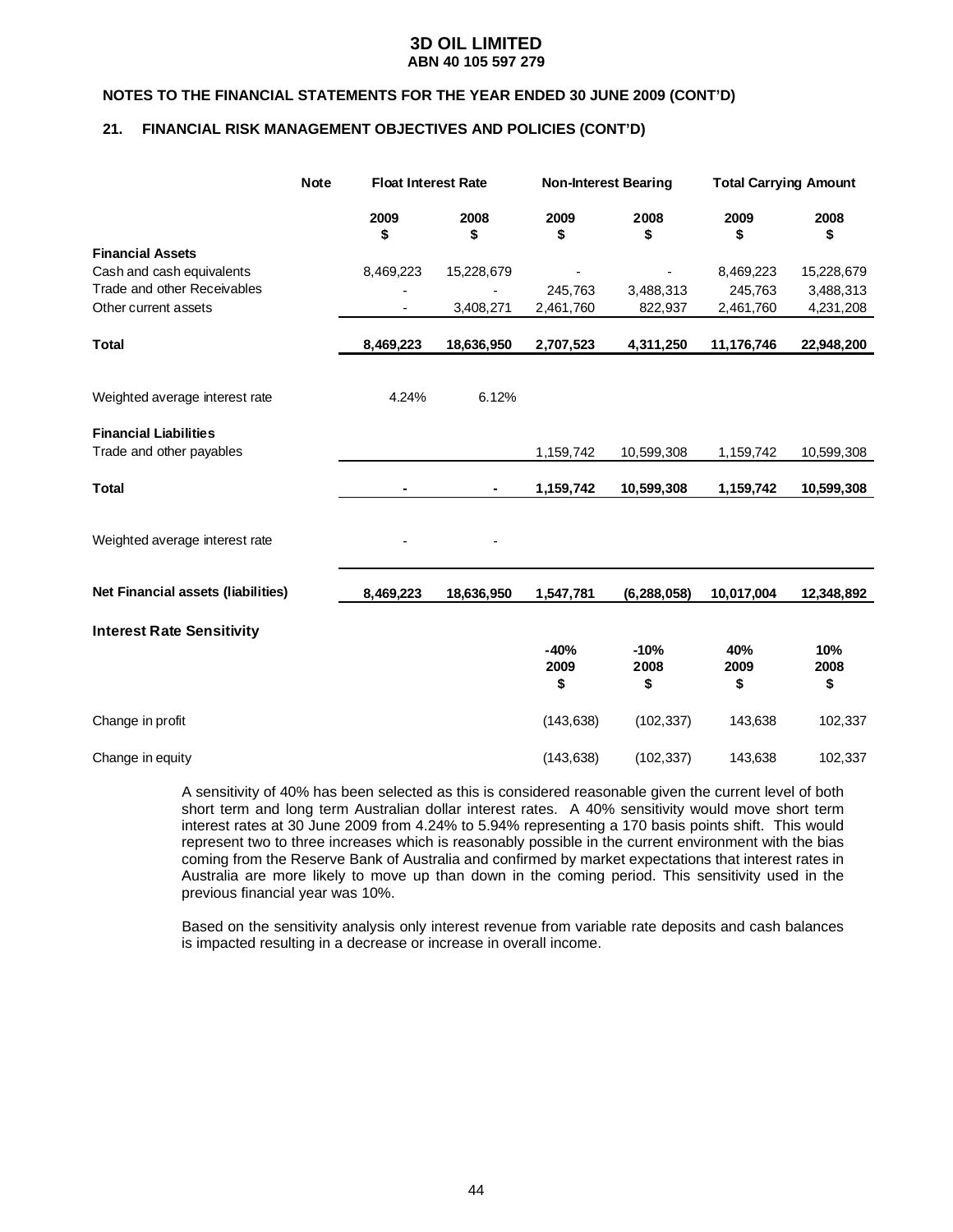### **NOTES TO THE FINANCIAL STATEMENTS FOR THE YEAR ENDED 30 JUNE 2009 (CONT'D)**

### **21. FINANCIAL RISK MANAGEMENT OBJECTIVES AND POLICIES (CONT'D)**

|                                           | <b>Note</b> | <b>Float Interest Rate</b> |            | <b>Non-Interest Bearing</b> |                      | <b>Total Carrying Amount</b> |                   |
|-------------------------------------------|-------------|----------------------------|------------|-----------------------------|----------------------|------------------------------|-------------------|
|                                           |             | 2009<br>\$                 | 2008<br>\$ | 2009<br>\$                  | 2008<br>\$           | 2009<br>\$                   | 2008<br>\$        |
| <b>Financial Assets</b>                   |             |                            |            |                             |                      |                              |                   |
| Cash and cash equivalents                 |             | 8,469,223                  | 15,228,679 |                             | $\overline{a}$       | 8,469,223                    | 15,228,679        |
| Trade and other Receivables               |             |                            |            | 245,763                     | 3,488,313            | 245,763                      | 3,488,313         |
| Other current assets                      |             |                            | 3,408,271  | 2,461,760                   | 822,937              | 2,461,760                    | 4,231,208         |
| <b>Total</b>                              |             | 8,469,223                  | 18,636,950 | 2,707,523                   | 4,311,250            | 11,176,746                   | 22,948,200        |
| Weighted average interest rate            |             | 4.24%                      | 6.12%      |                             |                      |                              |                   |
| <b>Financial Liabilities</b>              |             |                            |            |                             |                      |                              |                   |
| Trade and other payables                  |             |                            |            | 1,159,742                   | 10,599,308           | 1,159,742                    | 10,599,308        |
| <b>Total</b>                              |             |                            | ۰          | 1,159,742                   | 10,599,308           | 1,159,742                    | 10,599,308        |
| Weighted average interest rate            |             |                            |            |                             |                      |                              |                   |
| <b>Net Financial assets (liabilities)</b> |             | 8,469,223                  | 18,636,950 | 1,547,781                   | (6, 288, 058)        | 10,017,004                   | 12,348,892        |
| <b>Interest Rate Sensitivity</b>          |             |                            |            |                             |                      |                              |                   |
|                                           |             |                            |            | $-40%$<br>2009<br>\$        | $-10%$<br>2008<br>\$ | 40%<br>2009<br>\$            | 10%<br>2008<br>\$ |
| Change in profit                          |             |                            |            | (143, 638)                  | (102, 337)           | 143,638                      | 102,337           |
| Change in equity                          |             |                            |            | (143, 638)                  | (102, 337)           | 143,638                      | 102,337           |

 A sensitivity of 40% has been selected as this is considered reasonable given the current level of both short term and long term Australian dollar interest rates. A 40% sensitivity would move short term interest rates at 30 June 2009 from 4.24% to 5.94% representing a 170 basis points shift. This would represent two to three increases which is reasonably possible in the current environment with the bias coming from the Reserve Bank of Australia and confirmed by market expectations that interest rates in Australia are more likely to move up than down in the coming period. This sensitivity used in the previous financial year was 10%.

 Based on the sensitivity analysis only interest revenue from variable rate deposits and cash balances is impacted resulting in a decrease or increase in overall income.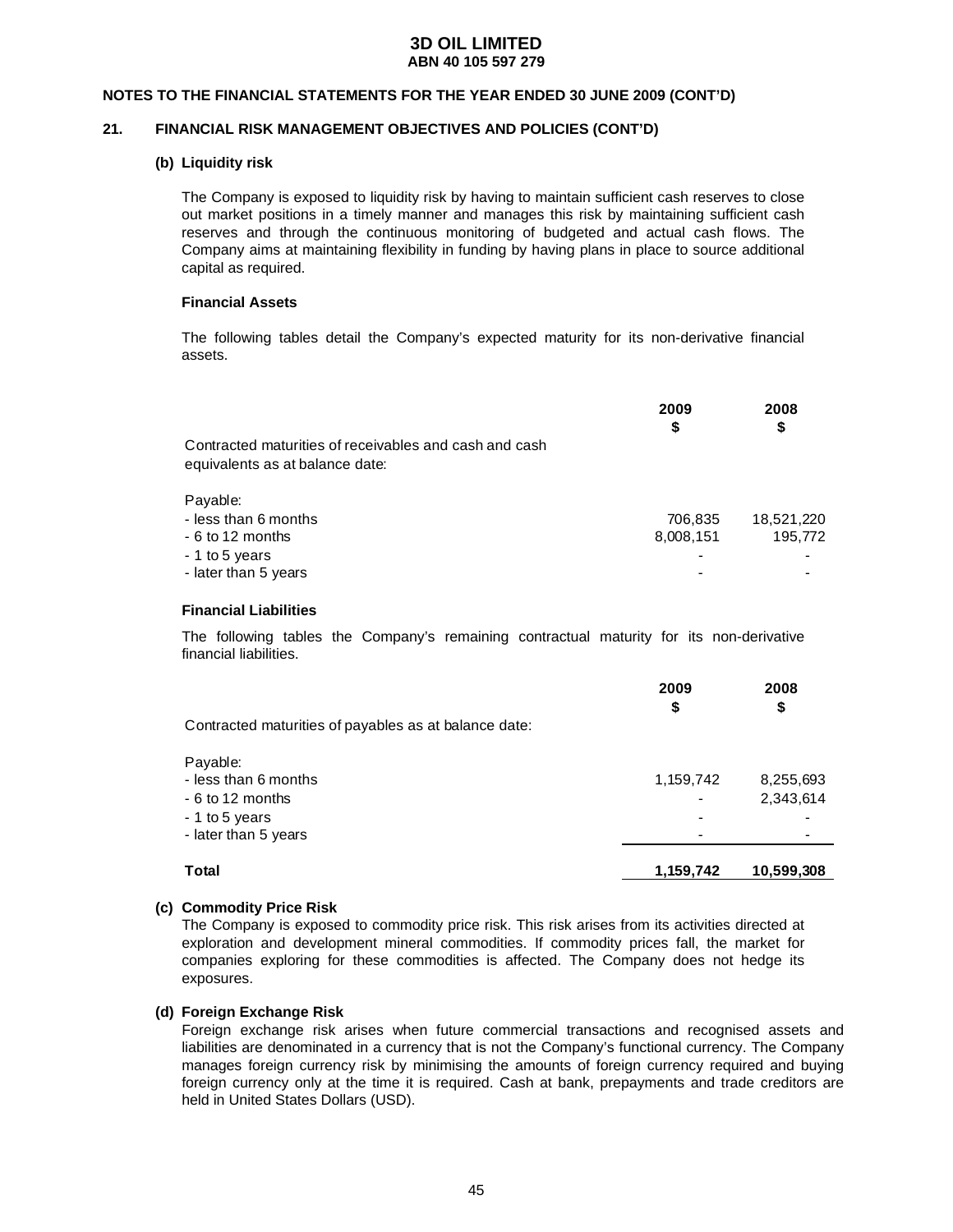#### **NOTES TO THE FINANCIAL STATEMENTS FOR THE YEAR ENDED 30 JUNE 2009 (CONT'D)**

### **21. FINANCIAL RISK MANAGEMENT OBJECTIVES AND POLICIES (CONT'D)**

### **(b) Liquidity risk**

The Company is exposed to liquidity risk by having to maintain sufficient cash reserves to close out market positions in a timely manner and manages this risk by maintaining sufficient cash reserves and through the continuous monitoring of budgeted and actual cash flows. The Company aims at maintaining flexibility in funding by having plans in place to source additional capital as required.

#### **Financial Assets**

The following tables detail the Company's expected maturity for its non-derivative financial assets.

|                                                        | 2009<br>S | 2008<br>\$ |
|--------------------------------------------------------|-----------|------------|
| Contracted maturities of receivables and cash and cash |           |            |
| equivalents as at balance date:                        |           |            |
| Payable:                                               |           |            |
| - less than 6 months                                   | 706,835   | 18,521,220 |
| - 6 to 12 months                                       | 8,008,151 | 195,772    |
| - 1 to 5 years                                         |           |            |
| - later than 5 years                                   |           |            |

#### **Financial Liabilities**

The following tables the Company's remaining contractual maturity for its non-derivative financial liabilities.

| Contracted maturities of payables as at balance date:                                          | 2009<br>\$ | 2008<br>\$             |
|------------------------------------------------------------------------------------------------|------------|------------------------|
| Payable:<br>- less than 6 months<br>- 6 to 12 months<br>- 1 to 5 years<br>- later than 5 years | 1,159,742  | 8,255,693<br>2,343,614 |
| Total                                                                                          | 1,159,742  | 10.599.308             |

#### **(c) Commodity Price Risk**

The Company is exposed to commodity price risk. This risk arises from its activities directed at exploration and development mineral commodities. If commodity prices fall, the market for companies exploring for these commodities is affected. The Company does not hedge its exposures.

### **(d) Foreign Exchange Risk**

 Foreign exchange risk arises when future commercial transactions and recognised assets and liabilities are denominated in a currency that is not the Company's functional currency. The Company manages foreign currency risk by minimising the amounts of foreign currency required and buying foreign currency only at the time it is required. Cash at bank, prepayments and trade creditors are held in United States Dollars (USD).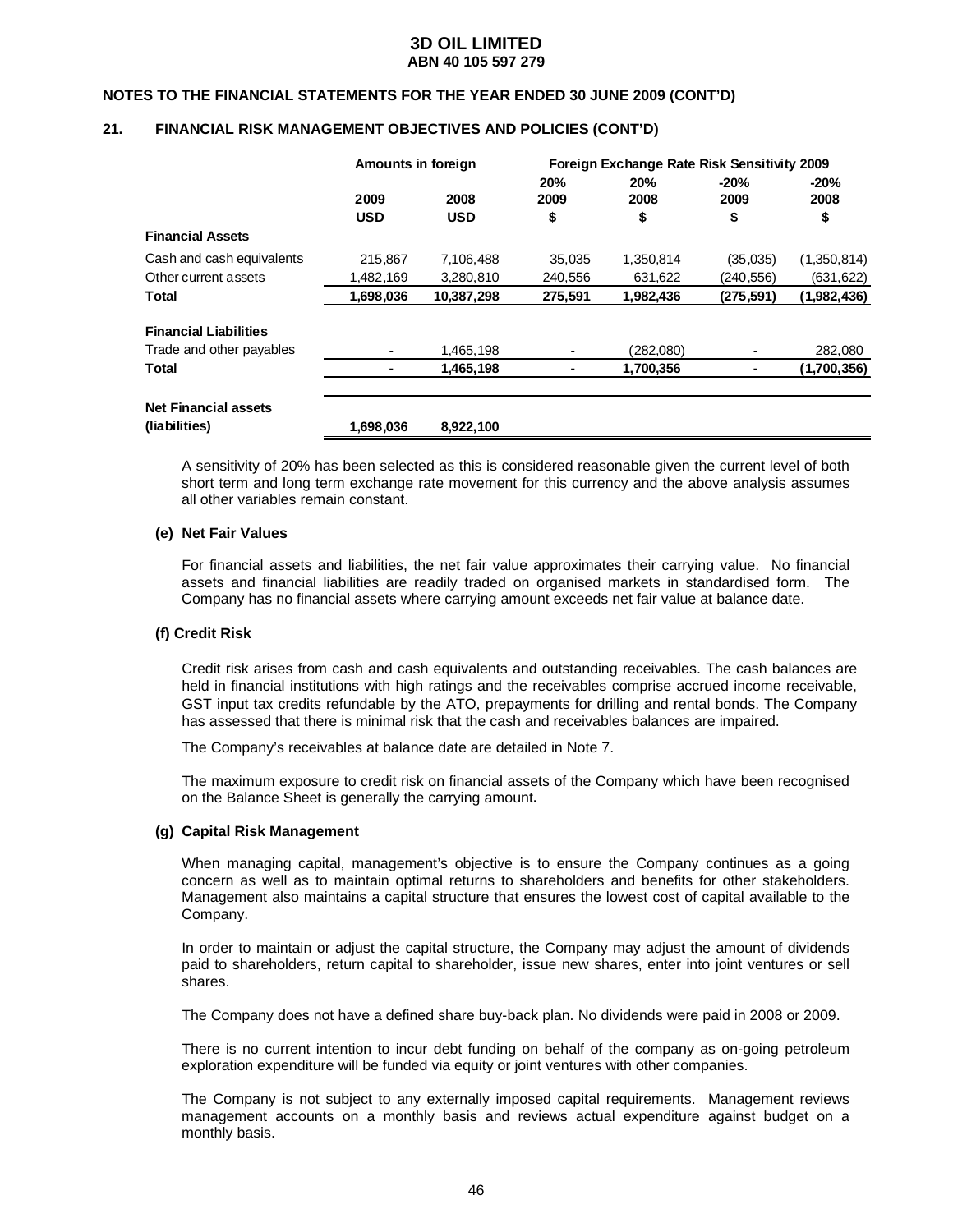#### **NOTES TO THE FINANCIAL STATEMENTS FOR THE YEAR ENDED 30 JUNE 2009 (CONT'D)**

### **21. FINANCIAL RISK MANAGEMENT OBJECTIVES AND POLICIES (CONT'D)**

|                                              | Amounts in foreign |                    |                   | Foreign Exchange Rate Risk Sensitivity 2009 |                      |                      |
|----------------------------------------------|--------------------|--------------------|-------------------|---------------------------------------------|----------------------|----------------------|
|                                              | 2009<br><b>USD</b> | 2008<br><b>USD</b> | 20%<br>2009<br>\$ | 20%<br>2008<br>\$                           | $-20%$<br>2009<br>\$ | $-20%$<br>2008<br>\$ |
| <b>Financial Assets</b>                      |                    |                    |                   |                                             |                      |                      |
| Cash and cash equivalents                    | 215.867            | 7.106.488          | 35.035            | 1.350.814                                   | (35,035)             | (1,350,814)          |
| Other current assets                         | 1,482,169          | 3,280,810          | 240,556           | 631,622                                     | (240, 556)           | (631, 622)           |
| Total                                        | 1,698,036          | 10,387,298         | 275.591           | 1,982,436                                   | (275.591)            | (1,982,436)          |
| <b>Financial Liabilities</b>                 |                    |                    |                   |                                             |                      |                      |
| Trade and other payables                     |                    | 1.465.198          |                   | (282.080)                                   |                      | 282,080              |
| <b>Total</b>                                 |                    | 1,465,198          |                   | 1,700,356                                   |                      | (1,700,356)          |
| <b>Net Financial assets</b><br>(liabilities) | 1,698,036          | 8,922,100          |                   |                                             |                      |                      |

A sensitivity of 20% has been selected as this is considered reasonable given the current level of both short term and long term exchange rate movement for this currency and the above analysis assumes all other variables remain constant.

#### **(e) Net Fair Values**

 For financial assets and liabilities, the net fair value approximates their carrying value. No financial assets and financial liabilities are readily traded on organised markets in standardised form. The Company has no financial assets where carrying amount exceeds net fair value at balance date.

#### **(f) Credit Risk**

Credit risk arises from cash and cash equivalents and outstanding receivables. The cash balances are held in financial institutions with high ratings and the receivables comprise accrued income receivable, GST input tax credits refundable by the ATO, prepayments for drilling and rental bonds. The Company has assessed that there is minimal risk that the cash and receivables balances are impaired.

The Company's receivables at balance date are detailed in Note 7.

The maximum exposure to credit risk on financial assets of the Company which have been recognised on the Balance Sheet is generally the carrying amount**.** 

#### **(g) Capital Risk Management**

 When managing capital, management's objective is to ensure the Company continues as a going concern as well as to maintain optimal returns to shareholders and benefits for other stakeholders. Management also maintains a capital structure that ensures the lowest cost of capital available to the Company.

 In order to maintain or adjust the capital structure, the Company may adjust the amount of dividends paid to shareholders, return capital to shareholder, issue new shares, enter into joint ventures or sell shares.

The Company does not have a defined share buy-back plan. No dividends were paid in 2008 or 2009.

 There is no current intention to incur debt funding on behalf of the company as on-going petroleum exploration expenditure will be funded via equity or joint ventures with other companies.

 The Company is not subject to any externally imposed capital requirements. Management reviews management accounts on a monthly basis and reviews actual expenditure against budget on a monthly basis.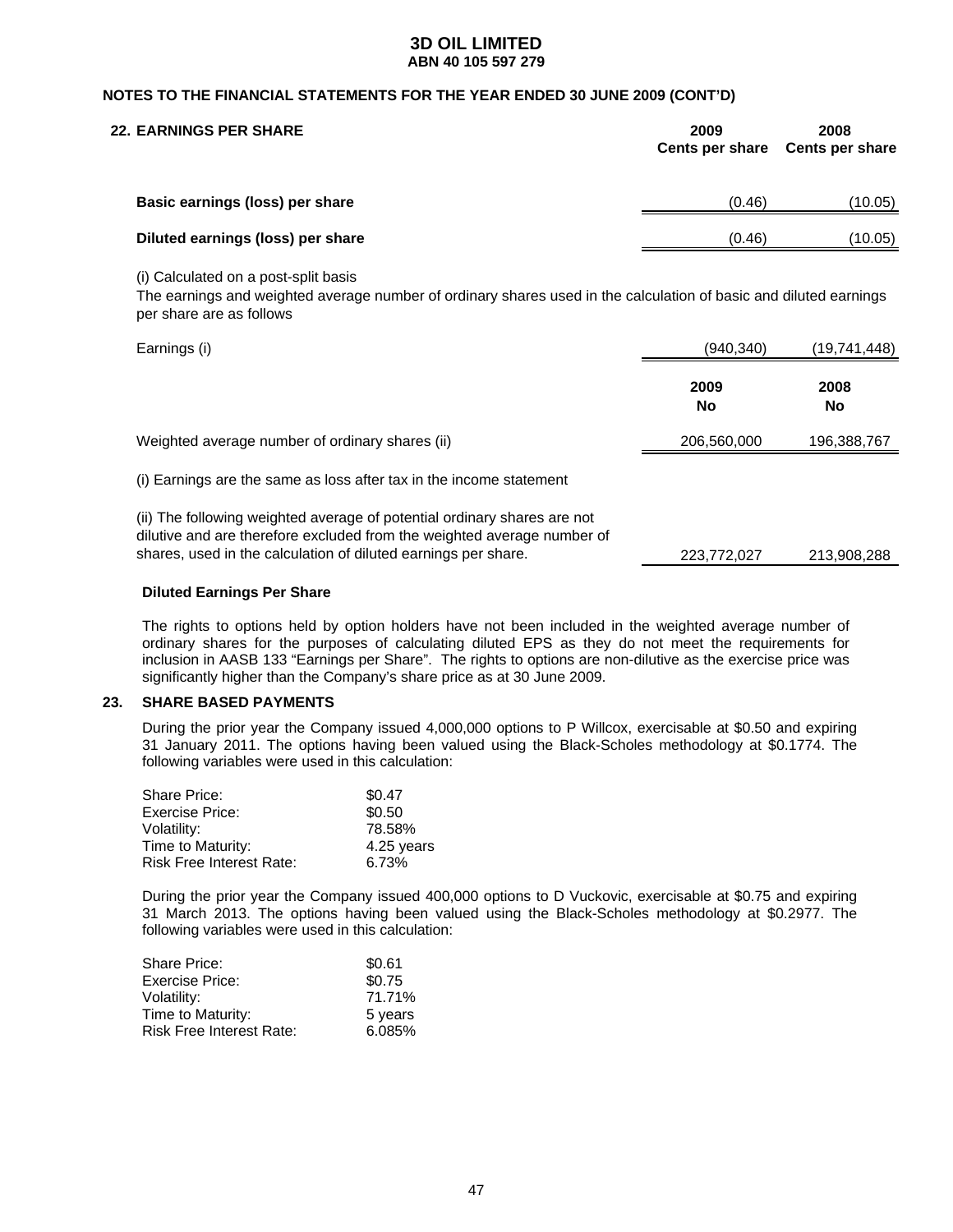### **NOTES TO THE FINANCIAL STATEMENTS FOR THE YEAR ENDED 30 JUNE 2009 (CONT'D)**

| <b>22. EARNINGS PER SHARE</b>     | 2009<br><b>Cents per share</b> | 2008<br><b>Cents per share</b> |
|-----------------------------------|--------------------------------|--------------------------------|
| Basic earnings (loss) per share   | (0.46)                         | (10.05)                        |
| Diluted earnings (loss) per share | (0.46)                         | (10.05)                        |

(i) Calculated on a post-split basis

The earnings and weighted average number of ordinary shares used in the calculation of basic and diluted earnings per share are as follows

| Earnings (i)                                                                                                                                                                                                          | (940,340)   | (19,741,448)      |
|-----------------------------------------------------------------------------------------------------------------------------------------------------------------------------------------------------------------------|-------------|-------------------|
|                                                                                                                                                                                                                       | 2009<br>No  | 2008<br><b>No</b> |
| Weighted average number of ordinary shares (ii)                                                                                                                                                                       | 206,560,000 | 196,388,767       |
| (i) Earnings are the same as loss after tax in the income statement                                                                                                                                                   |             |                   |
| (ii) The following weighted average of potential ordinary shares are not<br>dilutive and are therefore excluded from the weighted average number of<br>shares, used in the calculation of diluted earnings per share. | 223.772.027 | 213,908,288       |

#### **Diluted Earnings Per Share**

The rights to options held by option holders have not been included in the weighted average number of ordinary shares for the purposes of calculating diluted EPS as they do not meet the requirements for inclusion in AASB 133 "Earnings per Share". The rights to options are non-dilutive as the exercise price was significantly higher than the Company's share price as at 30 June 2009.

### **23. SHARE BASED PAYMENTS**

 During the prior year the Company issued 4,000,000 options to P Willcox, exercisable at \$0.50 and expiring 31 January 2011. The options having been valued using the Black-Scholes methodology at \$0.1774. The following variables were used in this calculation:

| Share Price:             | \$0.47     |
|--------------------------|------------|
| <b>Exercise Price:</b>   | \$0.50     |
| Volatility:              | 78.58%     |
| Time to Maturity:        | 4.25 years |
| Risk Free Interest Rate: | 6.73%      |

 During the prior year the Company issued 400,000 options to D Vuckovic, exercisable at \$0.75 and expiring 31 March 2013. The options having been valued using the Black-Scholes methodology at \$0.2977. The following variables were used in this calculation:

| <b>Share Price:</b>             | \$0.61  |
|---------------------------------|---------|
| Exercise Price:                 | \$0.75  |
| Volatility:                     | 71.71%  |
| Time to Maturity:               | 5 years |
| <b>Risk Free Interest Rate:</b> | 6.085%  |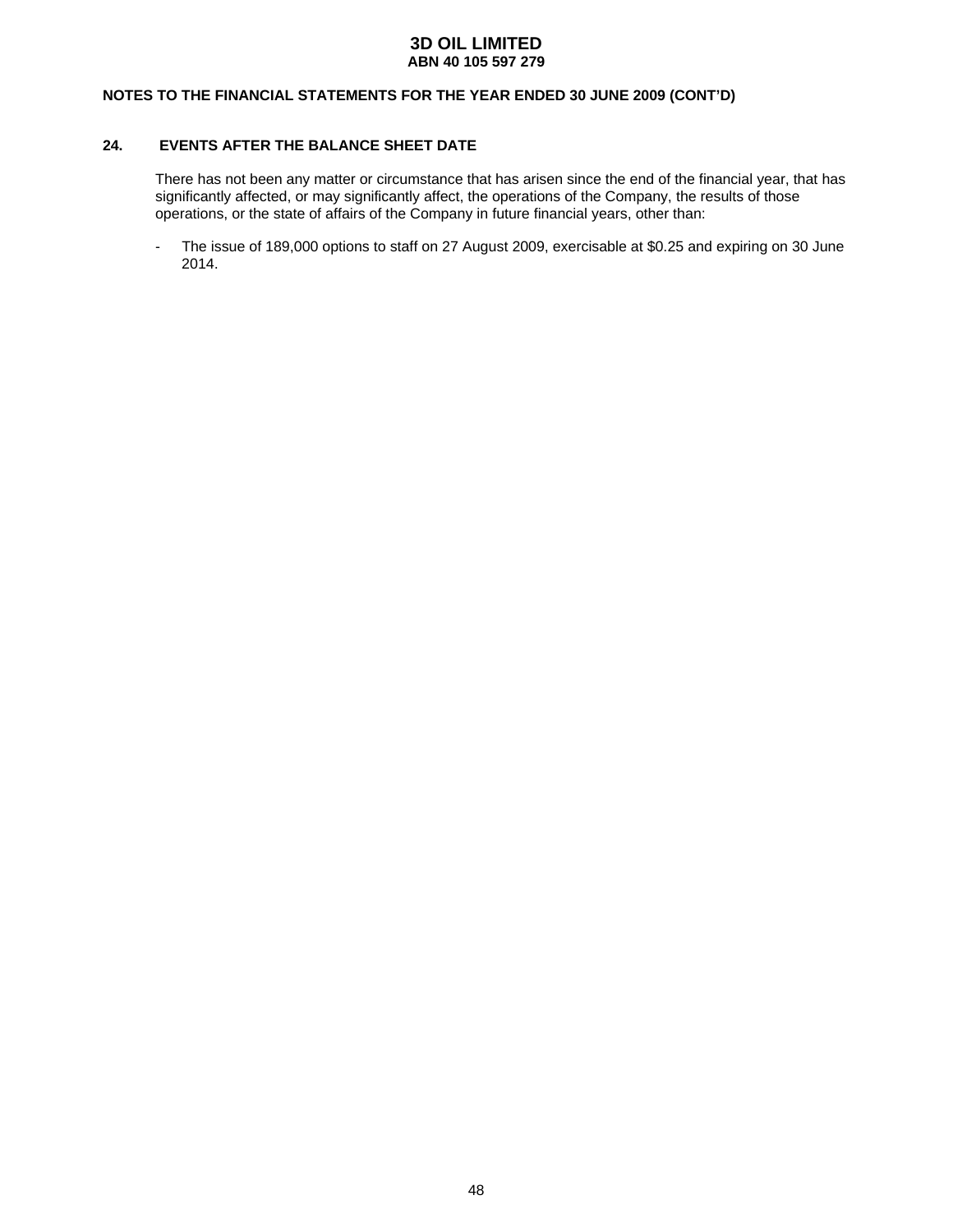### **NOTES TO THE FINANCIAL STATEMENTS FOR THE YEAR ENDED 30 JUNE 2009 (CONT'D)**

## **24. EVENTS AFTER THE BALANCE SHEET DATE**

 There has not been any matter or circumstance that has arisen since the end of the financial year, that has significantly affected, or may significantly affect, the operations of the Company, the results of those operations, or the state of affairs of the Company in future financial years, other than:

- The issue of 189,000 options to staff on 27 August 2009, exercisable at \$0.25 and expiring on 30 June 2014.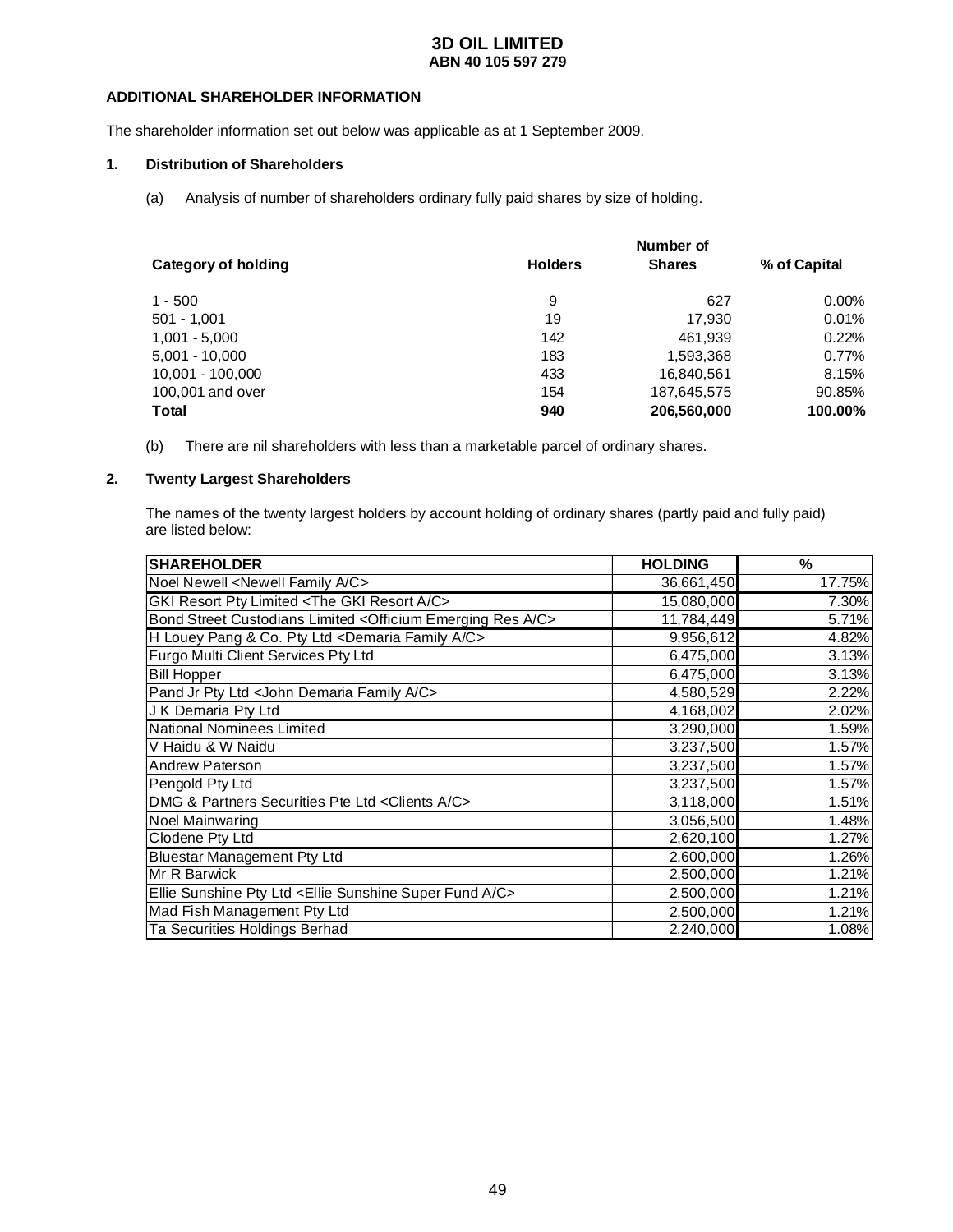### **ADDITIONAL SHAREHOLDER INFORMATION**

The shareholder information set out below was applicable as at 1 September 2009.

### **1. Distribution of Shareholders**

(a) Analysis of number of shareholders ordinary fully paid shares by size of holding.

|                     |                | Number of     |              |  |  |  |
|---------------------|----------------|---------------|--------------|--|--|--|
| Category of holding | <b>Holders</b> | <b>Shares</b> | % of Capital |  |  |  |
| $1 - 500$           | 9              | 627           | $0.00\%$     |  |  |  |
| $501 - 1,001$       | 19             | 17.930        | 0.01%        |  |  |  |
| $1,001 - 5,000$     | 142            | 461.939       | 0.22%        |  |  |  |
| $5,001 - 10,000$    | 183            | 1,593,368     | 0.77%        |  |  |  |
| 10.001 - 100.000    | 433            | 16,840,561    | 8.15%        |  |  |  |
| 100,001 and over    | 154            | 187,645,575   | 90.85%       |  |  |  |
| <b>Total</b>        | 940            | 206,560,000   | 100.00%      |  |  |  |

(b) There are nil shareholders with less than a marketable parcel of ordinary shares.

### **2. Twenty Largest Shareholders**

 The names of the twenty largest holders by account holding of ordinary shares (partly paid and fully paid) are listed below:

| <b>SHAREHOLDER</b>                                                            | <b>HOLDING</b> | %      |
|-------------------------------------------------------------------------------|----------------|--------|
| Noel Newell <newell a="" c="" family=""></newell>                             | 36,661,450     | 17.75% |
| GKI Resort Pty Limited <the a="" c="" gki="" resort=""></the>                 | 15,080,000     | 7.30%  |
| Bond Street Custodians Limited < Officium Emerging Res A/C>                   | 11,784,449     | 5.71%  |
| H Louey Pang & Co. Pty Ltd <demaria a="" c="" family=""></demaria>            | 9,956,612      | 4.82%  |
| Furgo Multi Client Services Pty Ltd                                           | 6,475,000      | 3.13%  |
| <b>Bill Hopper</b>                                                            | 6,475,000      | 3.13%  |
| Pand Jr Pty Ltd < John Demaria Family A/C>                                    | 4,580,529      | 2.22%  |
| J K Demaria Pty Ltd                                                           | 4,168,002      | 2.02%  |
| National Nominees Limited                                                     | 3,290,000      | 1.59%  |
| V Haidu & W Naidu                                                             | 3,237,500      | 1.57%  |
| <b>Andrew Paterson</b>                                                        | 3,237,500      | 1.57%  |
| Pengold Pty Ltd                                                               | 3,237,500      | 1.57%  |
| DMG & Partners Securities Pte Ltd < Clients A/C>                              | 3,118,000      | 1.51%  |
| <b>Noel Mainwaring</b>                                                        | 3,056,500      | 1.48%  |
| Clodene Pty Ltd                                                               | 2,620,100      | 1.27%  |
| <b>Bluestar Management Pty Ltd</b>                                            | 2,600,000      | 1.26%  |
| Mr R Barwick                                                                  | 2,500,000      | 1.21%  |
| Ellie Sunshine Pty Ltd <ellie a="" c="" fund="" sunshine="" super=""></ellie> | 2,500,000      | 1.21%  |
| Mad Fish Management Pty Ltd                                                   | 2,500,000      | 1.21%  |
| Ta Securities Holdings Berhad                                                 | 2,240,000      | 1.08%  |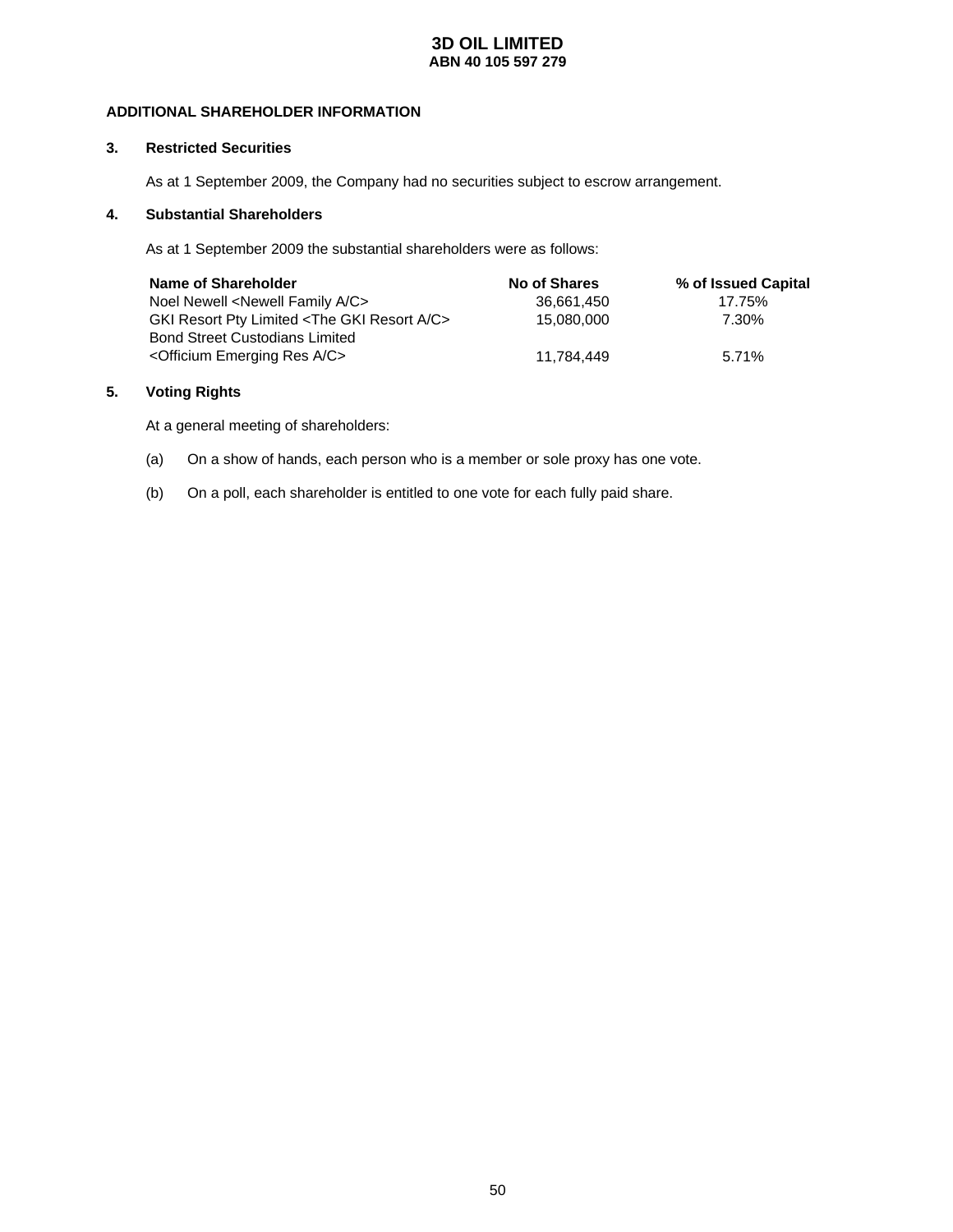### **ADDITIONAL SHAREHOLDER INFORMATION**

### **3. Restricted Securities**

As at 1 September 2009, the Company had no securities subject to escrow arrangement.

### **4. Substantial Shareholders**

As at 1 September 2009 the substantial shareholders were as follows:

| Name of Shareholder                                           | <b>No of Shares</b> | % of Issued Capital |
|---------------------------------------------------------------|---------------------|---------------------|
| Noel Newell <newell a="" c="" family=""></newell>             | 36.661.450          | 17.75%              |
| GKI Resort Pty Limited <the a="" c="" gki="" resort=""></the> | 15.080.000          | 7.30%               |
| <b>Bond Street Custodians Limited</b>                         |                     |                     |
| <officium a="" c="" emerging="" res=""></officium>            | 11.784.449          | 5.71%               |

### **5. Voting Rights**

At a general meeting of shareholders:

- (a) On a show of hands, each person who is a member or sole proxy has one vote.
- (b) On a poll, each shareholder is entitled to one vote for each fully paid share.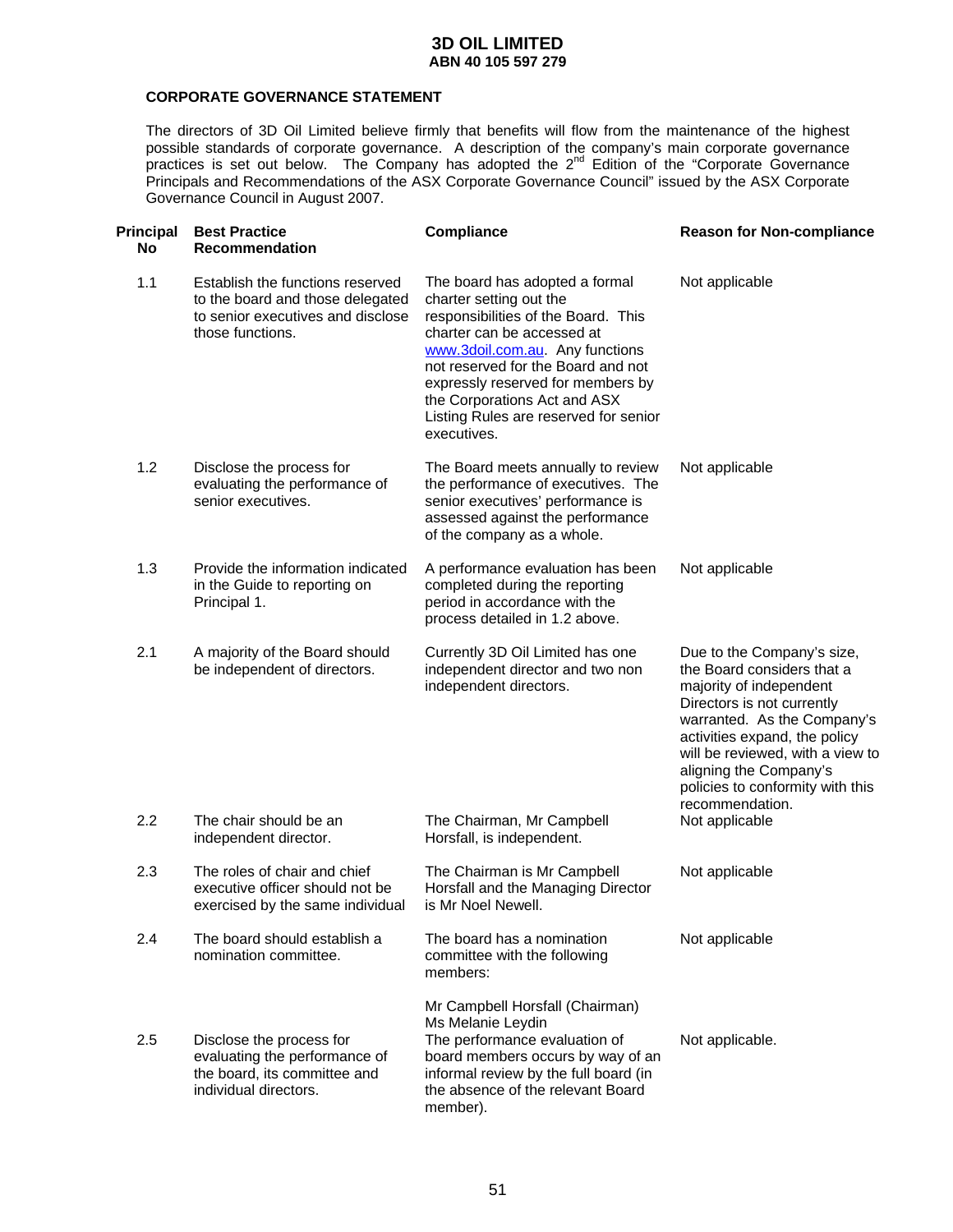### **CORPORATE GOVERNANCE STATEMENT**

The directors of 3D Oil Limited believe firmly that benefits will flow from the maintenance of the highest possible standards of corporate governance. A description of the company's main corporate governance practices is set out below. The Company has adopted the  $2<sup>nd</sup>$  Edition of the "Corporate Governance Principals and Recommendations of the ASX Corporate Governance Council" issued by the ASX Corporate Governance Council in August 2007.

| <b>Principal</b><br><b>No</b> | <b>Best Practice</b><br><b>Recommendation</b>                                                                                 | <b>Compliance</b>                                                                                                                                                                                                                                                                                                                    | <b>Reason for Non-compliance</b>                                                                                                                                                                                                                                                                       |
|-------------------------------|-------------------------------------------------------------------------------------------------------------------------------|--------------------------------------------------------------------------------------------------------------------------------------------------------------------------------------------------------------------------------------------------------------------------------------------------------------------------------------|--------------------------------------------------------------------------------------------------------------------------------------------------------------------------------------------------------------------------------------------------------------------------------------------------------|
| 1.1                           | Establish the functions reserved<br>to the board and those delegated<br>to senior executives and disclose<br>those functions. | The board has adopted a formal<br>charter setting out the<br>responsibilities of the Board. This<br>charter can be accessed at<br>www.3doil.com.au. Any functions<br>not reserved for the Board and not<br>expressly reserved for members by<br>the Corporations Act and ASX<br>Listing Rules are reserved for senior<br>executives. | Not applicable                                                                                                                                                                                                                                                                                         |
| 1.2                           | Disclose the process for<br>evaluating the performance of<br>senior executives.                                               | The Board meets annually to review<br>the performance of executives. The<br>senior executives' performance is<br>assessed against the performance<br>of the company as a whole.                                                                                                                                                      | Not applicable                                                                                                                                                                                                                                                                                         |
| 1.3                           | Provide the information indicated<br>in the Guide to reporting on<br>Principal 1.                                             | A performance evaluation has been<br>completed during the reporting<br>period in accordance with the<br>process detailed in 1.2 above.                                                                                                                                                                                               | Not applicable                                                                                                                                                                                                                                                                                         |
| 2.1                           | A majority of the Board should<br>be independent of directors.                                                                | Currently 3D Oil Limited has one<br>independent director and two non<br>independent directors.                                                                                                                                                                                                                                       | Due to the Company's size,<br>the Board considers that a<br>majority of independent<br>Directors is not currently<br>warranted. As the Company's<br>activities expand, the policy<br>will be reviewed, with a view to<br>aligning the Company's<br>policies to conformity with this<br>recommendation. |
| 2.2                           | The chair should be an<br>independent director.                                                                               | The Chairman, Mr Campbell<br>Horsfall, is independent.                                                                                                                                                                                                                                                                               | Not applicable                                                                                                                                                                                                                                                                                         |
| 2.3                           | The roles of chair and chief<br>executive officer should not be<br>exercised by the same individual                           | The Chairman is Mr Campbell<br>Horsfall and the Managing Director<br>is Mr Noel Newell.                                                                                                                                                                                                                                              | Not applicable                                                                                                                                                                                                                                                                                         |
| 2.4                           | The board should establish a<br>nomination committee.                                                                         | The board has a nomination<br>committee with the following<br>members:                                                                                                                                                                                                                                                               | Not applicable                                                                                                                                                                                                                                                                                         |
| 2.5                           | Disclose the process for<br>evaluating the performance of<br>the board, its committee and<br>individual directors.            | Mr Campbell Horsfall (Chairman)<br>Ms Melanie Leydin<br>The performance evaluation of<br>board members occurs by way of an<br>informal review by the full board (in<br>the absence of the relevant Board<br>member).                                                                                                                 | Not applicable.                                                                                                                                                                                                                                                                                        |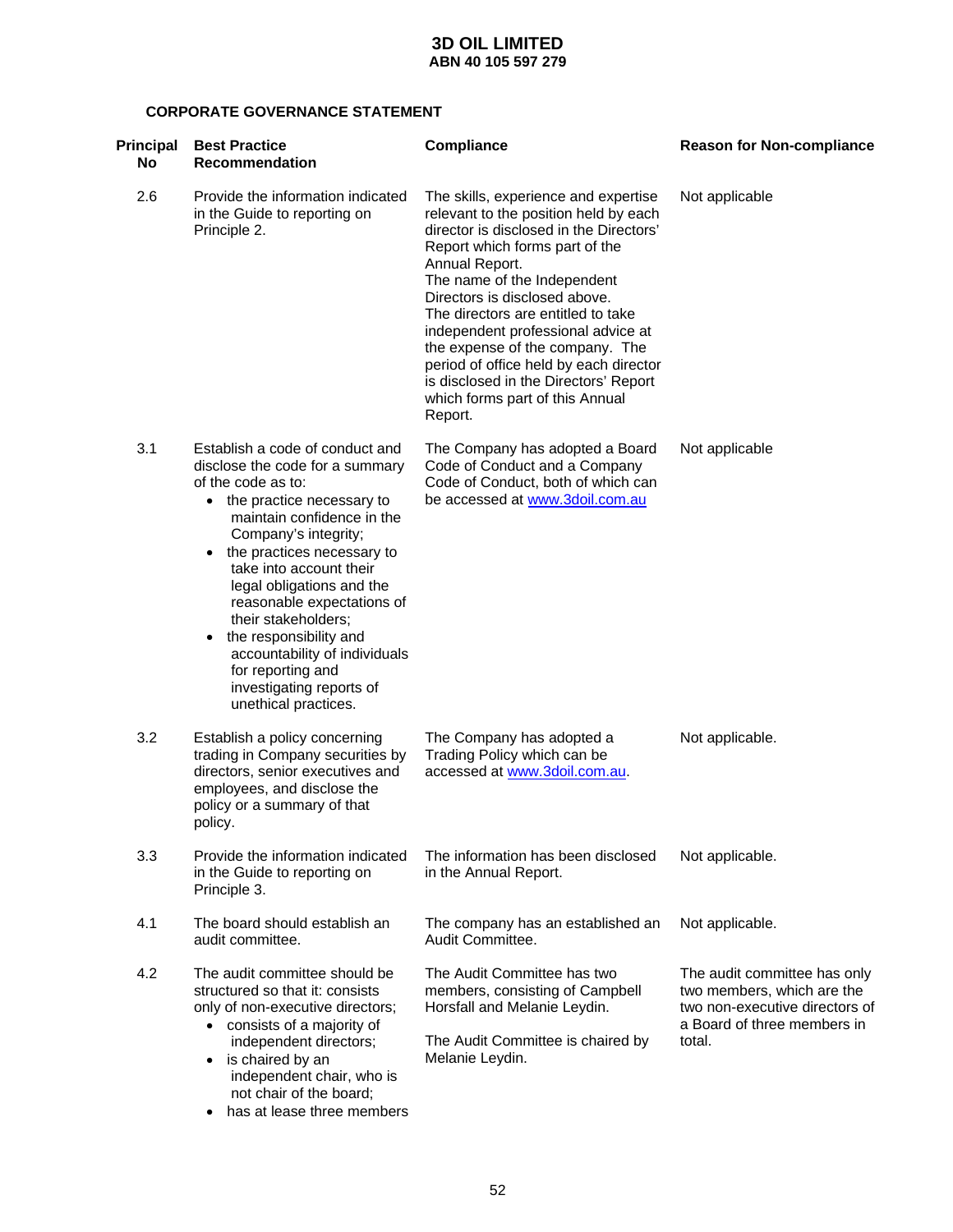### **CORPORATE GOVERNANCE STATEMENT**

| Principal<br><b>No</b> | <b>Best Practice</b><br><b>Recommendation</b>                                                                                                                                                                                                                                                                                                                                                                                                                               | Compliance                                                                                                                                                                                                                                                                                                                                                                                                                                                                                   | <b>Reason for Non-compliance</b>                                                                                                      |
|------------------------|-----------------------------------------------------------------------------------------------------------------------------------------------------------------------------------------------------------------------------------------------------------------------------------------------------------------------------------------------------------------------------------------------------------------------------------------------------------------------------|----------------------------------------------------------------------------------------------------------------------------------------------------------------------------------------------------------------------------------------------------------------------------------------------------------------------------------------------------------------------------------------------------------------------------------------------------------------------------------------------|---------------------------------------------------------------------------------------------------------------------------------------|
| 2.6                    | Provide the information indicated<br>in the Guide to reporting on<br>Principle 2.                                                                                                                                                                                                                                                                                                                                                                                           | The skills, experience and expertise<br>relevant to the position held by each<br>director is disclosed in the Directors'<br>Report which forms part of the<br>Annual Report.<br>The name of the Independent<br>Directors is disclosed above.<br>The directors are entitled to take<br>independent professional advice at<br>the expense of the company. The<br>period of office held by each director<br>is disclosed in the Directors' Report<br>which forms part of this Annual<br>Report. | Not applicable                                                                                                                        |
| 3.1                    | Establish a code of conduct and<br>disclose the code for a summary<br>of the code as to:<br>• the practice necessary to<br>maintain confidence in the<br>Company's integrity;<br>• the practices necessary to<br>take into account their<br>legal obligations and the<br>reasonable expectations of<br>their stakeholders;<br>the responsibility and<br>$\bullet$<br>accountability of individuals<br>for reporting and<br>investigating reports of<br>unethical practices. | The Company has adopted a Board<br>Code of Conduct and a Company<br>Code of Conduct, both of which can<br>be accessed at www.3doil.com.au                                                                                                                                                                                                                                                                                                                                                    | Not applicable                                                                                                                        |
| 3.2                    | Establish a policy concerning<br>trading in Company securities by<br>directors, senior executives and<br>employees, and disclose the<br>policy or a summary of that<br>policy.                                                                                                                                                                                                                                                                                              | The Company has adopted a<br>Trading Policy which can be<br>accessed at www.3doil.com.au.                                                                                                                                                                                                                                                                                                                                                                                                    | Not applicable.                                                                                                                       |
| 3.3                    | Provide the information indicated<br>in the Guide to reporting on<br>Principle 3.                                                                                                                                                                                                                                                                                                                                                                                           | The information has been disclosed<br>in the Annual Report.                                                                                                                                                                                                                                                                                                                                                                                                                                  | Not applicable.                                                                                                                       |
| 4.1                    | The board should establish an<br>audit committee.                                                                                                                                                                                                                                                                                                                                                                                                                           | The company has an established an<br>Audit Committee.                                                                                                                                                                                                                                                                                                                                                                                                                                        | Not applicable.                                                                                                                       |
| 4.2                    | The audit committee should be<br>structured so that it: consists<br>only of non-executive directors;<br>• consists of a majority of<br>independent directors;<br>is chaired by an<br>$\bullet$<br>independent chair, who is<br>not chair of the board;                                                                                                                                                                                                                      | The Audit Committee has two<br>members, consisting of Campbell<br>Horsfall and Melanie Leydin.<br>The Audit Committee is chaired by<br>Melanie Leydin.                                                                                                                                                                                                                                                                                                                                       | The audit committee has only<br>two members, which are the<br>two non-executive directors of<br>a Board of three members in<br>total. |

• has at lease three members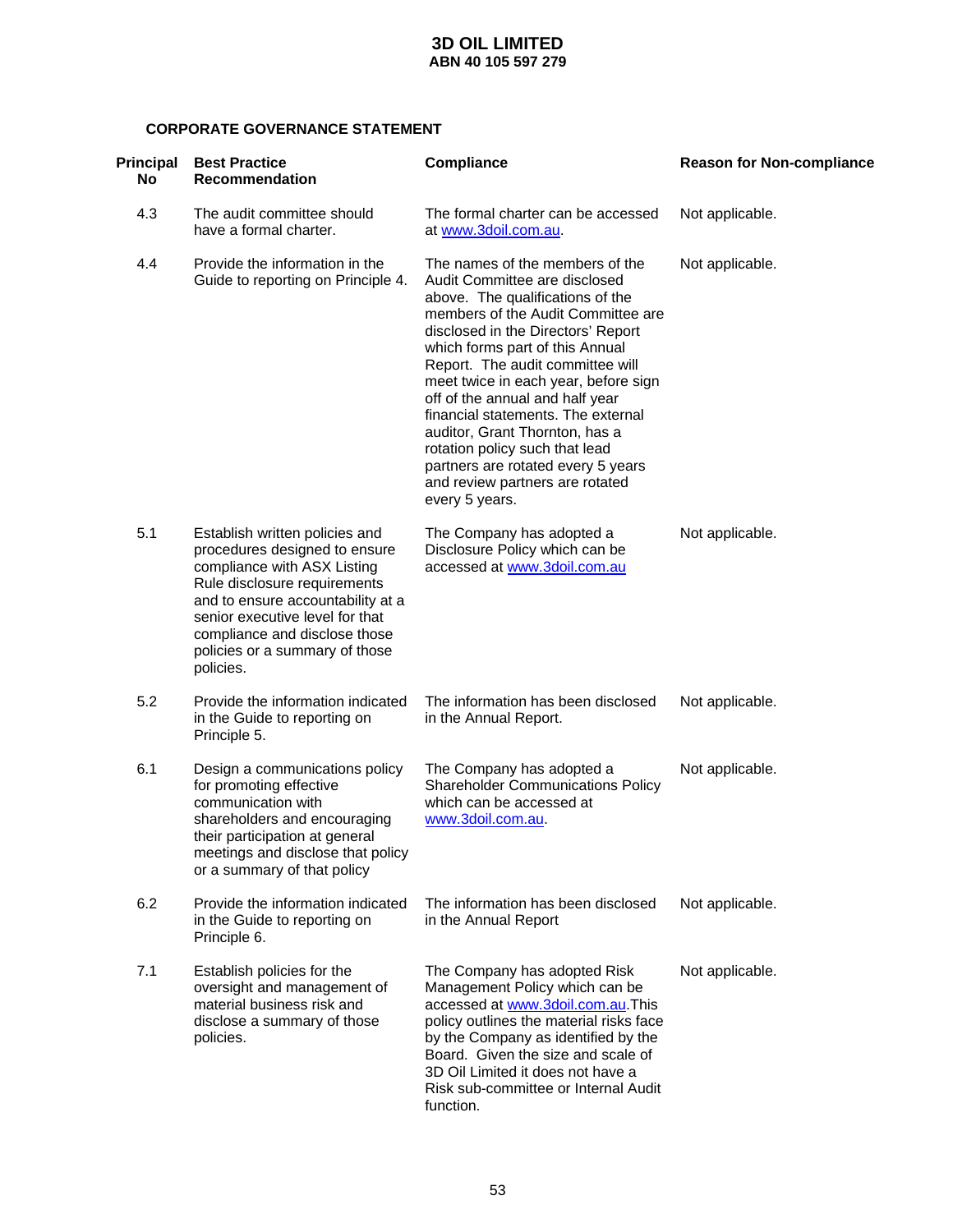### **CORPORATE GOVERNANCE STATEMENT**

| Principal<br><b>No</b> | <b>Best Practice</b><br><b>Recommendation</b>                                                                                                                                                                                                                                          | <b>Compliance</b>                                                                                                                                                                                                                                                                                                                                                                                                                                                                                                                       | <b>Reason for Non-compliance</b> |
|------------------------|----------------------------------------------------------------------------------------------------------------------------------------------------------------------------------------------------------------------------------------------------------------------------------------|-----------------------------------------------------------------------------------------------------------------------------------------------------------------------------------------------------------------------------------------------------------------------------------------------------------------------------------------------------------------------------------------------------------------------------------------------------------------------------------------------------------------------------------------|----------------------------------|
| 4.3                    | The audit committee should<br>have a formal charter.                                                                                                                                                                                                                                   | The formal charter can be accessed<br>at www.3doil.com.au.                                                                                                                                                                                                                                                                                                                                                                                                                                                                              | Not applicable.                  |
| 4.4                    | Provide the information in the<br>Guide to reporting on Principle 4.                                                                                                                                                                                                                   | The names of the members of the<br>Audit Committee are disclosed<br>above. The qualifications of the<br>members of the Audit Committee are<br>disclosed in the Directors' Report<br>which forms part of this Annual<br>Report. The audit committee will<br>meet twice in each year, before sign<br>off of the annual and half year<br>financial statements. The external<br>auditor, Grant Thornton, has a<br>rotation policy such that lead<br>partners are rotated every 5 years<br>and review partners are rotated<br>every 5 years. | Not applicable.                  |
| 5.1                    | Establish written policies and<br>procedures designed to ensure<br>compliance with ASX Listing<br>Rule disclosure requirements<br>and to ensure accountability at a<br>senior executive level for that<br>compliance and disclose those<br>policies or a summary of those<br>policies. | The Company has adopted a<br>Disclosure Policy which can be<br>accessed at www.3doil.com.au                                                                                                                                                                                                                                                                                                                                                                                                                                             | Not applicable.                  |
| 5.2                    | Provide the information indicated<br>in the Guide to reporting on<br>Principle 5.                                                                                                                                                                                                      | The information has been disclosed<br>in the Annual Report.                                                                                                                                                                                                                                                                                                                                                                                                                                                                             | Not applicable.                  |
| 6.1                    | Design a communications policy<br>for promoting effective<br>communication with<br>shareholders and encouraging<br>their participation at general<br>meetings and disclose that policy<br>or a summary of that policy                                                                  | The Company has adopted a<br><b>Shareholder Communications Policy</b><br>which can be accessed at<br>www.3doil.com.au.                                                                                                                                                                                                                                                                                                                                                                                                                  | Not applicable.                  |
| 6.2                    | Provide the information indicated<br>in the Guide to reporting on<br>Principle 6.                                                                                                                                                                                                      | The information has been disclosed<br>in the Annual Report                                                                                                                                                                                                                                                                                                                                                                                                                                                                              | Not applicable.                  |
| 7.1                    | Establish policies for the<br>oversight and management of<br>material business risk and<br>disclose a summary of those<br>policies.                                                                                                                                                    | The Company has adopted Risk<br>Management Policy which can be<br>accessed at www.3doil.com.au.This<br>policy outlines the material risks face<br>by the Company as identified by the<br>Board. Given the size and scale of<br>3D Oil Limited it does not have a<br>Risk sub-committee or Internal Audit<br>function.                                                                                                                                                                                                                   | Not applicable.                  |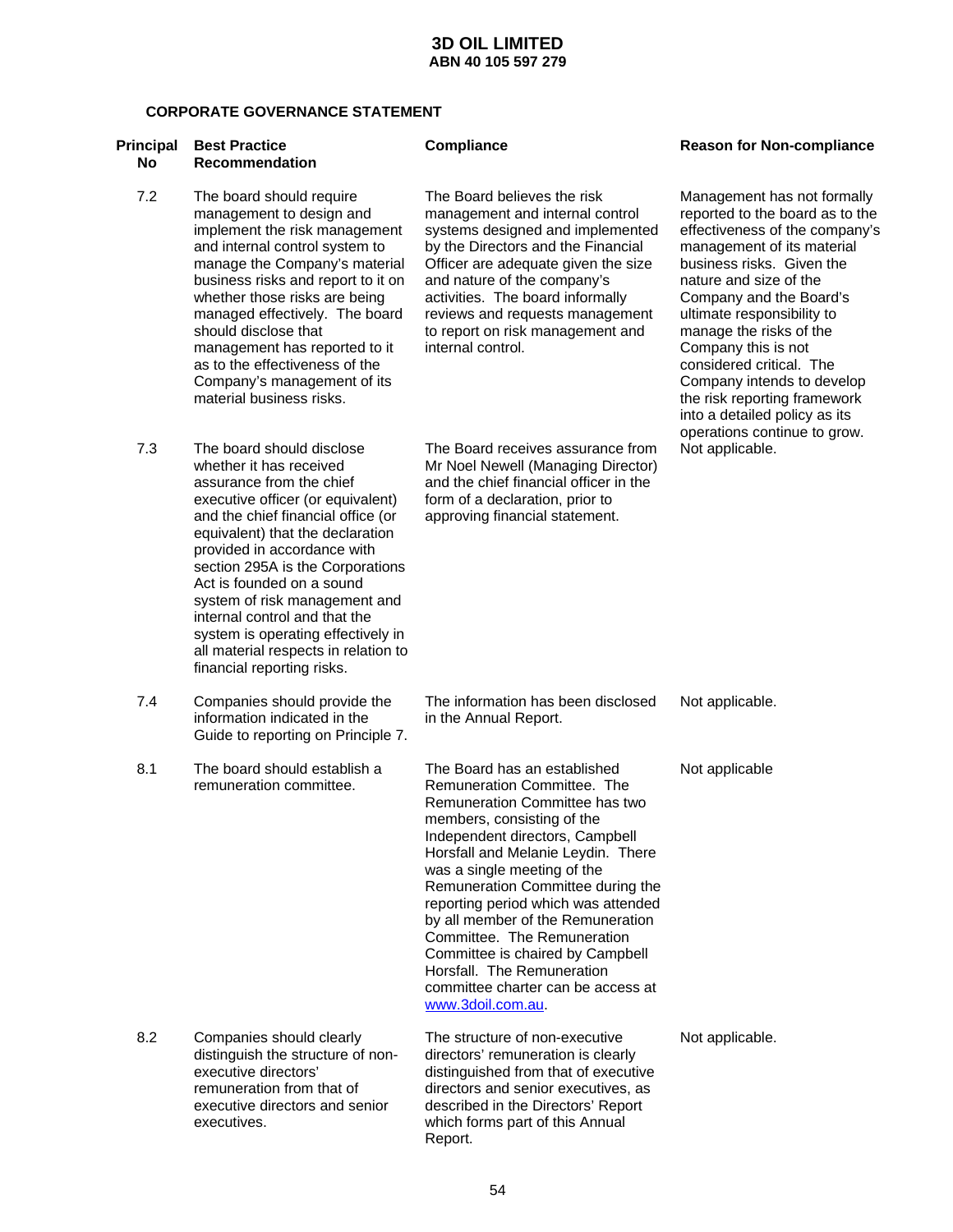### **CORPORATE GOVERNANCE STATEMENT**

| <b>Principal</b><br>No | <b>Best Practice</b><br><b>Recommendation</b>                                                                                                                                                                                                                                                                                                                                                                                                                                 | <b>Compliance</b>                                                                                                                                                                                                                                                                                                                                                                                                                                                                                                | <b>Reason for Non-compliance</b>                                                                                                                                                                                                                                                                                                                                                                                            |
|------------------------|-------------------------------------------------------------------------------------------------------------------------------------------------------------------------------------------------------------------------------------------------------------------------------------------------------------------------------------------------------------------------------------------------------------------------------------------------------------------------------|------------------------------------------------------------------------------------------------------------------------------------------------------------------------------------------------------------------------------------------------------------------------------------------------------------------------------------------------------------------------------------------------------------------------------------------------------------------------------------------------------------------|-----------------------------------------------------------------------------------------------------------------------------------------------------------------------------------------------------------------------------------------------------------------------------------------------------------------------------------------------------------------------------------------------------------------------------|
| 7.2                    | The board should require<br>management to design and<br>implement the risk management<br>and internal control system to<br>manage the Company's material<br>business risks and report to it on<br>whether those risks are being<br>managed effectively. The board<br>should disclose that<br>management has reported to it<br>as to the effectiveness of the<br>Company's management of its<br>material business risks.                                                       | The Board believes the risk<br>management and internal control<br>systems designed and implemented<br>by the Directors and the Financial<br>Officer are adequate given the size<br>and nature of the company's<br>activities. The board informally<br>reviews and requests management<br>to report on risk management and<br>internal control.                                                                                                                                                                   | Management has not formally<br>reported to the board as to the<br>effectiveness of the company's<br>management of its material<br>business risks. Given the<br>nature and size of the<br>Company and the Board's<br>ultimate responsibility to<br>manage the risks of the<br>Company this is not<br>considered critical. The<br>Company intends to develop<br>the risk reporting framework<br>into a detailed policy as its |
| 7.3                    | The board should disclose<br>whether it has received<br>assurance from the chief<br>executive officer (or equivalent)<br>and the chief financial office (or<br>equivalent) that the declaration<br>provided in accordance with<br>section 295A is the Corporations<br>Act is founded on a sound<br>system of risk management and<br>internal control and that the<br>system is operating effectively in<br>all material respects in relation to<br>financial reporting risks. | The Board receives assurance from<br>Mr Noel Newell (Managing Director)<br>and the chief financial officer in the<br>form of a declaration, prior to<br>approving financial statement.                                                                                                                                                                                                                                                                                                                           | operations continue to grow.<br>Not applicable.                                                                                                                                                                                                                                                                                                                                                                             |
| 7.4                    | Companies should provide the<br>information indicated in the<br>Guide to reporting on Principle 7.                                                                                                                                                                                                                                                                                                                                                                            | The information has been disclosed<br>in the Annual Report.                                                                                                                                                                                                                                                                                                                                                                                                                                                      | Not applicable.                                                                                                                                                                                                                                                                                                                                                                                                             |
| 8.1                    | The board should establish a<br>remuneration committee.                                                                                                                                                                                                                                                                                                                                                                                                                       | The Board has an established<br>Remuneration Committee. The<br>Remuneration Committee has two<br>members, consisting of the<br>Independent directors, Campbell<br>Horsfall and Melanie Leydin. There<br>was a single meeting of the<br>Remuneration Committee during the<br>reporting period which was attended<br>by all member of the Remuneration<br>Committee. The Remuneration<br>Committee is chaired by Campbell<br>Horsfall. The Remuneration<br>committee charter can be access at<br>www.3doil.com.au. | Not applicable                                                                                                                                                                                                                                                                                                                                                                                                              |
| 8.2                    | Companies should clearly<br>distinguish the structure of non-<br>executive directors'<br>remuneration from that of<br>executive directors and senior<br>executives.                                                                                                                                                                                                                                                                                                           | The structure of non-executive<br>directors' remuneration is clearly<br>distinguished from that of executive<br>directors and senior executives, as<br>described in the Directors' Report<br>which forms part of this Annual<br>Report.                                                                                                                                                                                                                                                                          | Not applicable.                                                                                                                                                                                                                                                                                                                                                                                                             |